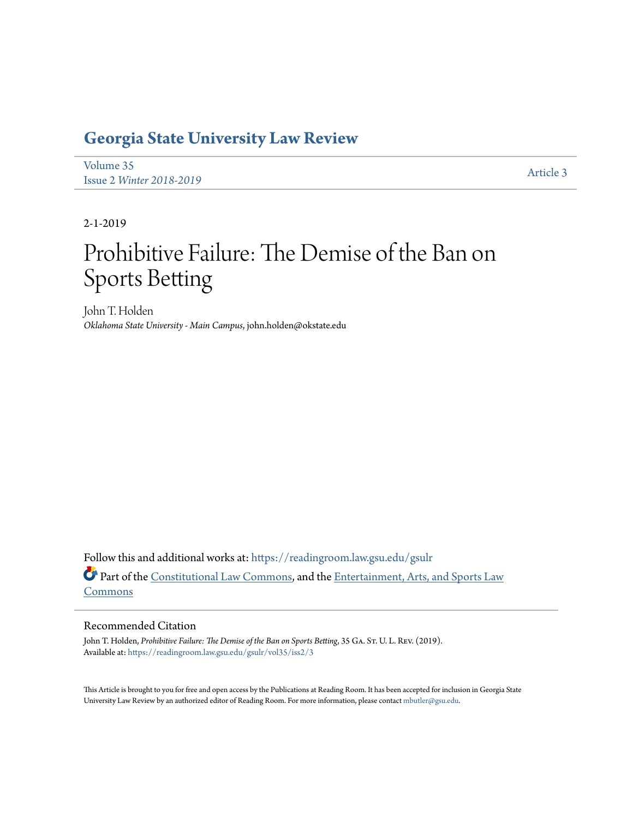# **[Georgia State University Law Review](https://readingroom.law.gsu.edu/gsulr?utm_source=readingroom.law.gsu.edu%2Fgsulr%2Fvol35%2Fiss2%2F3&utm_medium=PDF&utm_campaign=PDFCoverPages)**

[Volume 35](https://readingroom.law.gsu.edu/gsulr/vol35?utm_source=readingroom.law.gsu.edu%2Fgsulr%2Fvol35%2Fiss2%2F3&utm_medium=PDF&utm_campaign=PDFCoverPages) Issue 2 *[Winter 2018-2019](https://readingroom.law.gsu.edu/gsulr/vol35/iss2?utm_source=readingroom.law.gsu.edu%2Fgsulr%2Fvol35%2Fiss2%2F3&utm_medium=PDF&utm_campaign=PDFCoverPages)* [Article 3](https://readingroom.law.gsu.edu/gsulr/vol35/iss2/3?utm_source=readingroom.law.gsu.edu%2Fgsulr%2Fvol35%2Fiss2%2F3&utm_medium=PDF&utm_campaign=PDFCoverPages)

2-1-2019

# Prohibitive Failure: The Demise of the Ban on Sports Betting

John T. Holden *Oklahoma State University - Main Campus*, john.holden@okstate.edu

Follow this and additional works at: [https://readingroom.law.gsu.edu/gsulr](https://readingroom.law.gsu.edu/gsulr?utm_source=readingroom.law.gsu.edu%2Fgsulr%2Fvol35%2Fiss2%2F3&utm_medium=PDF&utm_campaign=PDFCoverPages) Part of the [Constitutional Law Commons,](http://network.bepress.com/hgg/discipline/589?utm_source=readingroom.law.gsu.edu%2Fgsulr%2Fvol35%2Fiss2%2F3&utm_medium=PDF&utm_campaign=PDFCoverPages) and the [Entertainment, Arts, and Sports Law](http://network.bepress.com/hgg/discipline/893?utm_source=readingroom.law.gsu.edu%2Fgsulr%2Fvol35%2Fiss2%2F3&utm_medium=PDF&utm_campaign=PDFCoverPages) [Commons](http://network.bepress.com/hgg/discipline/893?utm_source=readingroom.law.gsu.edu%2Fgsulr%2Fvol35%2Fiss2%2F3&utm_medium=PDF&utm_campaign=PDFCoverPages)

# Recommended Citation

John T. Holden, *Prohibitive Failure: The Demise of the Ban on Sports Betting*, 35 GA. St. U. L. REV. (2019). Available at: [https://readingroom.law.gsu.edu/gsulr/vol35/iss2/3](https://readingroom.law.gsu.edu/gsulr/vol35/iss2/3?utm_source=readingroom.law.gsu.edu%2Fgsulr%2Fvol35%2Fiss2%2F3&utm_medium=PDF&utm_campaign=PDFCoverPages)

This Article is brought to you for free and open access by the Publications at Reading Room. It has been accepted for inclusion in Georgia State University Law Review by an authorized editor of Reading Room. For more information, please contact [mbutler@gsu.edu.](mailto:mbutler@gsu.edu)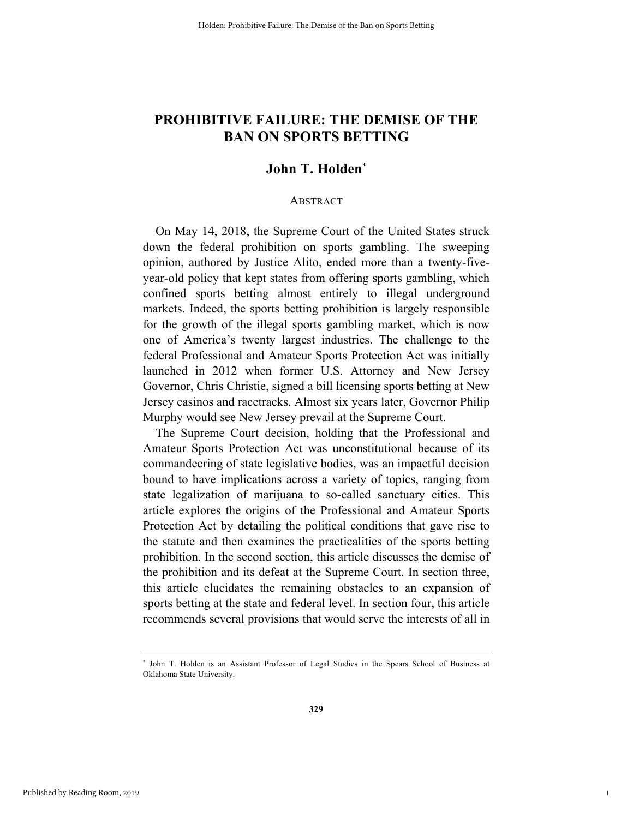# **PROHIBITIVE FAILURE: THE DEMISE OF THE BAN ON SPORTS BETTING**

# **John T. Holden**\*

#### ABSTRACT

On May 14, 2018, the Supreme Court of the United States struck down the federal prohibition on sports gambling. The sweeping opinion, authored by Justice Alito, ended more than a twenty-fiveyear-old policy that kept states from offering sports gambling, which confined sports betting almost entirely to illegal underground markets. Indeed, the sports betting prohibition is largely responsible for the growth of the illegal sports gambling market, which is now one of America's twenty largest industries. The challenge to the federal Professional and Amateur Sports Protection Act was initially launched in 2012 when former U.S. Attorney and New Jersey Governor, Chris Christie, signed a bill licensing sports betting at New Jersey casinos and racetracks. Almost six years later, Governor Philip Murphy would see New Jersey prevail at the Supreme Court.

The Supreme Court decision, holding that the Professional and Amateur Sports Protection Act was unconstitutional because of its commandeering of state legislative bodies, was an impactful decision bound to have implications across a variety of topics, ranging from state legalization of marijuana to so-called sanctuary cities. This article explores the origins of the Professional and Amateur Sports Protection Act by detailing the political conditions that gave rise to the statute and then examines the practicalities of the sports betting prohibition. In the second section, this article discusses the demise of the prohibition and its defeat at the Supreme Court. In section three, this article elucidates the remaining obstacles to an expansion of sports betting at the state and federal level. In section four, this article recommends several provisions that would serve the interests of all in

1

 <sup>\*</sup> John T. Holden is an Assistant Professor of Legal Studies in the Spears School of Business at Oklahoma State University.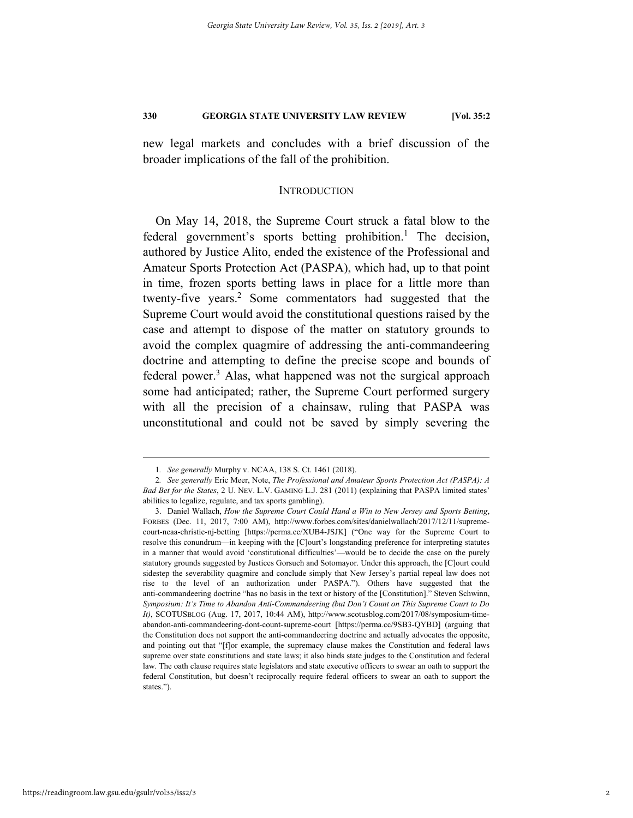new legal markets and concludes with a brief discussion of the broader implications of the fall of the prohibition.

#### **INTRODUCTION**

On May 14, 2018, the Supreme Court struck a fatal blow to the federal government's sports betting prohibition.<sup>1</sup> The decision, authored by Justice Alito, ended the existence of the Professional and Amateur Sports Protection Act (PASPA), which had, up to that point in time, frozen sports betting laws in place for a little more than twenty-five years.<sup>2</sup> Some commentators had suggested that the Supreme Court would avoid the constitutional questions raised by the case and attempt to dispose of the matter on statutory grounds to avoid the complex quagmire of addressing the anti-commandeering doctrine and attempting to define the precise scope and bounds of federal power.<sup>3</sup> Alas, what happened was not the surgical approach some had anticipated; rather, the Supreme Court performed surgery with all the precision of a chainsaw, ruling that PASPA was unconstitutional and could not be saved by simply severing the

 <sup>1</sup>*. See generally* Murphy v. NCAA, 138 S. Ct. 1461 (2018).

<sup>2</sup>*. See generally* Eric Meer, Note, *The Professional and Amateur Sports Protection Act (PASPA): A Bad Bet for the States*, 2 U. NEV. L.V. GAMING L.J. 281 (2011) (explaining that PASPA limited states' abilities to legalize, regulate, and tax sports gambling).

 <sup>3.</sup> Daniel Wallach, *How the Supreme Court Could Hand a Win to New Jersey and Sports Betting*, FORBES (Dec. 11, 2017, 7:00 AM), http://www.forbes.com/sites/danielwallach/2017/12/11/supremecourt-ncaa-christie-nj-betting [https://perma.cc/XUB4-JSJK] ("One way for the Supreme Court to resolve this conundrum—in keeping with the [C]ourt's longstanding preference for interpreting statutes in a manner that would avoid 'constitutional difficulties'—would be to decide the case on the purely statutory grounds suggested by Justices Gorsuch and Sotomayor. Under this approach, the [C]ourt could sidestep the severability quagmire and conclude simply that New Jersey's partial repeal law does not rise to the level of an authorization under PASPA."). Others have suggested that the anti-commandeering doctrine "has no basis in the text or history of the [Constitution]." Steven Schwinn, *Symposium: It's Time to Abandon Anti-Commandeering (but Don't Count on This Supreme Court to Do It)*, SCOTUSBLOG (Aug. 17, 2017, 10:44 AM), http://www.scotusblog.com/2017/08/symposium-timeabandon-anti-commandeering-dont-count-supreme-court [https://perma.cc/9SB3-QYBD] (arguing that the Constitution does not support the anti-commandeering doctrine and actually advocates the opposite, and pointing out that "[f]or example, the supremacy clause makes the Constitution and federal laws supreme over state constitutions and state laws; it also binds state judges to the Constitution and federal law. The oath clause requires state legislators and state executive officers to swear an oath to support the federal Constitution, but doesn't reciprocally require federal officers to swear an oath to support the states.").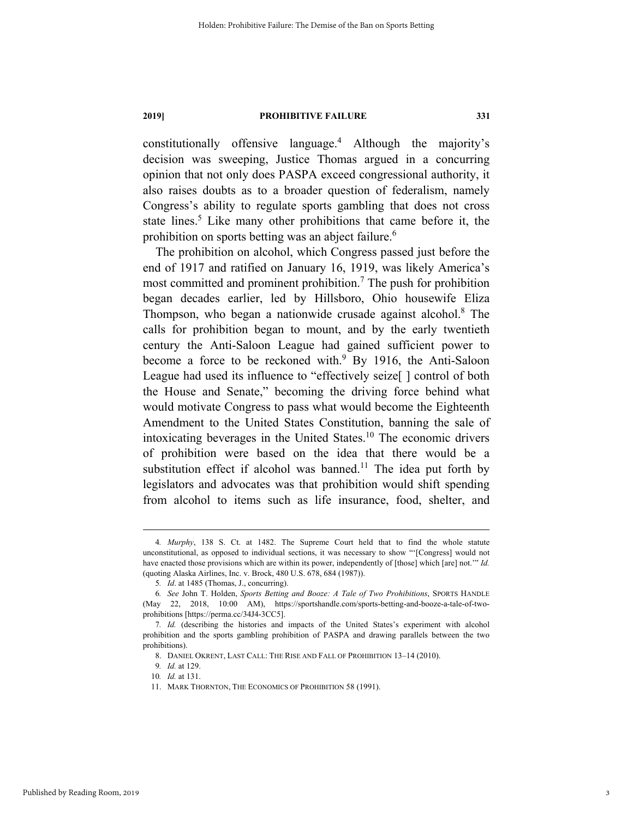constitutionally offensive language.4 Although the majority's decision was sweeping, Justice Thomas argued in a concurring opinion that not only does PASPA exceed congressional authority, it also raises doubts as to a broader question of federalism, namely Congress's ability to regulate sports gambling that does not cross state lines.<sup>5</sup> Like many other prohibitions that came before it, the prohibition on sports betting was an abject failure.<sup>6</sup>

The prohibition on alcohol, which Congress passed just before the end of 1917 and ratified on January 16, 1919, was likely America's most committed and prominent prohibition.<sup>7</sup> The push for prohibition began decades earlier, led by Hillsboro, Ohio housewife Eliza Thompson, who began a nationwide crusade against alcohol.<sup>8</sup> The calls for prohibition began to mount, and by the early twentieth century the Anti-Saloon League had gained sufficient power to become a force to be reckoned with.<sup>9</sup> By 1916, the Anti-Saloon League had used its influence to "effectively seize<sup>[]</sup> control of both the House and Senate," becoming the driving force behind what would motivate Congress to pass what would become the Eighteenth Amendment to the United States Constitution, banning the sale of intoxicating beverages in the United States. $10$  The economic drivers of prohibition were based on the idea that there would be a substitution effect if alcohol was banned.<sup>11</sup> The idea put forth by legislators and advocates was that prohibition would shift spending from alcohol to items such as life insurance, food, shelter, and

 <sup>4</sup>*. Murphy*, 138 S. Ct. at 1482. The Supreme Court held that to find the whole statute unconstitutional, as opposed to individual sections, it was necessary to show "'[Congress] would not have enacted those provisions which are within its power, independently of [those] which [are] not.'" *Id.*  (quoting Alaska Airlines, Inc. v. Brock, 480 U.S. 678, 684 (1987)).

<sup>5</sup>*. Id*. at 1485 (Thomas, J., concurring).

<sup>6</sup>*. See* John T. Holden, *Sports Betting and Booze: A Tale of Two Prohibitions*, SPORTS HANDLE (May 22, 2018, 10:00 AM), https://sportshandle.com/sports-betting-and-booze-a-tale-of-twoprohibitions [https://perma.cc/34J4-3CC5].

<sup>7</sup>*. Id.* (describing the histories and impacts of the United States's experiment with alcohol prohibition and the sports gambling prohibition of PASPA and drawing parallels between the two prohibitions).

 <sup>8.</sup> DANIEL OKRENT, LAST CALL: THE RISE AND FALL OF PROHIBITION 13–14 (2010).

<sup>9</sup>*. Id.* at 129.

<sup>10</sup>*. Id.* at 131.

 <sup>11.</sup> MARK THORNTON, THE ECONOMICS OF PROHIBITION 58 (1991).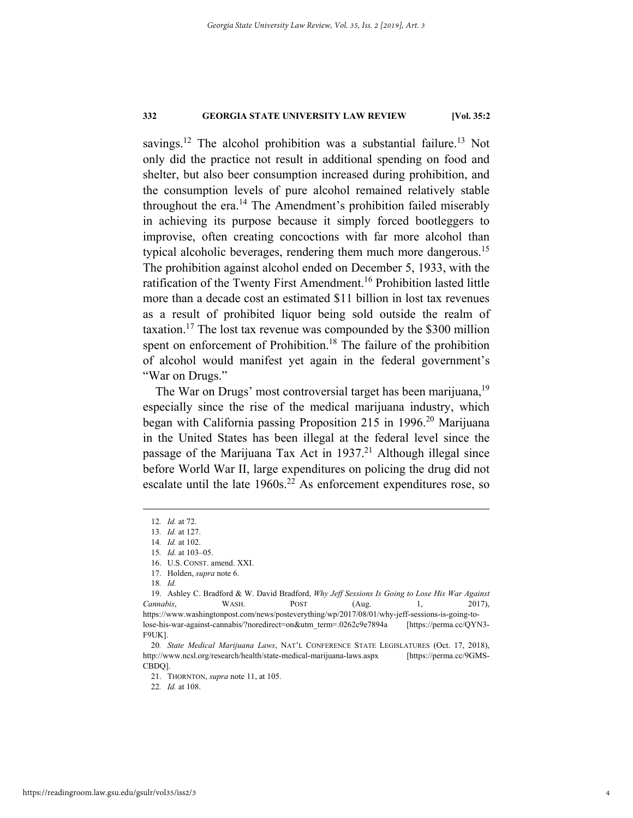savings.<sup>12</sup> The alcohol prohibition was a substantial failure.<sup>13</sup> Not only did the practice not result in additional spending on food and shelter, but also beer consumption increased during prohibition, and the consumption levels of pure alcohol remained relatively stable throughout the era.<sup>14</sup> The Amendment's prohibition failed miserably in achieving its purpose because it simply forced bootleggers to improvise, often creating concoctions with far more alcohol than typical alcoholic beverages, rendering them much more dangerous.<sup>15</sup> The prohibition against alcohol ended on December 5, 1933, with the ratification of the Twenty First Amendment.<sup>16</sup> Prohibition lasted little more than a decade cost an estimated \$11 billion in lost tax revenues as a result of prohibited liquor being sold outside the realm of taxation.<sup>17</sup> The lost tax revenue was compounded by the \$300 million spent on enforcement of Prohibition.<sup>18</sup> The failure of the prohibition of alcohol would manifest yet again in the federal government's "War on Drugs."

The War on Drugs' most controversial target has been marijuana,<sup>19</sup> especially since the rise of the medical marijuana industry, which began with California passing Proposition 215 in 1996.<sup>20</sup> Marijuana in the United States has been illegal at the federal level since the passage of the Marijuana Tax Act in  $1937<sup>21</sup>$  Although illegal since before World War II, large expenditures on policing the drug did not escalate until the late  $1960s<sup>22</sup>$  As enforcement expenditures rose, so

 <sup>12</sup>*. Id.* at 72.

<sup>13</sup>*. Id.* at 127.

<sup>14</sup>*. Id.* at 102.

<sup>15</sup>*. Id.* at 103–05.

 <sup>16.</sup> U.S. CONST. amend. XXI.

 <sup>17.</sup> Holden, *supra* note 6.

<sup>18</sup>*. Id.*

 <sup>19.</sup> Ashley C. Bradford & W. David Bradford, *Why Jeff Sessions Is Going to Lose His War Against Cannabis*, WASH. POST (Aug. 1, 2017), https://www.washingtonpost.com/news/posteverything/wp/2017/08/01/why-jeff-sessions-is-going-tolose-his-war-against-cannabis/?noredirect=on&utm\_term=.0262c9e7894a [https://perma.cc/QYN3- F9UK].

<sup>20</sup>*. State Medical Marijuana Laws*, NAT'L CONFERENCE STATE LEGISLATURES (Oct. 17, 2018), http://www.ncsl.org/research/health/state-medical-marijuana-laws.aspx [https://perma.cc/9GMS-CBDQ].

 <sup>21.</sup> THORNTON, *supra* note 11, at 105.

<sup>22</sup>*. Id.* at 108.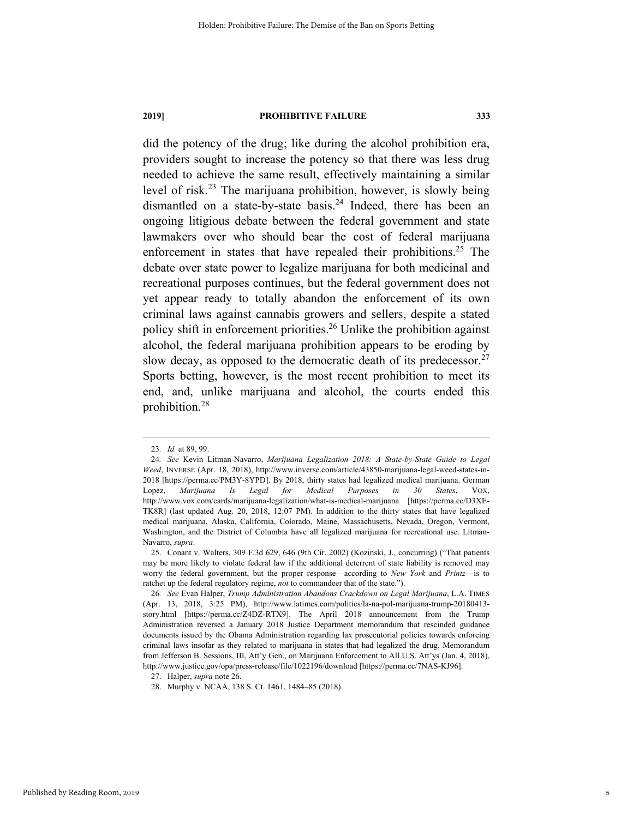did the potency of the drug; like during the alcohol prohibition era, providers sought to increase the potency so that there was less drug needed to achieve the same result, effectively maintaining a similar level of risk.23 The marijuana prohibition, however, is slowly being dismantled on a state-by-state basis.<sup>24</sup> Indeed, there has been an ongoing litigious debate between the federal government and state lawmakers over who should bear the cost of federal marijuana enforcement in states that have repealed their prohibitions.<sup>25</sup> The debate over state power to legalize marijuana for both medicinal and recreational purposes continues, but the federal government does not yet appear ready to totally abandon the enforcement of its own criminal laws against cannabis growers and sellers, despite a stated policy shift in enforcement priorities.<sup>26</sup> Unlike the prohibition against alcohol, the federal marijuana prohibition appears to be eroding by slow decay, as opposed to the democratic death of its predecessor.<sup>27</sup> Sports betting, however, is the most recent prohibition to meet its end, and, unlike marijuana and alcohol, the courts ended this prohibition.28

 <sup>23</sup>*. Id.* at 89, 99.

<sup>24</sup>*. See* Kevin Litman-Navarro, *Marijuana Legalization 2018: A State-by-State Guide to Legal Weed*, INVERSE (Apr. 18, 2018), http://www.inverse.com/article/43850-marijuana-legal-weed-states-in-2018 [https://perma.cc/PM3Y-8YPD]. By 2018, thirty states had legalized medical marijuana. German Lopez, *Marijuana Is Legal for Medical Purposes in 30 States*, VOX, http://www.vox.com/cards/marijuana-legalization/what-is-medical-marijuana [https://perma.cc/D3XE-TK8R] (last updated Aug. 20, 2018, 12:07 PM). In addition to the thirty states that have legalized medical marijuana, Alaska, California, Colorado, Maine, Massachusetts, Nevada, Oregon, Vermont, Washington, and the District of Columbia have all legalized marijuana for recreational use. Litman-Navarro, *supra*.

 <sup>25.</sup> Conant v. Walters, 309 F.3d 629, 646 (9th Cir. 2002) (Kozinski, J., concurring) ("That patients may be more likely to violate federal law if the additional deterrent of state liability is removed may worry the federal government, but the proper response—according to *New York* and *Printz*—is to ratchet up the federal regulatory regime, *not* to commandeer that of the state.").

<sup>26</sup>*. See* Evan Halper, *Trump Administration Abandons Crackdown on Legal Marijuana*, L.A. TIMES (Apr. 13, 2018, 3:25 PM), http://www.latimes.com/politics/la-na-pol-marijuana-trump-20180413 story.html [https://perma.cc/Z4DZ-RTX9]. The April 2018 announcement from the Trump Administration reversed a January 2018 Justice Department memorandum that rescinded guidance documents issued by the Obama Administration regarding lax prosecutorial policies towards enforcing criminal laws insofar as they related to marijuana in states that had legalized the drug. Memorandum from Jefferson B. Sessions, III, Att'y Gen., on Marijuana Enforcement to All U.S. Att'ys (Jan. 4, 2018), http://www.justice.gov/opa/press-release/file/1022196/download [https://perma.cc/7NAS-KJ96].

 <sup>27.</sup> Halper, *supra* note 26.

 <sup>28.</sup> Murphy v. NCAA, 138 S. Ct. 1461, 1484–85 (2018).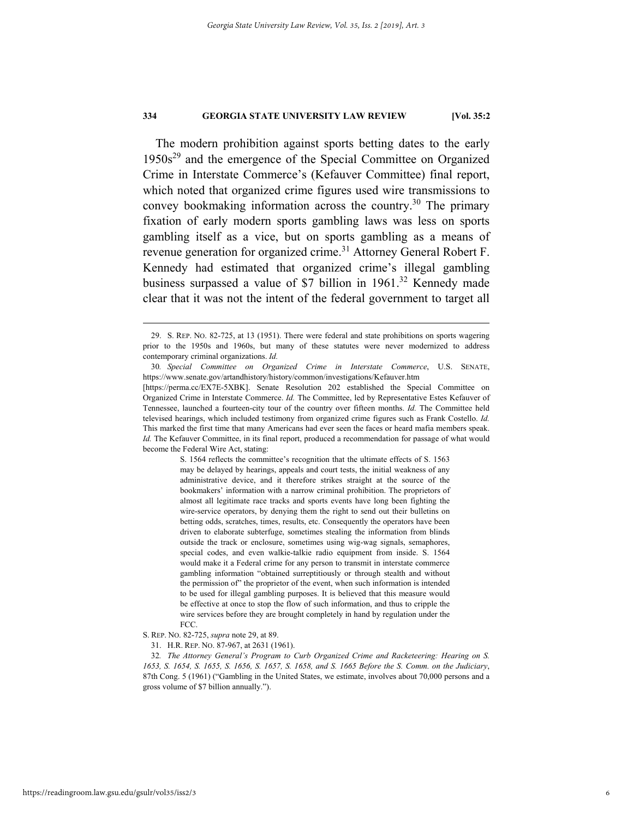The modern prohibition against sports betting dates to the early  $1950s<sup>29</sup>$  and the emergence of the Special Committee on Organized Crime in Interstate Commerce's (Kefauver Committee) final report, which noted that organized crime figures used wire transmissions to convey bookmaking information across the country.<sup>30</sup> The primary fixation of early modern sports gambling laws was less on sports gambling itself as a vice, but on sports gambling as a means of revenue generation for organized crime.<sup>31</sup> Attorney General Robert F. Kennedy had estimated that organized crime's illegal gambling business surpassed a value of \$7 billion in 1961.<sup>32</sup> Kennedy made clear that it was not the intent of the federal government to target all

S. 1564 reflects the committee's recognition that the ultimate effects of S. 1563 may be delayed by hearings, appeals and court tests, the initial weakness of any administrative device, and it therefore strikes straight at the source of the bookmakers' information with a narrow criminal prohibition. The proprietors of almost all legitimate race tracks and sports events have long been fighting the wire-service operators, by denying them the right to send out their bulletins on betting odds, scratches, times, results, etc. Consequently the operators have been driven to elaborate subterfuge, sometimes stealing the information from blinds outside the track or enclosure, sometimes using wig-wag signals, semaphores, special codes, and even walkie-talkie radio equipment from inside. S. 1564 would make it a Federal crime for any person to transmit in interstate commerce gambling information "obtained surreptitiously or through stealth and without the permission of" the proprietor of the event, when such information is intended to be used for illegal gambling purposes. It is believed that this measure would be effective at once to stop the flow of such information, and thus to cripple the wire services before they are brought completely in hand by regulation under the FCC.

 <sup>29.</sup> S. REP. NO. 82-725, at 13 (1951). There were federal and state prohibitions on sports wagering prior to the 1950s and 1960s, but many of these statutes were never modernized to address contemporary criminal organizations. *Id.*

<sup>30</sup>*. Special Committee on Organized Crime in Interstate Commerce*, U.S. SENATE, https://www.senate.gov/artandhistory/history/common/investigations/Kefauver.htm

<sup>[</sup>https://perma.cc/EX7E-5XBK]. Senate Resolution 202 established the Special Committee on Organized Crime in Interstate Commerce. *Id.* The Committee, led by Representative Estes Kefauver of Tennessee, launched a fourteen-city tour of the country over fifteen months. *Id.* The Committee held televised hearings, which included testimony from organized crime figures such as Frank Costello. *Id.* This marked the first time that many Americans had ever seen the faces or heard mafia members speak. *Id.* The Kefauver Committee, in its final report, produced a recommendation for passage of what would become the Federal Wire Act, stating:

S. REP. NO. 82-725, *supra* note 29, at 89.

 <sup>31.</sup> H.R. REP. NO. 87-967, at 2631 (1961).

<sup>32</sup>*. The Attorney General's Program to Curb Organized Crime and Racketeering: Hearing on S. 1653, S. 1654, S. 1655, S. 1656, S. 1657, S. 1658, and S. 1665 Before the S. Comm. on the Judiciary*, 87th Cong. 5 (1961) ("Gambling in the United States, we estimate, involves about 70,000 persons and a gross volume of \$7 billion annually.").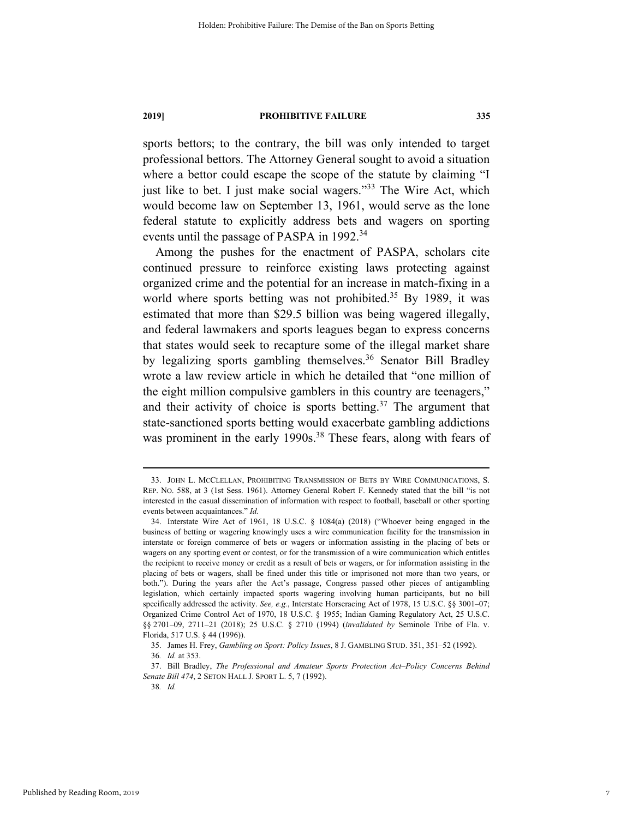sports bettors; to the contrary, the bill was only intended to target professional bettors. The Attorney General sought to avoid a situation where a bettor could escape the scope of the statute by claiming "I just like to bet. I just make social wagers."<sup>33</sup> The Wire Act, which would become law on September 13, 1961, would serve as the lone federal statute to explicitly address bets and wagers on sporting events until the passage of PASPA in 1992.<sup>34</sup>

Among the pushes for the enactment of PASPA, scholars cite continued pressure to reinforce existing laws protecting against organized crime and the potential for an increase in match-fixing in a world where sports betting was not prohibited.<sup>35</sup> By 1989, it was estimated that more than \$29.5 billion was being wagered illegally, and federal lawmakers and sports leagues began to express concerns that states would seek to recapture some of the illegal market share by legalizing sports gambling themselves.<sup>36</sup> Senator Bill Bradley wrote a law review article in which he detailed that "one million of the eight million compulsive gamblers in this country are teenagers," and their activity of choice is sports betting.<sup>37</sup> The argument that state-sanctioned sports betting would exacerbate gambling addictions was prominent in the early 1990s.<sup>38</sup> These fears, along with fears of

 <sup>33.</sup> JOHN L. MCCLELLAN, PROHIBITING TRANSMISSION OF BETS BY WIRE COMMUNICATIONS, S. REP. NO. 588, at 3 (1st Sess. 1961). Attorney General Robert F. Kennedy stated that the bill "is not interested in the casual dissemination of information with respect to football, baseball or other sporting events between acquaintances." *Id.*

 <sup>34.</sup> Interstate Wire Act of 1961, 18 U.S.C. § 1084(a) (2018) ("Whoever being engaged in the business of betting or wagering knowingly uses a wire communication facility for the transmission in interstate or foreign commerce of bets or wagers or information assisting in the placing of bets or wagers on any sporting event or contest, or for the transmission of a wire communication which entitles the recipient to receive money or credit as a result of bets or wagers, or for information assisting in the placing of bets or wagers, shall be fined under this title or imprisoned not more than two years, or both."). During the years after the Act's passage, Congress passed other pieces of antigambling legislation, which certainly impacted sports wagering involving human participants, but no bill specifically addressed the activity. *See, e.g.*, Interstate Horseracing Act of 1978, 15 U.S.C. §§ 3001–07; Organized Crime Control Act of 1970, 18 U.S.C. § 1955; Indian Gaming Regulatory Act, 25 U.S.C. §§ 2701–09, 2711–21 (2018); 25 U.S.C. § 2710 (1994) (*invalidated by* Seminole Tribe of Fla. v. Florida, 517 U.S. § 44 (1996)).

 <sup>35.</sup> James H. Frey, *Gambling on Sport: Policy Issues*, 8 J. GAMBLING STUD. 351, 351–52 (1992).

<sup>36</sup>*. Id.* at 353.

 <sup>37.</sup> Bill Bradley, *The Professional and Amateur Sports Protection Act–Policy Concerns Behind Senate Bill 474*, 2 SETON HALL J. SPORT L. 5, 7 (1992).

<sup>38</sup>*. Id.*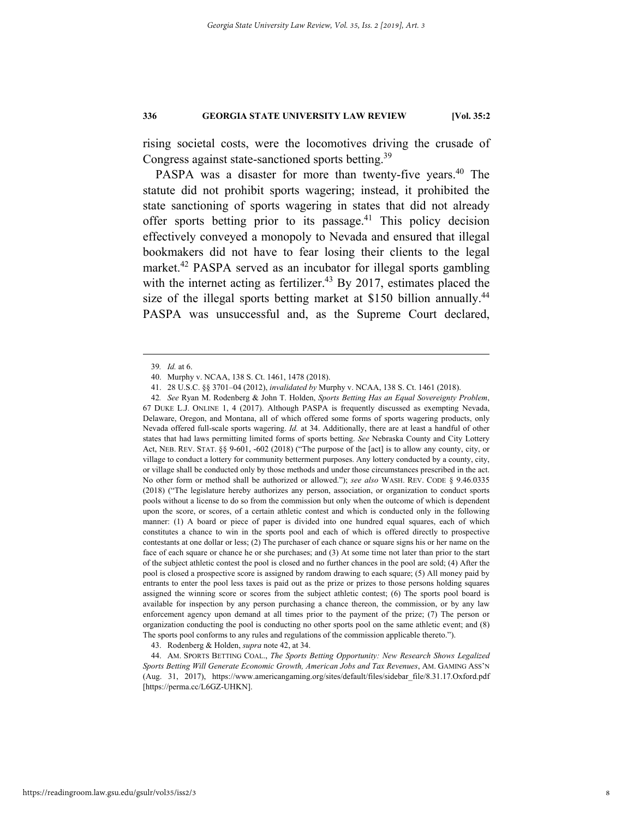rising societal costs, were the locomotives driving the crusade of Congress against state-sanctioned sports betting.<sup>39</sup>

PASPA was a disaster for more than twenty-five years.<sup>40</sup> The statute did not prohibit sports wagering; instead, it prohibited the state sanctioning of sports wagering in states that did not already offer sports betting prior to its passage.<sup>41</sup> This policy decision effectively conveyed a monopoly to Nevada and ensured that illegal bookmakers did not have to fear losing their clients to the legal market.<sup>42</sup> PASPA served as an incubator for illegal sports gambling with the internet acting as fertilizer.<sup>43</sup> By 2017, estimates placed the size of the illegal sports betting market at \$150 billion annually.<sup>44</sup> PASPA was unsuccessful and, as the Supreme Court declared,

42*. See* Ryan M. Rodenberg & John T. Holden, *Sports Betting Has an Equal Sovereignty Problem*, 67 DUKE L.J. ONLINE 1, 4 (2017). Although PASPA is frequently discussed as exempting Nevada, Delaware, Oregon, and Montana, all of which offered some forms of sports wagering products, only Nevada offered full-scale sports wagering. *Id.* at 34. Additionally, there are at least a handful of other states that had laws permitting limited forms of sports betting. *See* Nebraska County and City Lottery Act, NEB. REV. STAT. §§ 9-601, -602 (2018) ("The purpose of the [act] is to allow any county, city, or village to conduct a lottery for community betterment purposes. Any lottery conducted by a county, city, or village shall be conducted only by those methods and under those circumstances prescribed in the act. No other form or method shall be authorized or allowed."); *see also* WASH. REV. CODE § 9.46.0335 (2018) ("The legislature hereby authorizes any person, association, or organization to conduct sports pools without a license to do so from the commission but only when the outcome of which is dependent upon the score, or scores, of a certain athletic contest and which is conducted only in the following manner: (1) A board or piece of paper is divided into one hundred equal squares, each of which constitutes a chance to win in the sports pool and each of which is offered directly to prospective contestants at one dollar or less; (2) The purchaser of each chance or square signs his or her name on the face of each square or chance he or she purchases; and (3) At some time not later than prior to the start of the subject athletic contest the pool is closed and no further chances in the pool are sold; (4) After the pool is closed a prospective score is assigned by random drawing to each square; (5) All money paid by entrants to enter the pool less taxes is paid out as the prize or prizes to those persons holding squares assigned the winning score or scores from the subject athletic contest; (6) The sports pool board is available for inspection by any person purchasing a chance thereon, the commission, or by any law enforcement agency upon demand at all times prior to the payment of the prize; (7) The person or organization conducting the pool is conducting no other sports pool on the same athletic event; and (8) The sports pool conforms to any rules and regulations of the commission applicable thereto.").

43. Rodenberg & Holden, *supra* note 42, at 34.

 44. AM. SPORTS BETTING COAL., *The Sports Betting Opportunity: New Research Shows Legalized Sports Betting Will Generate Economic Growth, American Jobs and Tax Revenues*, AM. GAMING ASS'N (Aug. 31, 2017), https://www.americangaming.org/sites/default/files/sidebar\_file/8.31.17.Oxford.pdf [https://perma.cc/L6GZ-UHKN].

 <sup>39</sup>*. Id.* at 6.

 <sup>40.</sup> Murphy v. NCAA, 138 S. Ct. 1461, 1478 (2018).

 <sup>41. 28</sup> U.S.C. §§ 3701–04 (2012), *invalidated by* Murphy v. NCAA, 138 S. Ct. 1461 (2018).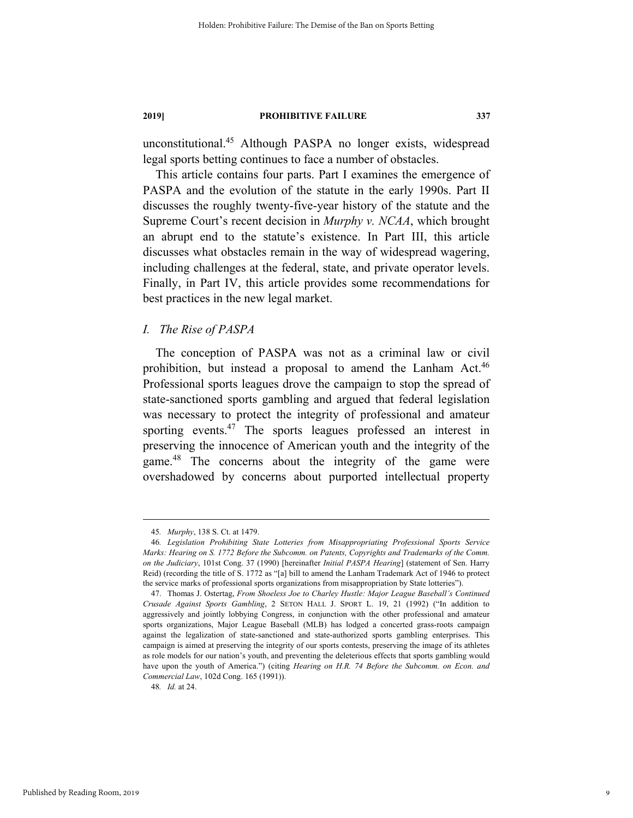unconstitutional.45 Although PASPA no longer exists, widespread legal sports betting continues to face a number of obstacles.

This article contains four parts. Part I examines the emergence of PASPA and the evolution of the statute in the early 1990s. Part II discusses the roughly twenty-five-year history of the statute and the Supreme Court's recent decision in *Murphy v. NCAA*, which brought an abrupt end to the statute's existence. In Part III, this article discusses what obstacles remain in the way of widespread wagering, including challenges at the federal, state, and private operator levels. Finally, in Part IV, this article provides some recommendations for best practices in the new legal market.

### *I. The Rise of PASPA*

The conception of PASPA was not as a criminal law or civil prohibition, but instead a proposal to amend the Lanham Act.<sup>46</sup> Professional sports leagues drove the campaign to stop the spread of state-sanctioned sports gambling and argued that federal legislation was necessary to protect the integrity of professional and amateur sporting events.<sup>47</sup> The sports leagues professed an interest in preserving the innocence of American youth and the integrity of the game.48 The concerns about the integrity of the game were overshadowed by concerns about purported intellectual property

48*. Id.* at 24.

 <sup>45</sup>*. Murphy*, 138 S. Ct. at 1479.

<sup>46</sup>*. Legislation Prohibiting State Lotteries from Misappropriating Professional Sports Service Marks: Hearing on S. 1772 Before the Subcomm. on Patents, Copyrights and Trademarks of the Comm. on the Judiciary*, 101st Cong. 37 (1990) [hereinafter *Initial PASPA Hearing*] (statement of Sen. Harry Reid) (recording the title of S. 1772 as "[a] bill to amend the Lanham Trademark Act of 1946 to protect the service marks of professional sports organizations from misappropriation by State lotteries").

 <sup>47.</sup> Thomas J. Ostertag, *From Shoeless Joe to Charley Hustle: Major League Baseball's Continued Crusade Against Sports Gambling*, 2 SETON HALL J. SPORT L. 19, 21 (1992) ("In addition to aggressively and jointly lobbying Congress, in conjunction with the other professional and amateur sports organizations, Major League Baseball (MLB) has lodged a concerted grass-roots campaign against the legalization of state-sanctioned and state-authorized sports gambling enterprises. This campaign is aimed at preserving the integrity of our sports contests, preserving the image of its athletes as role models for our nation's youth, and preventing the deleterious effects that sports gambling would have upon the youth of America.") (citing *Hearing on H.R. 74 Before the Subcomm. on Econ. and Commercial Law*, 102d Cong. 165 (1991)).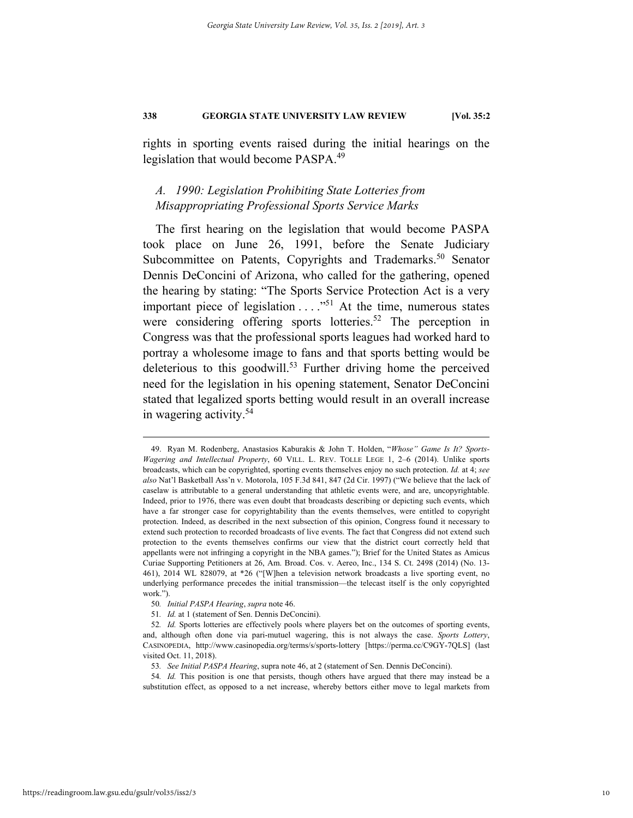rights in sporting events raised during the initial hearings on the legislation that would become PASPA.<sup>49</sup>

# *A. 1990: Legislation Prohibiting State Lotteries from Misappropriating Professional Sports Service Marks*

The first hearing on the legislation that would become PASPA took place on June 26, 1991, before the Senate Judiciary Subcommittee on Patents, Copyrights and Trademarks.<sup>50</sup> Senator Dennis DeConcini of Arizona, who called for the gathering, opened the hearing by stating: "The Sports Service Protection Act is a very important piece of legislation . . . ."51 At the time, numerous states were considering offering sports lotteries.<sup>52</sup> The perception in Congress was that the professional sports leagues had worked hard to portray a wholesome image to fans and that sports betting would be deleterious to this goodwill.<sup>53</sup> Further driving home the perceived need for the legislation in his opening statement, Senator DeConcini stated that legalized sports betting would result in an overall increase in wagering activity.54

 <sup>49.</sup> Ryan M. Rodenberg, Anastasios Kaburakis & John T. Holden, "*Whose" Game Is It? Sports-Wagering and Intellectual Property*, 60 VILL. L. REV. TOLLE LEGE 1, 2–6 (2014). Unlike sports broadcasts, which can be copyrighted, sporting events themselves enjoy no such protection. *Id.* at 4; *see also* Nat'l Basketball Ass'n v. Motorola, 105 F.3d 841, 847 (2d Cir. 1997) ("We believe that the lack of caselaw is attributable to a general understanding that athletic events were, and are, uncopyrightable. Indeed, prior to 1976, there was even doubt that broadcasts describing or depicting such events, which have a far stronger case for copyrightability than the events themselves, were entitled to copyright protection. Indeed, as described in the next subsection of this opinion, Congress found it necessary to extend such protection to recorded broadcasts of live events. The fact that Congress did not extend such protection to the events themselves confirms our view that the district court correctly held that appellants were not infringing a copyright in the NBA games."); Brief for the United States as Amicus Curiae Supporting Petitioners at 26, Am. Broad. Cos. v. Aereo, Inc., 134 S. Ct. 2498 (2014) (No. 13- 461), 2014 WL 828079, at \*26 ("[W]hen a television network broadcasts a live sporting event, no underlying performance precedes the initial transmission—the telecast itself is the only copyrighted work.").

<sup>50</sup>*. Initial PASPA Hearing*, *supra* note 46.

<sup>51</sup>*. Id.* at 1 (statement of Sen. Dennis DeConcini).

<sup>52</sup>*. Id.* Sports lotteries are effectively pools where players bet on the outcomes of sporting events, and, although often done via pari-mutuel wagering, this is not always the case. *Sports Lottery*, CASINOPEDIA, http://www.casinopedia.org/terms/s/sports-lottery [https://perma.cc/C9GY-7QLS] (last visited Oct. 11, 2018).

<sup>53</sup>*. See Initial PASPA Hearing*, supra note 46, at 2 (statement of Sen. Dennis DeConcini).

<sup>54</sup>*. Id.* This position is one that persists, though others have argued that there may instead be a substitution effect, as opposed to a net increase, whereby bettors either move to legal markets from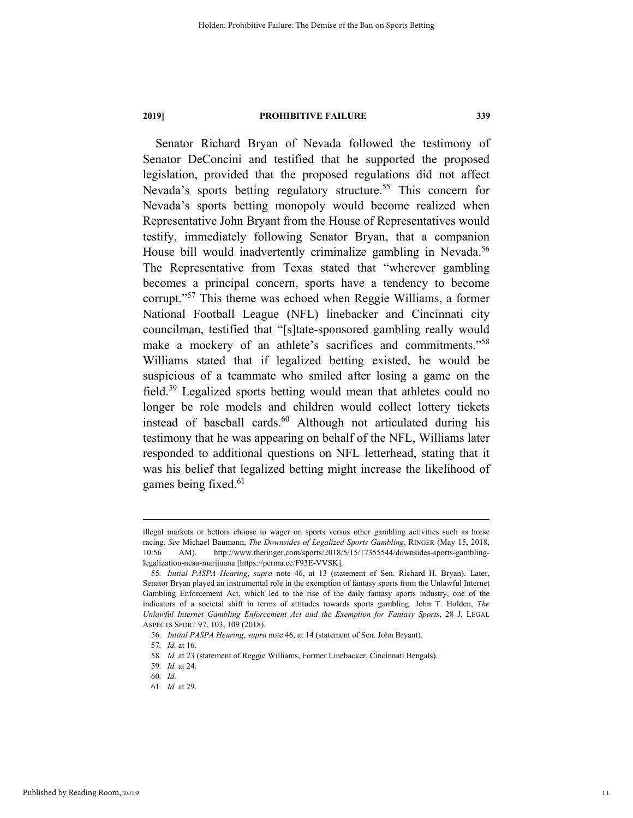Senator Richard Bryan of Nevada followed the testimony of Senator DeConcini and testified that he supported the proposed legislation, provided that the proposed regulations did not affect Nevada's sports betting regulatory structure.<sup>55</sup> This concern for Nevada's sports betting monopoly would become realized when Representative John Bryant from the House of Representatives would testify, immediately following Senator Bryan, that a companion House bill would inadvertently criminalize gambling in Nevada.<sup>56</sup> The Representative from Texas stated that "wherever gambling becomes a principal concern, sports have a tendency to become corrupt."57 This theme was echoed when Reggie Williams, a former National Football League (NFL) linebacker and Cincinnati city councilman, testified that "[s]tate-sponsored gambling really would make a mockery of an athlete's sacrifices and commitments."<sup>58</sup> Williams stated that if legalized betting existed, he would be suspicious of a teammate who smiled after losing a game on the field.59 Legalized sports betting would mean that athletes could no longer be role models and children would collect lottery tickets instead of baseball cards. $60$  Although not articulated during his testimony that he was appearing on behalf of the NFL, Williams later responded to additional questions on NFL letterhead, stating that it was his belief that legalized betting might increase the likelihood of games being fixed.<sup>61</sup>

illegal markets or bettors choose to wager on sports versus other gambling activities such as horse racing. *See* Michael Baumann, *The Downsides of Legalized Sports Gambling*, RINGER (May 15, 2018, 10:56 AM), http://www.theringer.com/sports/2018/5/15/17355544/downsides-sports-gamblinglegalization-ncaa-marijuana [https://perma.cc/F93E-VVSK].

<sup>55</sup>*. Initial PASPA Hearing*, *supra* note 46, at 13 (statement of Sen. Richard H. Bryan). Later, Senator Bryan played an instrumental role in the exemption of fantasy sports from the Unlawful Internet Gambling Enforcement Act, which led to the rise of the daily fantasy sports industry, one of the indicators of a societal shift in terms of attitudes towards sports gambling. John T. Holden, *The Unlawful Internet Gambling Enforcement Act and the Exemption for Fantasy Sports*, 28 J. LEGAL ASPECTS SPORT 97, 103, 109 (2018).

<sup>56</sup>*. Initial PASPA Hearing*, *supra* note 46, at 14 (statement of Sen. John Bryant).

<sup>57</sup>*. Id.* at 16.

<sup>58</sup>*. Id.* at 23 (statement of Reggie Williams, Former Linebacker, Cincinnati Bengals).

<sup>59</sup>*. Id.* at 24.

<sup>60</sup>*. Id.*

<sup>61</sup>*. Id.* at 29.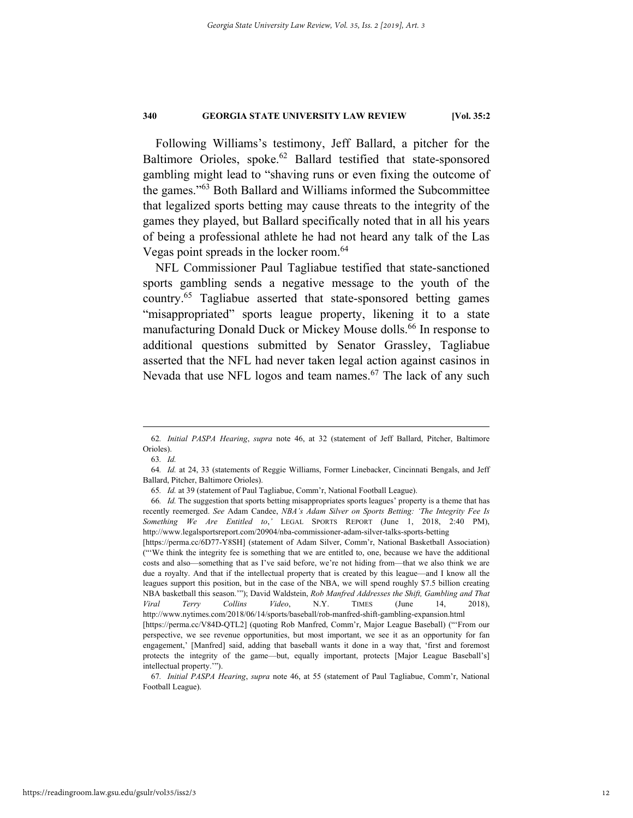Following Williams's testimony, Jeff Ballard, a pitcher for the Baltimore Orioles, spoke.<sup>62</sup> Ballard testified that state-sponsored gambling might lead to "shaving runs or even fixing the outcome of the games."63 Both Ballard and Williams informed the Subcommittee that legalized sports betting may cause threats to the integrity of the games they played, but Ballard specifically noted that in all his years of being a professional athlete he had not heard any talk of the Las Vegas point spreads in the locker room.<sup>64</sup>

NFL Commissioner Paul Tagliabue testified that state-sanctioned sports gambling sends a negative message to the youth of the country.65 Tagliabue asserted that state-sponsored betting games "misappropriated" sports league property, likening it to a state manufacturing Donald Duck or Mickey Mouse dolls.<sup>66</sup> In response to additional questions submitted by Senator Grassley, Tagliabue asserted that the NFL had never taken legal action against casinos in Nevada that use NFL logos and team names.<sup>67</sup> The lack of any such

[https://perma.cc/6D77-Y8SH] (statement of Adam Silver, Comm'r, National Basketball Association) ("'We think the integrity fee is something that we are entitled to, one, because we have the additional costs and also—something that as I've said before, we're not hiding from—that we also think we are due a royalty. And that if the intellectual property that is created by this league—and I know all the leagues support this position, but in the case of the NBA, we will spend roughly \$7.5 billion creating NBA basketball this season.'"); David Waldstein, *Rob Manfred Addresses the Shift, Gambling and That Viral Terry Collins Video*, N.Y. TIMES (June 14, 2018), http://www.nytimes.com/2018/06/14/sports/baseball/rob-manfred-shift-gambling-expansion.html [https://perma.cc/V84D-QTL2] (quoting Rob Manfred, Comm'r, Major League Baseball) ("'From our perspective, we see revenue opportunities, but most important, we see it as an opportunity for fan engagement,' [Manfred] said, adding that baseball wants it done in a way that, 'first and foremost protects the integrity of the game—but, equally important, protects [Major League Baseball's] intellectual property.'").

 <sup>62</sup>*. Initial PASPA Hearing*, *supra* note 46, at 32 (statement of Jeff Ballard, Pitcher, Baltimore Orioles).

<sup>63</sup>*. Id.*

<sup>64</sup>*. Id.* at 24, 33 (statements of Reggie Williams, Former Linebacker, Cincinnati Bengals, and Jeff Ballard, Pitcher, Baltimore Orioles).

<sup>65</sup>*. Id.* at 39 (statement of Paul Tagliabue, Comm'r, National Football League).

<sup>66</sup>*. Id.* The suggestion that sports betting misappropriates sports leagues' property is a theme that has recently reemerged. *See* Adam Candee, *NBA's Adam Silver on Sports Betting: 'The Integrity Fee Is Something We Are Entitled to*,*'* LEGAL SPORTS REPORT (June 1, 2018, 2:40 PM), http://www.legalsportsreport.com/20904/nba-commissioner-adam-silver-talks-sports-betting

<sup>67</sup>*. Initial PASPA Hearing*, *supra* note 46, at 55 (statement of Paul Tagliabue, Comm'r, National Football League).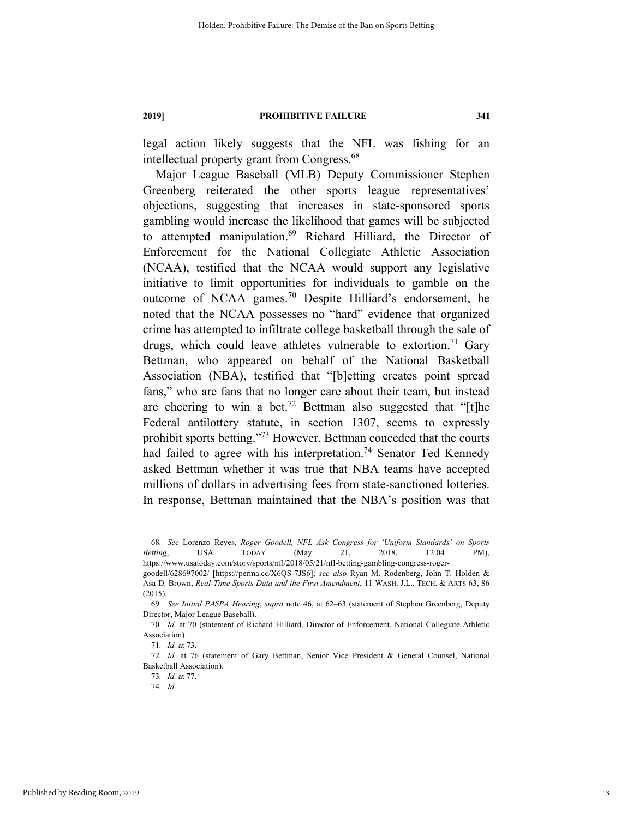legal action likely suggests that the NFL was fishing for an intellectual property grant from Congress.<sup>68</sup>

Major League Baseball (MLB) Deputy Commissioner Stephen Greenberg reiterated the other sports league representatives' objections, suggesting that increases in state-sponsored sports gambling would increase the likelihood that games will be subjected to attempted manipulation.<sup>69</sup> Richard Hilliard, the Director of Enforcement for the National Collegiate Athletic Association (NCAA), testified that the NCAA would support any legislative initiative to limit opportunities for individuals to gamble on the outcome of NCAA games.70 Despite Hilliard's endorsement, he noted that the NCAA possesses no "hard" evidence that organized crime has attempted to infiltrate college basketball through the sale of drugs, which could leave athletes vulnerable to extortion.<sup>71</sup> Gary Bettman, who appeared on behalf of the National Basketball Association (NBA), testified that "[b]etting creates point spread fans," who are fans that no longer care about their team, but instead are cheering to win a bet.<sup>72</sup> Bettman also suggested that "[t]he Federal antilottery statute, in section 1307, seems to expressly prohibit sports betting."73 However, Bettman conceded that the courts had failed to agree with his interpretation.<sup>74</sup> Senator Ted Kennedy asked Bettman whether it was true that NBA teams have accepted millions of dollars in advertising fees from state-sanctioned lotteries. In response, Bettman maintained that the NBA's position was that

 <sup>68</sup>*. See* Lorenzo Reyes, *Roger Goodell, NFL Ask Congress for 'Uniform Standards' on Sports Betting*, USA TODAY (May 21, 2018, 12:04 PM), https://www.usatoday.com/story/sports/nfl/2018/05/21/nfl-betting-gambling-congress-roger-

goodell/628697002/ [https://perma.cc/X6QS-7JS6]; *see also* Ryan M. Rodenberg, John T. Holden & Asa D. Brown, *Real-Time Sports Data and the First Amendment*, 11 WASH. J.L., TECH. & ARTS 63, 86 (2015).

<sup>69</sup>*. See Initial PASPA Hearing*, *supra* note 46, at 62–63 (statement of Stephen Greenberg, Deputy Director, Major League Baseball).

<sup>70</sup>*. Id.* at 70 (statement of Richard Hilliard, Director of Enforcement, National Collegiate Athletic Association).

<sup>71</sup>*. Id.* at 73.

<sup>72</sup>*. Id.* at 76 (statement of Gary Bettman, Senior Vice President & General Counsel, National Basketball Association).

<sup>73</sup>*. Id.* at 77.

<sup>74</sup>*. Id.*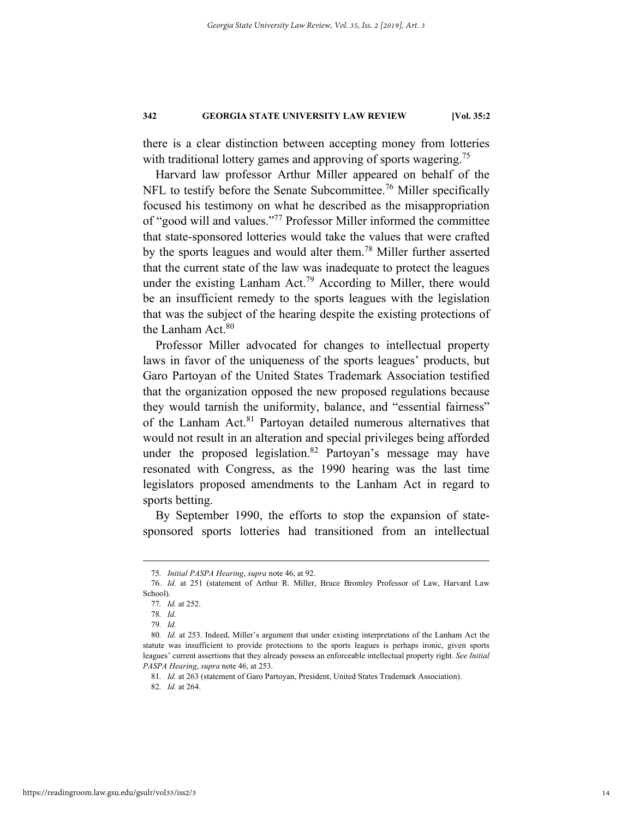there is a clear distinction between accepting money from lotteries with traditional lottery games and approving of sports wagering.<sup>75</sup>

Harvard law professor Arthur Miller appeared on behalf of the NFL to testify before the Senate Subcommittee.<sup>76</sup> Miller specifically focused his testimony on what he described as the misappropriation of "good will and values."77 Professor Miller informed the committee that state-sponsored lotteries would take the values that were crafted by the sports leagues and would alter them.<sup>78</sup> Miller further asserted that the current state of the law was inadequate to protect the leagues under the existing Lanham Act.<sup>79</sup> According to Miller, there would be an insufficient remedy to the sports leagues with the legislation that was the subject of the hearing despite the existing protections of the Lanham Act.<sup>80</sup>

Professor Miller advocated for changes to intellectual property laws in favor of the uniqueness of the sports leagues' products, but Garo Partoyan of the United States Trademark Association testified that the organization opposed the new proposed regulations because they would tarnish the uniformity, balance, and "essential fairness" of the Lanham Act.<sup>81</sup> Partoyan detailed numerous alternatives that would not result in an alteration and special privileges being afforded under the proposed legislation.<sup>82</sup> Partoyan's message may have resonated with Congress, as the 1990 hearing was the last time legislators proposed amendments to the Lanham Act in regard to sports betting.

By September 1990, the efforts to stop the expansion of statesponsored sports lotteries had transitioned from an intellectual

 <sup>75</sup>*. Initial PASPA Hearing*, *supra* note 46, at 92.

<sup>76</sup>*. Id.* at 251 (statement of Arthur R. Miller, Bruce Bromley Professor of Law, Harvard Law School).

<sup>77</sup>*. Id.* at 252.

<sup>78</sup>*. Id.*

<sup>79</sup>*. Id.*

<sup>80</sup>*. Id.* at 253. Indeed, Miller's argument that under existing interpretations of the Lanham Act the statute was insufficient to provide protections to the sports leagues is perhaps ironic, given sports leagues' current assertions that they already possess an enforceable intellectual property right. *See Initial PASPA Hearing*, *supra* note 46, at 253.

<sup>81</sup>*. Id.* at 263 (statement of Garo Partoyan, President, United States Trademark Association).

<sup>82</sup>*. Id.* at 264.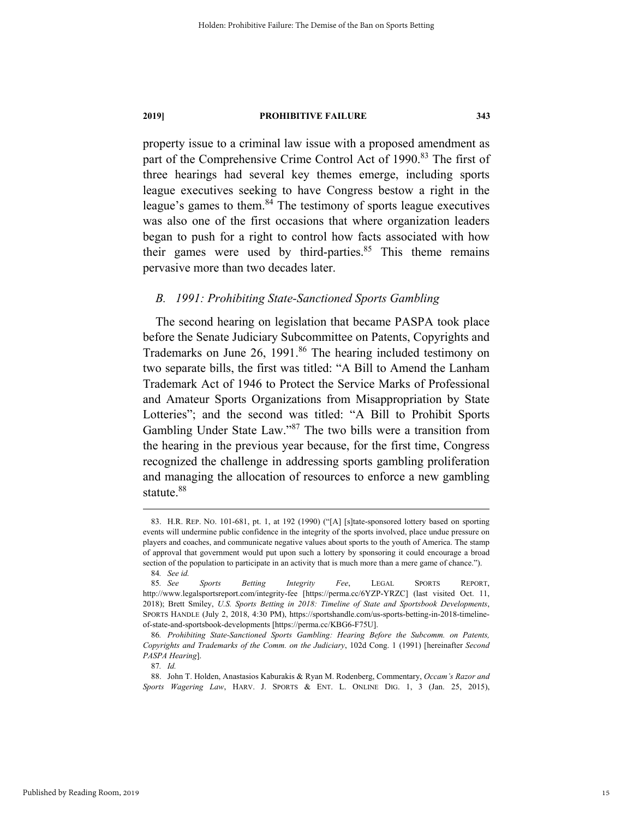property issue to a criminal law issue with a proposed amendment as part of the Comprehensive Crime Control Act of 1990.<sup>83</sup> The first of three hearings had several key themes emerge, including sports league executives seeking to have Congress bestow a right in the league's games to them.<sup>84</sup> The testimony of sports league executives was also one of the first occasions that where organization leaders began to push for a right to control how facts associated with how their games were used by third-parties. $85$  This theme remains pervasive more than two decades later.

### *B. 1991: Prohibiting State-Sanctioned Sports Gambling*

The second hearing on legislation that became PASPA took place before the Senate Judiciary Subcommittee on Patents, Copyrights and Trademarks on June 26, 1991.<sup>86</sup> The hearing included testimony on two separate bills, the first was titled: "A Bill to Amend the Lanham Trademark Act of 1946 to Protect the Service Marks of Professional and Amateur Sports Organizations from Misappropriation by State Lotteries"; and the second was titled: "A Bill to Prohibit Sports Gambling Under State Law."87 The two bills were a transition from the hearing in the previous year because, for the first time, Congress recognized the challenge in addressing sports gambling proliferation and managing the allocation of resources to enforce a new gambling statute.<sup>88</sup>

 <sup>83.</sup> H.R. REP. NO. 101-681, pt. 1, at 192 (1990) ("[A] [s]tate-sponsored lottery based on sporting events will undermine public confidence in the integrity of the sports involved, place undue pressure on players and coaches, and communicate negative values about sports to the youth of America. The stamp of approval that government would put upon such a lottery by sponsoring it could encourage a broad section of the population to participate in an activity that is much more than a mere game of chance.").

<sup>84</sup>*. See id.*

<sup>85</sup>*. See Sports Betting Integrity Fee*, LEGAL SPORTS REPORT, http://www.legalsportsreport.com/integrity-fee [https://perma.cc/6YZP-YRZC] (last visited Oct. 11, 2018); Brett Smiley, *U.S. Sports Betting in 2018: Timeline of State and Sportsbook Developments*, SPORTS HANDLE (July 2, 2018, 4:30 PM), https://sportshandle.com/us-sports-betting-in-2018-timelineof-state-and-sportsbook-developments [https://perma.cc/KBG6-F75U].

<sup>86</sup>*. Prohibiting State-Sanctioned Sports Gambling: Hearing Before the Subcomm. on Patents, Copyrights and Trademarks of the Comm. on the Judiciary*, 102d Cong. 1 (1991) [hereinafter *Second PASPA Hearing*].

<sup>87</sup>*. Id.*

 <sup>88.</sup> John T. Holden, Anastasios Kaburakis & Ryan M. Rodenberg, Commentary, *Occam's Razor and Sports Wagering Law*, HARV. J. SPORTS & ENT. L. ONLINE DIG. 1, 3 (Jan. 25, 2015),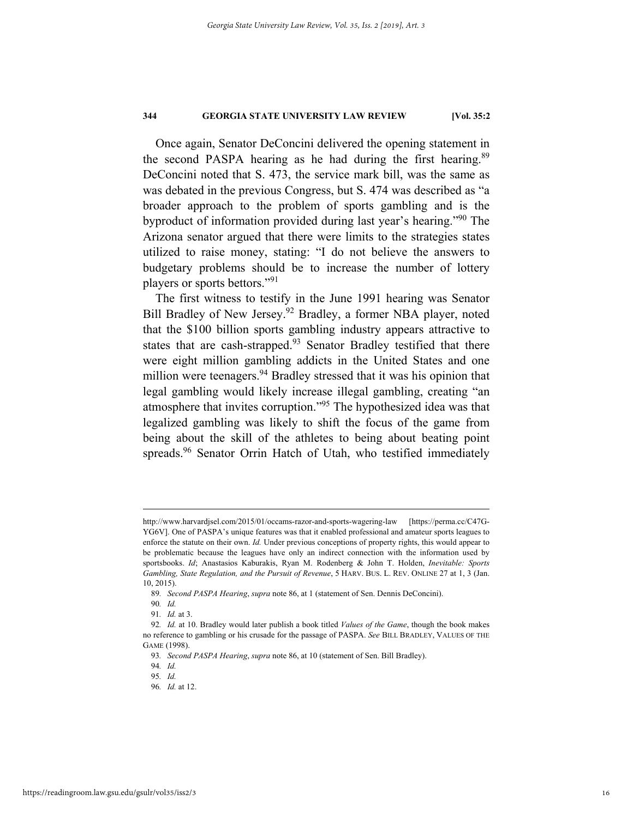Once again, Senator DeConcini delivered the opening statement in the second PASPA hearing as he had during the first hearing.<sup>89</sup> DeConcini noted that S. 473, the service mark bill, was the same as was debated in the previous Congress, but S. 474 was described as "a broader approach to the problem of sports gambling and is the byproduct of information provided during last year's hearing."90 The Arizona senator argued that there were limits to the strategies states utilized to raise money, stating: "I do not believe the answers to budgetary problems should be to increase the number of lottery players or sports bettors."<sup>91</sup>

The first witness to testify in the June 1991 hearing was Senator Bill Bradley of New Jersey.<sup>92</sup> Bradley, a former NBA player, noted that the \$100 billion sports gambling industry appears attractive to states that are cash-strapped. $93$  Senator Bradley testified that there were eight million gambling addicts in the United States and one million were teenagers.<sup>94</sup> Bradley stressed that it was his opinion that legal gambling would likely increase illegal gambling, creating "an atmosphere that invites corruption."95 The hypothesized idea was that legalized gambling was likely to shift the focus of the game from being about the skill of the athletes to being about beating point spreads.<sup>96</sup> Senator Orrin Hatch of Utah, who testified immediately

http://www.harvardjsel.com/2015/01/occams-razor-and-sports-wagering-law [https://perma.cc/C47G-YG6V]. One of PASPA's unique features was that it enabled professional and amateur sports leagues to enforce the statute on their own. *Id.* Under previous conceptions of property rights, this would appear to be problematic because the leagues have only an indirect connection with the information used by sportsbooks. *Id*; Anastasios Kaburakis, Ryan M. Rodenberg & John T. Holden, *Inevitable: Sports Gambling, State Regulation, and the Pursuit of Revenue*, 5 HARV. BUS. L. REV. ONLINE 27 at 1, 3 (Jan. 10, 2015).

<sup>89</sup>*. Second PASPA Hearing*, *supra* note 86, at 1 (statement of Sen. Dennis DeConcini).

<sup>90</sup>*. Id.*

<sup>91</sup>*. Id.* at 3.

<sup>92</sup>*. Id.* at 10. Bradley would later publish a book titled *Values of the Game*, though the book makes no reference to gambling or his crusade for the passage of PASPA. *See* BILL BRADLEY, VALUES OF THE GAME (1998).

<sup>93</sup>*. Second PASPA Hearing*, *supra* note 86, at 10 (statement of Sen. Bill Bradley).

<sup>94</sup>*. Id.*

<sup>95</sup>*. Id.*

<sup>96</sup>*. Id.* at 12.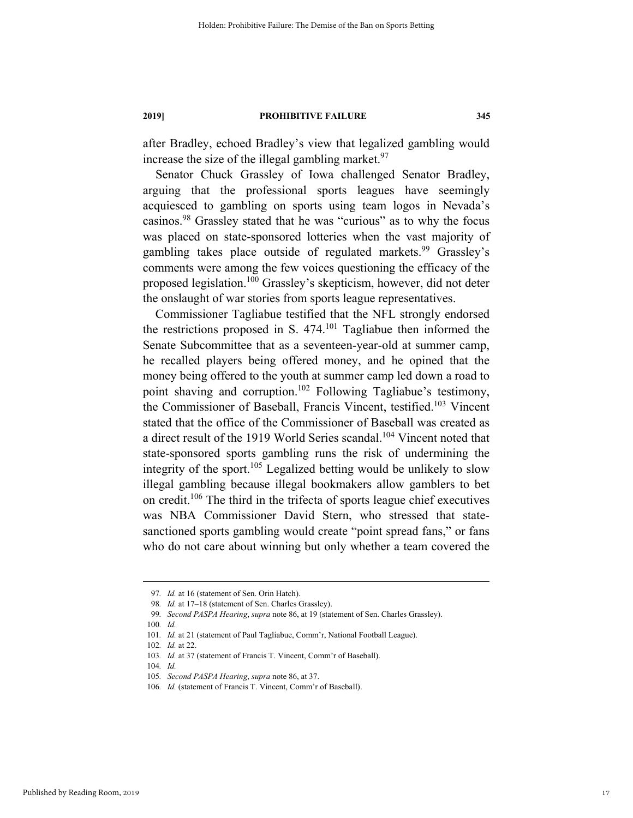after Bradley, echoed Bradley's view that legalized gambling would increase the size of the illegal gambling market.  $97$ 

Senator Chuck Grassley of Iowa challenged Senator Bradley, arguing that the professional sports leagues have seemingly acquiesced to gambling on sports using team logos in Nevada's casinos.98 Grassley stated that he was "curious" as to why the focus was placed on state-sponsored lotteries when the vast majority of gambling takes place outside of regulated markets.<sup>99</sup> Grassley's comments were among the few voices questioning the efficacy of the proposed legislation.100 Grassley's skepticism, however, did not deter the onslaught of war stories from sports league representatives.

Commissioner Tagliabue testified that the NFL strongly endorsed the restrictions proposed in S. 474.101 Tagliabue then informed the Senate Subcommittee that as a seventeen-year-old at summer camp, he recalled players being offered money, and he opined that the money being offered to the youth at summer camp led down a road to point shaving and corruption.<sup>102</sup> Following Tagliabue's testimony, the Commissioner of Baseball, Francis Vincent, testified.<sup>103</sup> Vincent stated that the office of the Commissioner of Baseball was created as a direct result of the 1919 World Series scandal.<sup>104</sup> Vincent noted that state-sponsored sports gambling runs the risk of undermining the integrity of the sport.<sup>105</sup> Legalized betting would be unlikely to slow illegal gambling because illegal bookmakers allow gamblers to bet on credit.106 The third in the trifecta of sports league chief executives was NBA Commissioner David Stern, who stressed that statesanctioned sports gambling would create "point spread fans," or fans who do not care about winning but only whether a team covered the

Published by Reading Room, 2019

 <sup>97</sup>*. Id.* at 16 (statement of Sen. Orin Hatch).

<sup>98</sup>*. Id.* at 17–18 (statement of Sen. Charles Grassley).

<sup>99</sup>*. Second PASPA Hearing*, *supra* note 86, at 19 (statement of Sen. Charles Grassley).

<sup>100</sup>*. Id.*

<sup>101.</sup> Id. at 21 (statement of Paul Tagliabue, Comm'r, National Football League).

<sup>102</sup>*. Id.* at 22.

<sup>103</sup>*. Id.* at 37 (statement of Francis T. Vincent, Comm'r of Baseball).

<sup>104</sup>*. Id.*

<sup>105</sup>*. Second PASPA Hearing*, *supra* note 86, at 37.

<sup>106</sup>*. Id.* (statement of Francis T. Vincent, Comm'r of Baseball).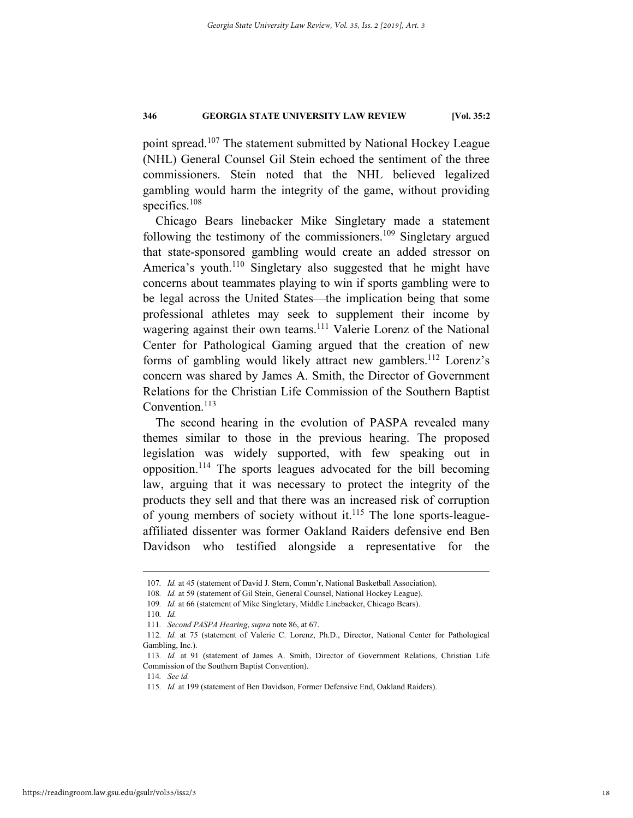point spread.<sup>107</sup> The statement submitted by National Hockey League (NHL) General Counsel Gil Stein echoed the sentiment of the three commissioners. Stein noted that the NHL believed legalized gambling would harm the integrity of the game, without providing specifics.<sup>108</sup>

Chicago Bears linebacker Mike Singletary made a statement following the testimony of the commissioners.<sup>109</sup> Singletary argued that state-sponsored gambling would create an added stressor on America's youth.<sup>110</sup> Singletary also suggested that he might have concerns about teammates playing to win if sports gambling were to be legal across the United States—the implication being that some professional athletes may seek to supplement their income by wagering against their own teams.<sup>111</sup> Valerie Lorenz of the National Center for Pathological Gaming argued that the creation of new forms of gambling would likely attract new gamblers.<sup>112</sup> Lorenz's concern was shared by James A. Smith, the Director of Government Relations for the Christian Life Commission of the Southern Baptist Convention.<sup>113</sup>

The second hearing in the evolution of PASPA revealed many themes similar to those in the previous hearing. The proposed legislation was widely supported, with few speaking out in opposition.114 The sports leagues advocated for the bill becoming law, arguing that it was necessary to protect the integrity of the products they sell and that there was an increased risk of corruption of young members of society without it.<sup>115</sup> The lone sports-leagueaffiliated dissenter was former Oakland Raiders defensive end Ben Davidson who testified alongside a representative for the

 <sup>107</sup>*. Id.* at 45 (statement of David J. Stern, Comm'r, National Basketball Association).

<sup>108</sup>*. Id.* at 59 (statement of Gil Stein, General Counsel, National Hockey League).

<sup>109</sup>*. Id.* at 66 (statement of Mike Singletary, Middle Linebacker, Chicago Bears).

<sup>110</sup>*. Id.*

<sup>111</sup>*. Second PASPA Hearing*, *supra* note 86, at 67.

<sup>112</sup>*. Id.* at 75 (statement of Valerie C. Lorenz, Ph.D., Director, National Center for Pathological Gambling, Inc.).

<sup>113</sup>*. Id.* at 91 (statement of James A. Smith, Director of Government Relations, Christian Life Commission of the Southern Baptist Convention).

<sup>114</sup>*. See id.*

<sup>115</sup>*. Id.* at 199 (statement of Ben Davidson, Former Defensive End, Oakland Raiders).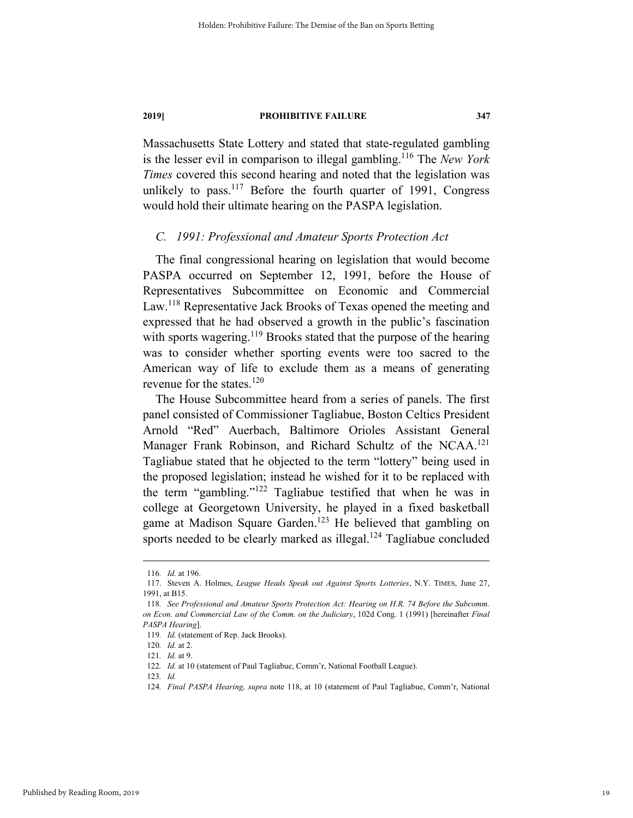Massachusetts State Lottery and stated that state-regulated gambling is the lesser evil in comparison to illegal gambling.116 The *New York Times* covered this second hearing and noted that the legislation was unlikely to pass.<sup>117</sup> Before the fourth quarter of 1991, Congress would hold their ultimate hearing on the PASPA legislation.

#### *C. 1991: Professional and Amateur Sports Protection Act*

The final congressional hearing on legislation that would become PASPA occurred on September 12, 1991, before the House of Representatives Subcommittee on Economic and Commercial Law.<sup>118</sup> Representative Jack Brooks of Texas opened the meeting and expressed that he had observed a growth in the public's fascination with sports wagering.<sup>119</sup> Brooks stated that the purpose of the hearing was to consider whether sporting events were too sacred to the American way of life to exclude them as a means of generating revenue for the states. $120$ 

The House Subcommittee heard from a series of panels. The first panel consisted of Commissioner Tagliabue, Boston Celtics President Arnold "Red" Auerbach, Baltimore Orioles Assistant General Manager Frank Robinson, and Richard Schultz of the NCAA.<sup>121</sup> Tagliabue stated that he objected to the term "lottery" being used in the proposed legislation; instead he wished for it to be replaced with the term "gambling."122 Tagliabue testified that when he was in college at Georgetown University, he played in a fixed basketball game at Madison Square Garden.<sup>123</sup> He believed that gambling on sports needed to be clearly marked as illegal.<sup>124</sup> Tagliabue concluded

 <sup>116</sup>*. Id.* at 196.

 <sup>117.</sup> Steven A. Holmes, *League Heads Speak out Against Sports Lotteries*, N.Y. TIMES, June 27, 1991, at B15.

<sup>118</sup>*. See Professional and Amateur Sports Protection Act: Hearing on H.R. 74 Before the Subcomm. on Econ. and Commercial Law of the Comm. on the Judiciary*, 102d Cong. 1 (1991) [hereinafter *Final PASPA Hearing*].

<sup>119</sup>*. Id.* (statement of Rep. Jack Brooks).

<sup>120</sup>*. Id.* at 2.

<sup>121</sup>*. Id.* at 9.

<sup>122</sup>*. Id.* at 10 (statement of Paul Tagliabue, Comm'r, National Football League).

<sup>123</sup>*. Id.*

<sup>124</sup>*. Final PASPA Hearing, supra* note 118, at 10 (statement of Paul Tagliabue, Comm'r, National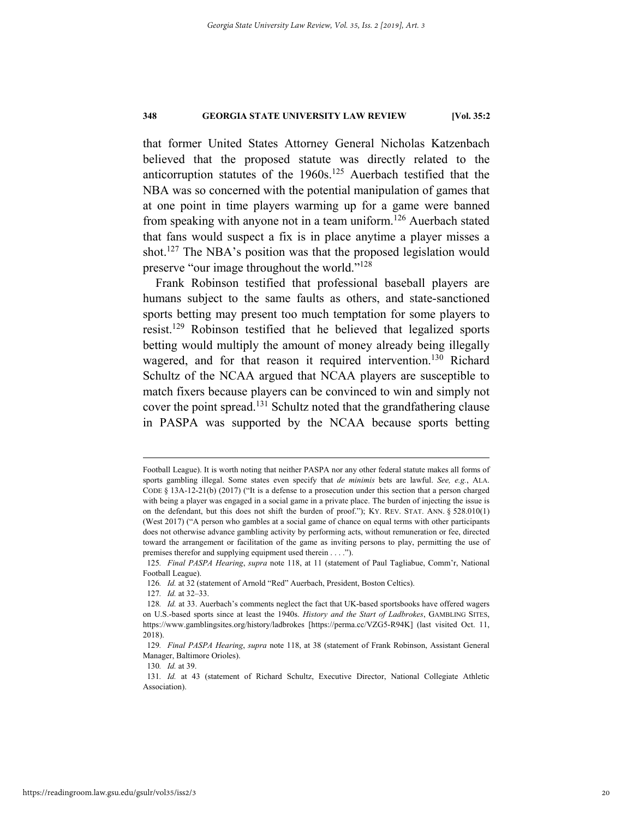that former United States Attorney General Nicholas Katzenbach believed that the proposed statute was directly related to the anticorruption statutes of the  $1960s$ .<sup>125</sup> Auerbach testified that the NBA was so concerned with the potential manipulation of games that at one point in time players warming up for a game were banned from speaking with anyone not in a team uniform.<sup>126</sup> Auerbach stated that fans would suspect a fix is in place anytime a player misses a shot.<sup>127</sup> The NBA's position was that the proposed legislation would preserve "our image throughout the world."128

Frank Robinson testified that professional baseball players are humans subject to the same faults as others, and state-sanctioned sports betting may present too much temptation for some players to resist.129 Robinson testified that he believed that legalized sports betting would multiply the amount of money already being illegally wagered, and for that reason it required intervention.<sup>130</sup> Richard Schultz of the NCAA argued that NCAA players are susceptible to match fixers because players can be convinced to win and simply not cover the point spread.131 Schultz noted that the grandfathering clause in PASPA was supported by the NCAA because sports betting

Football League). It is worth noting that neither PASPA nor any other federal statute makes all forms of sports gambling illegal. Some states even specify that *de minimis* bets are lawful. *See, e.g.*, ALA. CODE § 13A-12-21(b) (2017) ("It is a defense to a prosecution under this section that a person charged with being a player was engaged in a social game in a private place. The burden of injecting the issue is on the defendant, but this does not shift the burden of proof."); KY. REV. STAT. ANN. § 528.010(1) (West 2017) ("A person who gambles at a social game of chance on equal terms with other participants does not otherwise advance gambling activity by performing acts, without remuneration or fee, directed toward the arrangement or facilitation of the game as inviting persons to play, permitting the use of premises therefor and supplying equipment used therein . . . .").

<sup>125</sup>*. Final PASPA Hearing*, *supra* note 118, at 11 (statement of Paul Tagliabue, Comm'r, National Football League).

<sup>126</sup>*. Id.* at 32 (statement of Arnold "Red" Auerbach, President, Boston Celtics).

<sup>127</sup>*. Id.* at 32–33.

<sup>128</sup>*. Id.* at 33. Auerbach's comments neglect the fact that UK-based sportsbooks have offered wagers on U.S.-based sports since at least the 1940s. *History and the Start of Ladbrokes*, GAMBLING SITES, https://www.gamblingsites.org/history/ladbrokes [https://perma.cc/VZG5-R94K] (last visited Oct. 11, 2018).

<sup>129</sup>*. Final PASPA Hearing*, *supra* note 118, at 38 (statement of Frank Robinson, Assistant General Manager, Baltimore Orioles).

<sup>130</sup>*. Id.* at 39.

<sup>131</sup>*. Id.* at 43 (statement of Richard Schultz, Executive Director, National Collegiate Athletic Association).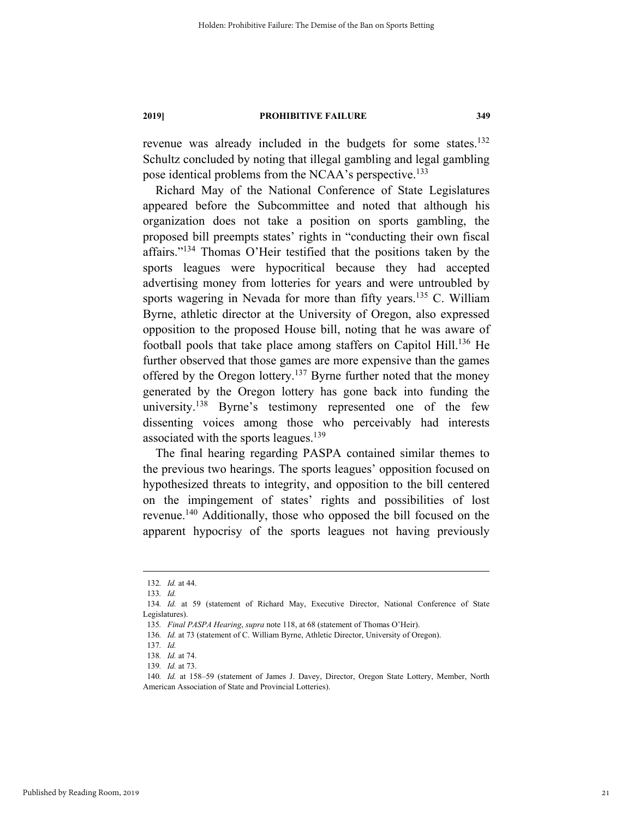revenue was already included in the budgets for some states.<sup>132</sup> Schultz concluded by noting that illegal gambling and legal gambling pose identical problems from the NCAA's perspective.<sup>133</sup>

Richard May of the National Conference of State Legislatures appeared before the Subcommittee and noted that although his organization does not take a position on sports gambling, the proposed bill preempts states' rights in "conducting their own fiscal affairs."134 Thomas O'Heir testified that the positions taken by the sports leagues were hypocritical because they had accepted advertising money from lotteries for years and were untroubled by sports wagering in Nevada for more than fifty years.<sup>135</sup> C. William Byrne, athletic director at the University of Oregon, also expressed opposition to the proposed House bill, noting that he was aware of football pools that take place among staffers on Capitol Hill.<sup>136</sup> He further observed that those games are more expensive than the games offered by the Oregon lottery.<sup>137</sup> Byrne further noted that the money generated by the Oregon lottery has gone back into funding the university.<sup>138</sup> Byrne's testimony represented one of the few dissenting voices among those who perceivably had interests associated with the sports leagues. $139$ 

The final hearing regarding PASPA contained similar themes to the previous two hearings. The sports leagues' opposition focused on hypothesized threats to integrity, and opposition to the bill centered on the impingement of states' rights and possibilities of lost revenue.140 Additionally, those who opposed the bill focused on the apparent hypocrisy of the sports leagues not having previously

 <sup>132</sup>*. Id.* at 44.

<sup>133</sup>*. Id.*

<sup>134</sup>*. Id.* at 59 (statement of Richard May, Executive Director, National Conference of State Legislatures).

<sup>135</sup>*. Final PASPA Hearing*, *supra* note 118, at 68 (statement of Thomas O'Heir).

<sup>136</sup>*. Id.* at 73 (statement of C. William Byrne, Athletic Director, University of Oregon).

<sup>137</sup>*. Id.*

<sup>138</sup>*. Id.* at 74.

<sup>139</sup>*. Id.* at 73.

<sup>140</sup>*. Id.* at 158–59 (statement of James J. Davey, Director, Oregon State Lottery, Member, North American Association of State and Provincial Lotteries).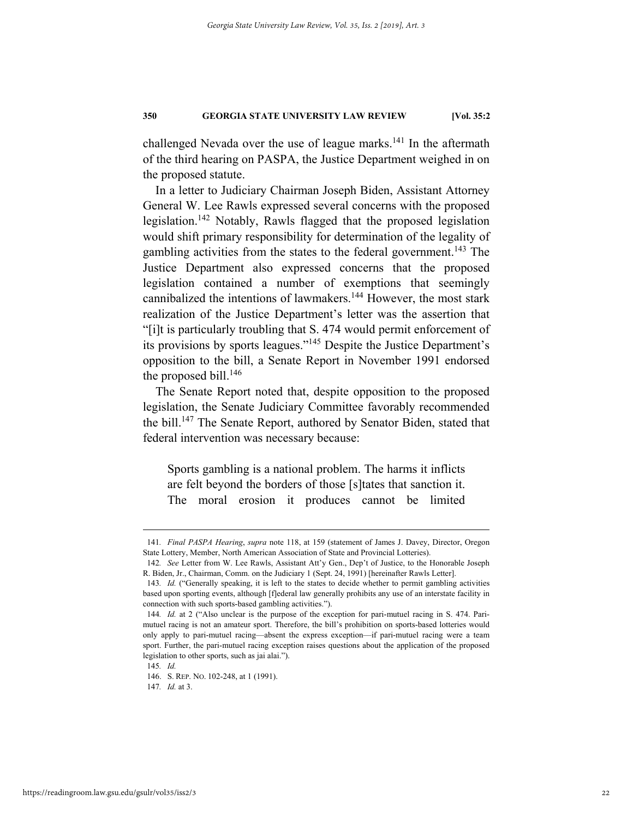challenged Nevada over the use of league marks. $141$  In the aftermath of the third hearing on PASPA, the Justice Department weighed in on the proposed statute.

In a letter to Judiciary Chairman Joseph Biden, Assistant Attorney General W. Lee Rawls expressed several concerns with the proposed legislation.<sup>142</sup> Notably, Rawls flagged that the proposed legislation would shift primary responsibility for determination of the legality of gambling activities from the states to the federal government.<sup>143</sup> The Justice Department also expressed concerns that the proposed legislation contained a number of exemptions that seemingly cannibalized the intentions of lawmakers.<sup>144</sup> However, the most stark realization of the Justice Department's letter was the assertion that "[i]t is particularly troubling that S. 474 would permit enforcement of its provisions by sports leagues."145 Despite the Justice Department's opposition to the bill, a Senate Report in November 1991 endorsed the proposed bill. $146$ 

The Senate Report noted that, despite opposition to the proposed legislation, the Senate Judiciary Committee favorably recommended the bill.<sup>147</sup> The Senate Report, authored by Senator Biden, stated that federal intervention was necessary because:

Sports gambling is a national problem. The harms it inflicts are felt beyond the borders of those [s]tates that sanction it. The moral erosion it produces cannot be limited

 <sup>141</sup>*. Final PASPA Hearing*, *supra* note 118, at 159 (statement of James J. Davey, Director, Oregon State Lottery, Member, North American Association of State and Provincial Lotteries).

<sup>142</sup>*. See* Letter from W. Lee Rawls, Assistant Att'y Gen., Dep't of Justice, to the Honorable Joseph R. Biden, Jr., Chairman, Comm. on the Judiciary 1 (Sept. 24, 1991) [hereinafter Rawls Letter].

<sup>143</sup>*. Id.* ("Generally speaking, it is left to the states to decide whether to permit gambling activities based upon sporting events, although [f]ederal law generally prohibits any use of an interstate facility in connection with such sports-based gambling activities.").

<sup>144</sup>*. Id.* at 2 ("Also unclear is the purpose of the exception for pari-mutuel racing in S. 474. Parimutuel racing is not an amateur sport. Therefore, the bill's prohibition on sports-based lotteries would only apply to pari-mutuel racing—absent the express exception—if pari-mutuel racing were a team sport. Further, the pari-mutuel racing exception raises questions about the application of the proposed legislation to other sports, such as jai alai.").

<sup>145</sup>*. Id.*

 <sup>146.</sup> S. REP. NO. 102-248, at 1 (1991).

<sup>147</sup>*. Id.* at 3.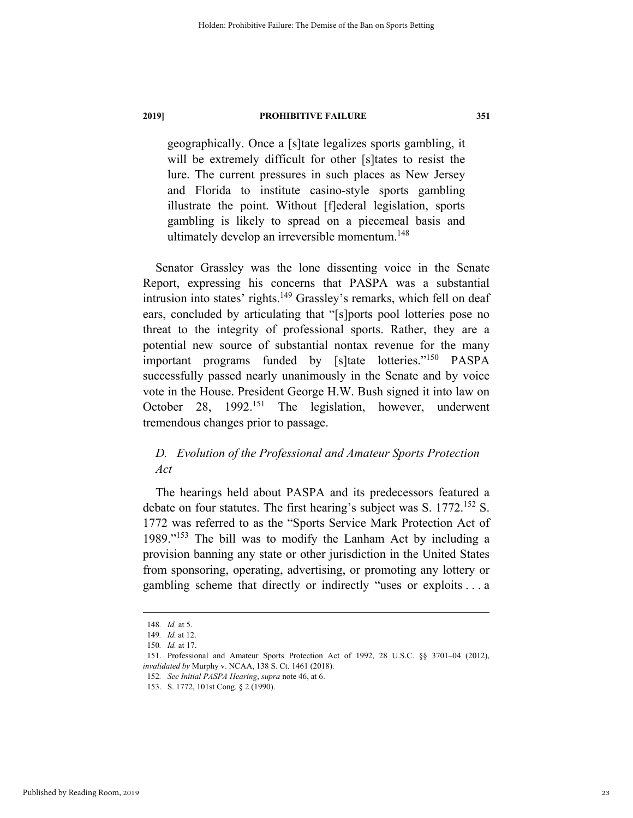geographically. Once a [s]tate legalizes sports gambling, it will be extremely difficult for other [s]tates to resist the lure. The current pressures in such places as New Jersey and Florida to institute casino-style sports gambling illustrate the point. Without [f]ederal legislation, sports gambling is likely to spread on a piecemeal basis and ultimately develop an irreversible momentum.<sup>148</sup>

Senator Grassley was the lone dissenting voice in the Senate Report, expressing his concerns that PASPA was a substantial intrusion into states' rights. $149$  Grassley's remarks, which fell on deaf ears, concluded by articulating that "[s]ports pool lotteries pose no threat to the integrity of professional sports. Rather, they are a potential new source of substantial nontax revenue for the many important programs funded by [s]tate lotteries."150 PASPA successfully passed nearly unanimously in the Senate and by voice vote in the House. President George H.W. Bush signed it into law on October 28, 1992.<sup>151</sup> The legislation, however, underwent tremendous changes prior to passage.

# *D. Evolution of the Professional and Amateur Sports Protection Act*

The hearings held about PASPA and its predecessors featured a debate on four statutes. The first hearing's subject was S. 1772.<sup>152</sup> S. 1772 was referred to as the "Sports Service Mark Protection Act of 1989."<sup>153</sup> The bill was to modify the Lanham Act by including a provision banning any state or other jurisdiction in the United States from sponsoring, operating, advertising, or promoting any lottery or gambling scheme that directly or indirectly "uses or exploits . . . a

 <sup>148</sup>*. Id.* at 5.

<sup>149</sup>*. Id.* at 12.

<sup>150</sup>*. Id.* at 17.

 <sup>151.</sup> Professional and Amateur Sports Protection Act of 1992, 28 U.S.C. §§ 3701–04 (2012), *invalidated by* Murphy v. NCAA, 138 S. Ct. 1461 (2018).

<sup>152</sup>*. See Initial PASPA Hearing*, *supra* note 46, at 6.

 <sup>153.</sup> S. 1772, 101st Cong. § 2 (1990).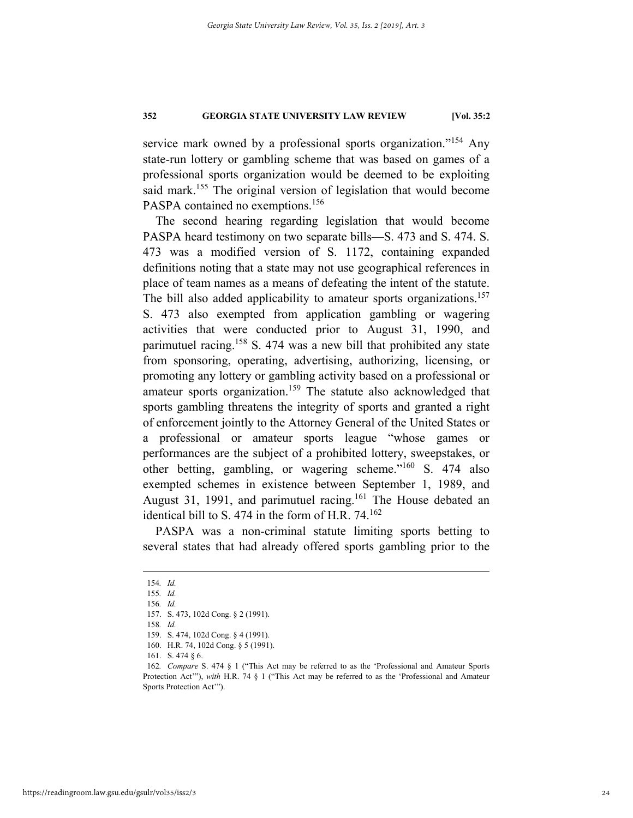service mark owned by a professional sports organization."<sup>154</sup> Any state-run lottery or gambling scheme that was based on games of a professional sports organization would be deemed to be exploiting said mark.<sup>155</sup> The original version of legislation that would become PASPA contained no exemptions.<sup>156</sup>

The second hearing regarding legislation that would become PASPA heard testimony on two separate bills—S. 473 and S. 474. S. 473 was a modified version of S. 1172, containing expanded definitions noting that a state may not use geographical references in place of team names as a means of defeating the intent of the statute. The bill also added applicability to amateur sports organizations.<sup>157</sup> S. 473 also exempted from application gambling or wagering activities that were conducted prior to August 31, 1990, and parimutuel racing.<sup>158</sup> S. 474 was a new bill that prohibited any state from sponsoring, operating, advertising, authorizing, licensing, or promoting any lottery or gambling activity based on a professional or amateur sports organization.<sup>159</sup> The statute also acknowledged that sports gambling threatens the integrity of sports and granted a right of enforcement jointly to the Attorney General of the United States or a professional or amateur sports league "whose games or performances are the subject of a prohibited lottery, sweepstakes, or other betting, gambling, or wagering scheme."160 S. 474 also exempted schemes in existence between September 1, 1989, and August 31, 1991, and parimutuel racing.<sup>161</sup> The House debated an identical bill to S. 474 in the form of H.R.  $74.^{162}$ 

PASPA was a non-criminal statute limiting sports betting to several states that had already offered sports gambling prior to the

 <sup>154</sup>*. Id.*

<sup>155</sup>*. Id.*

<sup>156</sup>*. Id.*

 <sup>157.</sup> S. 473, 102d Cong. § 2 (1991).

<sup>158</sup>*. Id.*

 <sup>159.</sup> S. 474, 102d Cong. § 4 (1991).

 <sup>160.</sup> H.R. 74, 102d Cong. § 5 (1991).

 <sup>161.</sup> S. 474 § 6.

<sup>162</sup>*. Compare* S. 474 § 1 ("This Act may be referred to as the 'Professional and Amateur Sports Protection Act'"), *with* H.R. 74 § 1 ("This Act may be referred to as the 'Professional and Amateur Sports Protection Act'").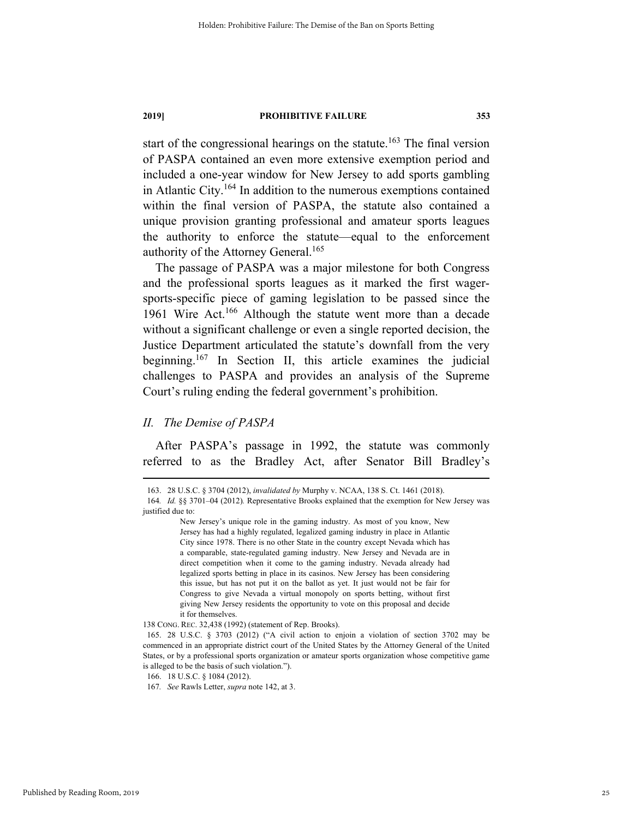start of the congressional hearings on the statute.<sup>163</sup> The final version of PASPA contained an even more extensive exemption period and included a one-year window for New Jersey to add sports gambling in Atlantic City.<sup>164</sup> In addition to the numerous exemptions contained within the final version of PASPA, the statute also contained a unique provision granting professional and amateur sports leagues the authority to enforce the statute—equal to the enforcement authority of the Attorney General.<sup>165</sup>

The passage of PASPA was a major milestone for both Congress and the professional sports leagues as it marked the first wagersports-specific piece of gaming legislation to be passed since the 1961 Wire Act.<sup>166</sup> Although the statute went more than a decade without a significant challenge or even a single reported decision, the Justice Department articulated the statute's downfall from the very beginning.<sup>167</sup> In Section II, this article examines the judicial challenges to PASPA and provides an analysis of the Supreme Court's ruling ending the federal government's prohibition.

### *II. The Demise of PASPA*

After PASPA's passage in 1992, the statute was commonly referred to as the Bradley Act, after Senator Bill Bradley's

 <sup>163. 28</sup> U.S.C. § 3704 (2012), *invalidated by* Murphy v. NCAA, 138 S. Ct. 1461 (2018).

<sup>164</sup>*. Id.* §§ 3701–04 (2012)*.* Representative Brooks explained that the exemption for New Jersey was justified due to:

New Jersey's unique role in the gaming industry. As most of you know, New Jersey has had a highly regulated, legalized gaming industry in place in Atlantic City since 1978. There is no other State in the country except Nevada which has a comparable, state-regulated gaming industry. New Jersey and Nevada are in direct competition when it come to the gaming industry. Nevada already had legalized sports betting in place in its casinos. New Jersey has been considering this issue, but has not put it on the ballot as yet. It just would not be fair for Congress to give Nevada a virtual monopoly on sports betting, without first giving New Jersey residents the opportunity to vote on this proposal and decide it for themselves.

<sup>138</sup> CONG. REC. 32,438 (1992) (statement of Rep. Brooks).

 <sup>165. 28</sup> U.S.C. § 3703 (2012) ("A civil action to enjoin a violation of section 3702 may be commenced in an appropriate district court of the United States by the Attorney General of the United States, or by a professional sports organization or amateur sports organization whose competitive game is alleged to be the basis of such violation.").

 <sup>166. 18</sup> U.S.C. § 1084 (2012).

<sup>167</sup>*. See* Rawls Letter, *supra* note 142, at 3.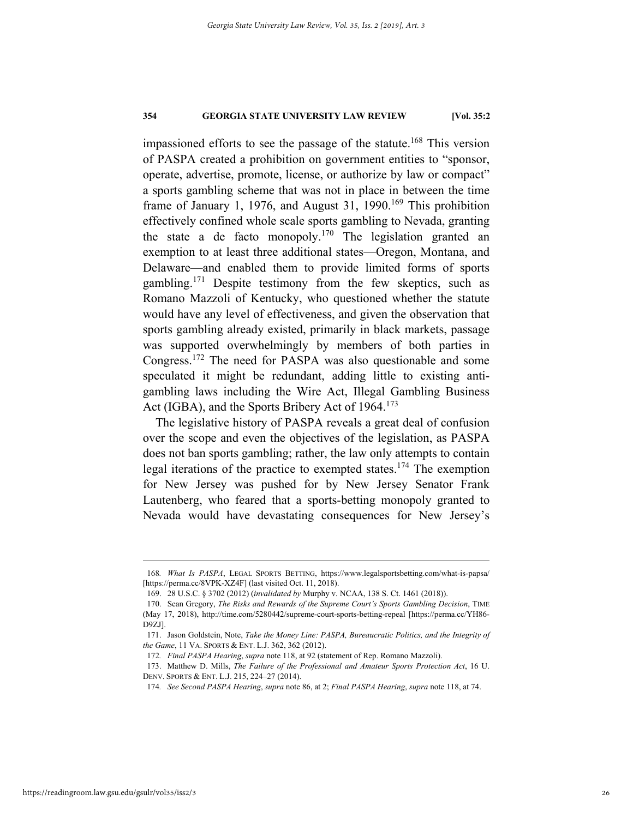impassioned efforts to see the passage of the statute.<sup>168</sup> This version of PASPA created a prohibition on government entities to "sponsor, operate, advertise, promote, license, or authorize by law or compact" a sports gambling scheme that was not in place in between the time frame of January 1, 1976, and August 31, 1990.<sup>169</sup> This prohibition effectively confined whole scale sports gambling to Nevada, granting the state a de facto monopoly.<sup>170</sup> The legislation granted an exemption to at least three additional states—Oregon, Montana, and Delaware—and enabled them to provide limited forms of sports gambling.<sup>171</sup> Despite testimony from the few skeptics, such as Romano Mazzoli of Kentucky, who questioned whether the statute would have any level of effectiveness, and given the observation that sports gambling already existed, primarily in black markets, passage was supported overwhelmingly by members of both parties in Congress.172 The need for PASPA was also questionable and some speculated it might be redundant, adding little to existing antigambling laws including the Wire Act, Illegal Gambling Business Act (IGBA), and the Sports Bribery Act of 1964.<sup>173</sup>

The legislative history of PASPA reveals a great deal of confusion over the scope and even the objectives of the legislation, as PASPA does not ban sports gambling; rather, the law only attempts to contain legal iterations of the practice to exempted states.174 The exemption for New Jersey was pushed for by New Jersey Senator Frank Lautenberg, who feared that a sports-betting monopoly granted to Nevada would have devastating consequences for New Jersey's

 <sup>168</sup>*. What Is PASPA*, LEGAL SPORTS BETTING, https://www.legalsportsbetting.com/what-is-papsa/ [https://perma.cc/8VPK-XZ4F] (last visited Oct. 11, 2018).

 <sup>169. 28</sup> U.S.C. § 3702 (2012) (*invalidated by* Murphy v. NCAA, 138 S. Ct. 1461 (2018)).

 <sup>170.</sup> Sean Gregory, *The Risks and Rewards of the Supreme Court's Sports Gambling Decision*, TIME (May 17, 2018), http://time.com/5280442/supreme-court-sports-betting-repeal [https://perma.cc/YH86- D9ZJ].

 <sup>171.</sup> Jason Goldstein, Note, *Take the Money Line: PASPA, Bureaucratic Politics, and the Integrity of the Game*, 11 VA. SPORTS & ENT. L.J. 362, 362 (2012).

<sup>172</sup>*. Final PASPA Hearing*, *supra* note 118, at 92 (statement of Rep. Romano Mazzoli).

 <sup>173.</sup> Matthew D. Mills, *The Failure of the Professional and Amateur Sports Protection Act*, 16 U. DENV. SPORTS & ENT. L.J. 215, 224–27 (2014).

<sup>174</sup>*. See Second PASPA Hearing*, *supra* note 86, at 2; *Final PASPA Hearing*, *supra* note 118, at 74.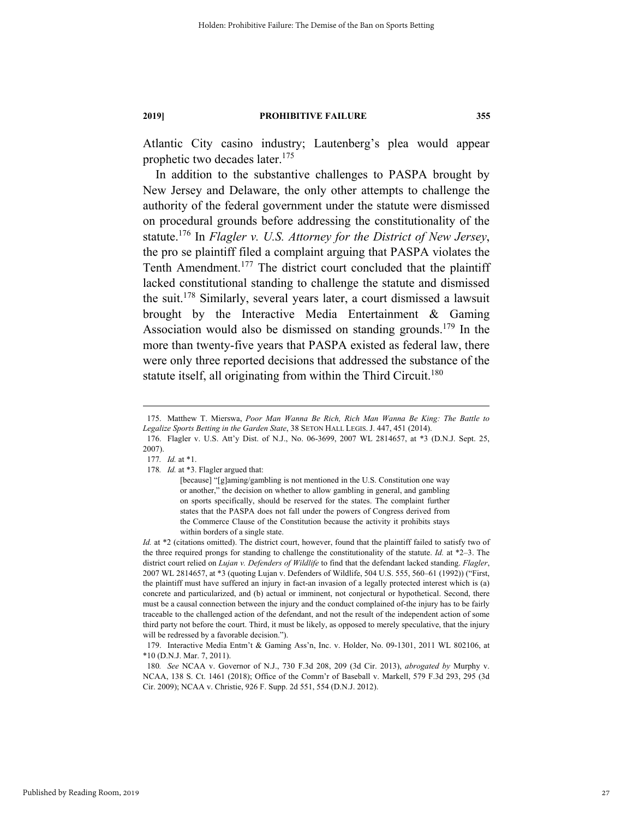Atlantic City casino industry; Lautenberg's plea would appear prophetic two decades later.<sup>175</sup>

In addition to the substantive challenges to PASPA brought by New Jersey and Delaware, the only other attempts to challenge the authority of the federal government under the statute were dismissed on procedural grounds before addressing the constitutionality of the statute.176 In *Flagler v. U.S. Attorney for the District of New Jersey*, the pro se plaintiff filed a complaint arguing that PASPA violates the Tenth Amendment.<sup>177</sup> The district court concluded that the plaintiff lacked constitutional standing to challenge the statute and dismissed the suit.178 Similarly, several years later, a court dismissed a lawsuit brought by the Interactive Media Entertainment & Gaming Association would also be dismissed on standing grounds.179 In the more than twenty-five years that PASPA existed as federal law, there were only three reported decisions that addressed the substance of the statute itself, all originating from within the Third Circuit.<sup>180</sup>

177*. Id.* at \*1.

 <sup>175.</sup> Matthew T. Mierswa, *Poor Man Wanna Be Rich, Rich Man Wanna Be King: The Battle to Legalize Sports Betting in the Garden State*, 38 SETON HALL LEGIS. J. 447, 451 (2014).

 <sup>176.</sup> Flagler v. U.S. Att'y Dist. of N.J., No. 06-3699, 2007 WL 2814657, at \*3 (D.N.J. Sept. 25, 2007).

<sup>178</sup>*. Id.* at \*3. Flagler argued that:

<sup>[</sup>because] "[g]aming/gambling is not mentioned in the U.S. Constitution one way or another," the decision on whether to allow gambling in general, and gambling on sports specifically, should be reserved for the states. The complaint further states that the PASPA does not fall under the powers of Congress derived from the Commerce Clause of the Constitution because the activity it prohibits stays within borders of a single state.

*Id.* at \*2 (citations omitted). The district court, however, found that the plaintiff failed to satisfy two of the three required prongs for standing to challenge the constitutionality of the statute. *Id.* at \*2–3. The district court relied on *Lujan v. Defenders of Wildlife* to find that the defendant lacked standing. *Flagler*, 2007 WL 2814657, at \*3 (quoting Lujan v. Defenders of Wildlife, 504 U.S. 555, 560–61 (1992)) ("First, the plaintiff must have suffered an injury in fact-an invasion of a legally protected interest which is (a) concrete and particularized, and (b) actual or imminent, not conjectural or hypothetical. Second, there must be a causal connection between the injury and the conduct complained of-the injury has to be fairly traceable to the challenged action of the defendant, and not the result of the independent action of some third party not before the court. Third, it must be likely, as opposed to merely speculative, that the injury will be redressed by a favorable decision.").

 <sup>179.</sup> Interactive Media Entm't & Gaming Ass'n, Inc. v. Holder, No. 09-1301, 2011 WL 802106, at \*10 (D.N.J. Mar. 7, 2011).

<sup>180</sup>*. See* NCAA v. Governor of N.J., 730 F.3d 208, 209 (3d Cir. 2013), *abrogated by* Murphy v. NCAA, 138 S. Ct. 1461 (2018); Office of the Comm'r of Baseball v. Markell, 579 F.3d 293, 295 (3d Cir. 2009); NCAA v. Christie, 926 F. Supp. 2d 551, 554 (D.N.J. 2012).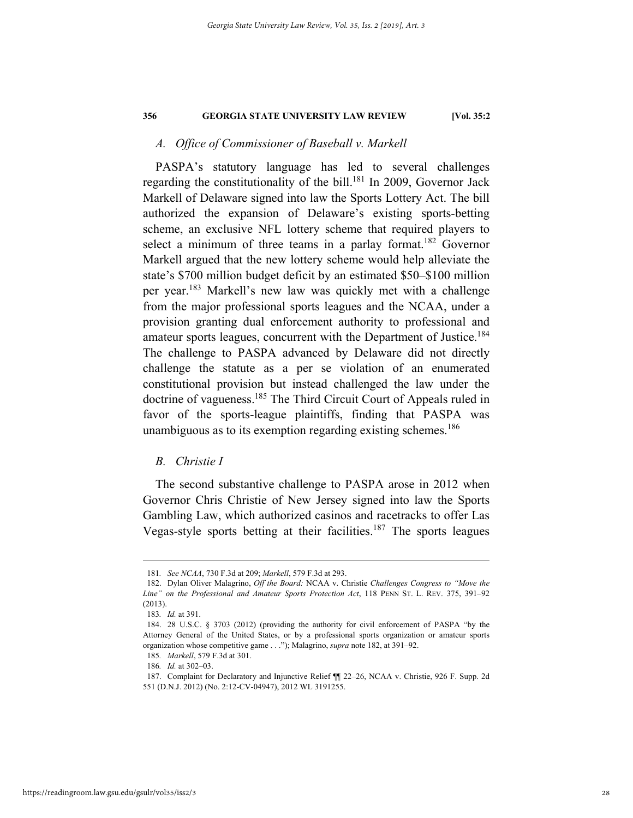# *A. Office of Commissioner of Baseball v. Markell*

PASPA's statutory language has led to several challenges regarding the constitutionality of the bill.<sup>181</sup> In 2009, Governor Jack Markell of Delaware signed into law the Sports Lottery Act. The bill authorized the expansion of Delaware's existing sports-betting scheme, an exclusive NFL lottery scheme that required players to select a minimum of three teams in a parlay format.<sup>182</sup> Governor Markell argued that the new lottery scheme would help alleviate the state's \$700 million budget deficit by an estimated \$50–\$100 million per year.183 Markell's new law was quickly met with a challenge from the major professional sports leagues and the NCAA, under a provision granting dual enforcement authority to professional and amateur sports leagues, concurrent with the Department of Justice.<sup>184</sup> The challenge to PASPA advanced by Delaware did not directly challenge the statute as a per se violation of an enumerated constitutional provision but instead challenged the law under the doctrine of vagueness.<sup>185</sup> The Third Circuit Court of Appeals ruled in favor of the sports-league plaintiffs, finding that PASPA was unambiguous as to its exemption regarding existing schemes.<sup>186</sup>

# *B. Christie I*

The second substantive challenge to PASPA arose in 2012 when Governor Chris Christie of New Jersey signed into law the Sports Gambling Law, which authorized casinos and racetracks to offer Las Vegas-style sports betting at their facilities.<sup>187</sup> The sports leagues

 <sup>181</sup>*. See NCAA*, 730 F.3d at 209; *Markell*, 579 F.3d at 293.

 <sup>182.</sup> Dylan Oliver Malagrino, *Off the Board:* NCAA v. Christie *Challenges Congress to "Move the Line" on the Professional and Amateur Sports Protection Act*, 118 PENN ST. L. REV. 375, 391–92 (2013).

<sup>183</sup>*. Id.* at 391.

 <sup>184. 28</sup> U.S.C. § 3703 (2012) (providing the authority for civil enforcement of PASPA "by the Attorney General of the United States, or by a professional sports organization or amateur sports organization whose competitive game . . ."); Malagrino, *supra* note 182, at 391–92.

<sup>185</sup>*. Markell*, 579 F.3d at 301.

<sup>186</sup>*. Id.* at 302–03.

 <sup>187.</sup> Complaint for Declaratory and Injunctive Relief ¶¶ 22–26, NCAA v. Christie, 926 F. Supp. 2d 551 (D.N.J. 2012) (No. 2:12-CV-04947), 2012 WL 3191255.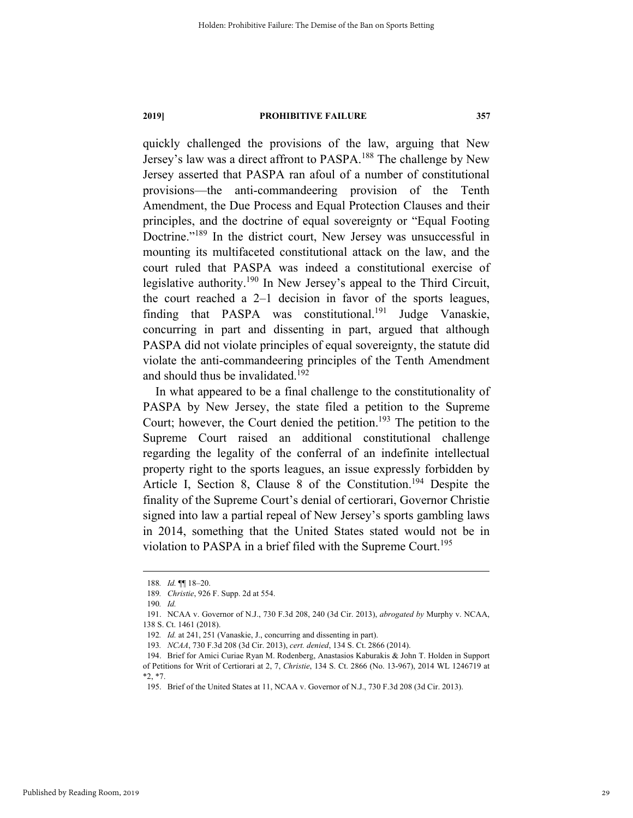quickly challenged the provisions of the law, arguing that New Jersey's law was a direct affront to PASPA.188 The challenge by New Jersey asserted that PASPA ran afoul of a number of constitutional provisions—the anti-commandeering provision of the Tenth Amendment, the Due Process and Equal Protection Clauses and their principles, and the doctrine of equal sovereignty or "Equal Footing Doctrine."<sup>189</sup> In the district court, New Jersey was unsuccessful in mounting its multifaceted constitutional attack on the law, and the court ruled that PASPA was indeed a constitutional exercise of legislative authority.<sup>190</sup> In New Jersey's appeal to the Third Circuit, the court reached a 2–1 decision in favor of the sports leagues, finding that PASPA was constitutional.<sup>191</sup> Judge Vanaskie, concurring in part and dissenting in part, argued that although PASPA did not violate principles of equal sovereignty, the statute did violate the anti-commandeering principles of the Tenth Amendment and should thus be invalidated.<sup>192</sup>

In what appeared to be a final challenge to the constitutionality of PASPA by New Jersey, the state filed a petition to the Supreme Court; however, the Court denied the petition.<sup>193</sup> The petition to the Supreme Court raised an additional constitutional challenge regarding the legality of the conferral of an indefinite intellectual property right to the sports leagues, an issue expressly forbidden by Article I, Section 8, Clause 8 of the Constitution.<sup>194</sup> Despite the finality of the Supreme Court's denial of certiorari, Governor Christie signed into law a partial repeal of New Jersey's sports gambling laws in 2014, something that the United States stated would not be in violation to PASPA in a brief filed with the Supreme Court.<sup>195</sup>

 <sup>188</sup>*. Id.* ¶¶ 18–20. 189*. Christie*, 926 F. Supp. 2d at 554.

<sup>190</sup>*. Id.* 

 <sup>191.</sup> NCAA v. Governor of N.J., 730 F.3d 208, 240 (3d Cir. 2013), *abrogated by* Murphy v. NCAA, 138 S. Ct. 1461 (2018).

<sup>192</sup>*. Id.* at 241, 251 (Vanaskie, J., concurring and dissenting in part).

<sup>193</sup>*. NCAA*, 730 F.3d 208 (3d Cir. 2013), *cert. denied*, 134 S. Ct. 2866 (2014).

 <sup>194.</sup> Brief for Amici Curiae Ryan M. Rodenberg, Anastasios Kaburakis & John T. Holden in Support of Petitions for Writ of Certiorari at 2, 7, *Christie*, 134 S. Ct. 2866 (No. 13-967), 2014 WL 1246719 at \*2, \*7.

 <sup>195.</sup> Brief of the United States at 11, NCAA v. Governor of N.J., 730 F.3d 208 (3d Cir. 2013).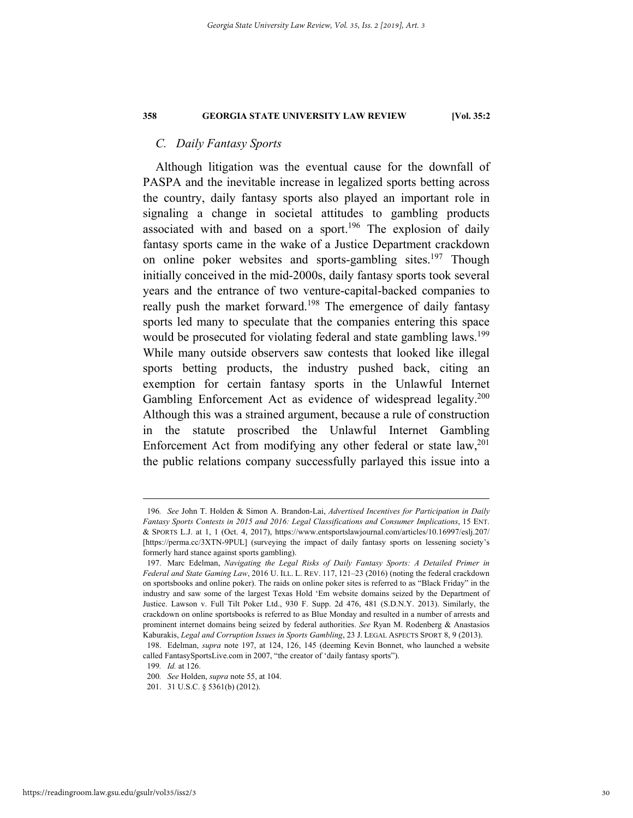# *C. Daily Fantasy Sports*

Although litigation was the eventual cause for the downfall of PASPA and the inevitable increase in legalized sports betting across the country, daily fantasy sports also played an important role in signaling a change in societal attitudes to gambling products associated with and based on a sport.<sup>196</sup> The explosion of daily fantasy sports came in the wake of a Justice Department crackdown on online poker websites and sports-gambling sites.<sup>197</sup> Though initially conceived in the mid-2000s, daily fantasy sports took several years and the entrance of two venture-capital-backed companies to really push the market forward.<sup>198</sup> The emergence of daily fantasy sports led many to speculate that the companies entering this space would be prosecuted for violating federal and state gambling laws.<sup>199</sup> While many outside observers saw contests that looked like illegal sports betting products, the industry pushed back, citing an exemption for certain fantasy sports in the Unlawful Internet Gambling Enforcement Act as evidence of widespread legality.<sup>200</sup> Although this was a strained argument, because a rule of construction in the statute proscribed the Unlawful Internet Gambling Enforcement Act from modifying any other federal or state  $law$ ,  $201$ the public relations company successfully parlayed this issue into a

 <sup>196</sup>*. See* John T. Holden & Simon A. Brandon-Lai, *Advertised Incentives for Participation in Daily Fantasy Sports Contests in 2015 and 2016: Legal Classifications and Consumer Implications*, 15 ENT. & SPORTS L.J. at 1, 1 (Oct. 4, 2017), https://www.entsportslawjournal.com/articles/10.16997/eslj.207/ [https://perma.cc/3XTN-9PUL] (surveying the impact of daily fantasy sports on lessening society's formerly hard stance against sports gambling).

 <sup>197.</sup> Marc Edelman, *Navigating the Legal Risks of Daily Fantasy Sports: A Detailed Primer in Federal and State Gaming Law*, 2016 U. ILL. L. REV. 117, 121–23 (2016) (noting the federal crackdown on sportsbooks and online poker). The raids on online poker sites is referred to as "Black Friday" in the industry and saw some of the largest Texas Hold 'Em website domains seized by the Department of Justice. Lawson v. Full Tilt Poker Ltd., 930 F. Supp. 2d 476, 481 (S.D.N.Y. 2013). Similarly, the crackdown on online sportsbooks is referred to as Blue Monday and resulted in a number of arrests and prominent internet domains being seized by federal authorities. *See* Ryan M. Rodenberg & Anastasios Kaburakis, *Legal and Corruption Issues in Sports Gambling*, 23 J. LEGAL ASPECTS SPORT 8, 9 (2013).

 <sup>198.</sup> Edelman, *supra* note 197, at 124, 126, 145 (deeming Kevin Bonnet, who launched a website called FantasySportsLive.com in 2007, "the creator of 'daily fantasy sports").

<sup>199</sup>*. Id.* at 126.

<sup>200</sup>*. See* Holden, *supra* note 55, at 104.

 <sup>201. 31</sup> U.S.C. § 5361(b) (2012).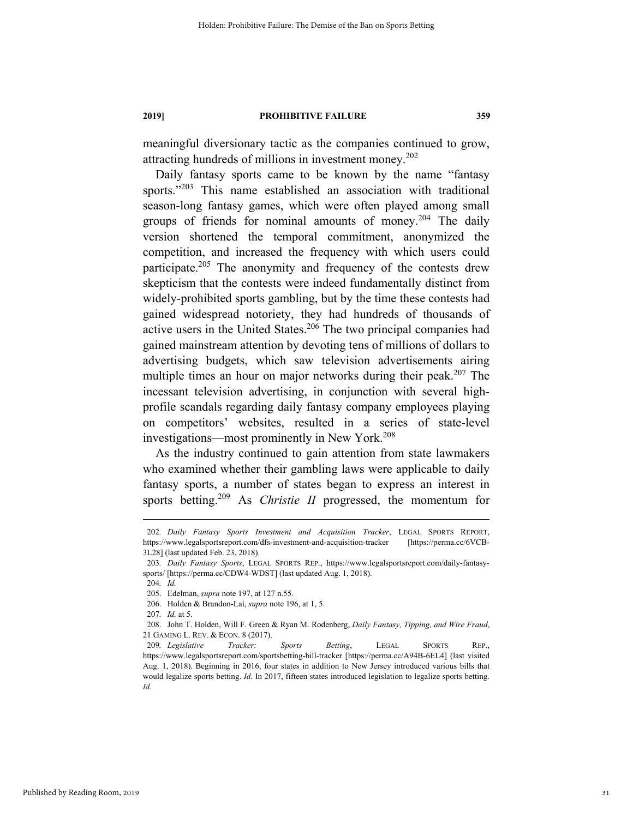meaningful diversionary tactic as the companies continued to grow, attracting hundreds of millions in investment money.<sup>202</sup>

Daily fantasy sports came to be known by the name "fantasy sports."<sup>203</sup> This name established an association with traditional season-long fantasy games, which were often played among small groups of friends for nominal amounts of money.<sup>204</sup> The daily version shortened the temporal commitment, anonymized the competition, and increased the frequency with which users could participate.<sup>205</sup> The anonymity and frequency of the contests drew skepticism that the contests were indeed fundamentally distinct from widely-prohibited sports gambling, but by the time these contests had gained widespread notoriety, they had hundreds of thousands of active users in the United States.<sup>206</sup> The two principal companies had gained mainstream attention by devoting tens of millions of dollars to advertising budgets, which saw television advertisements airing multiple times an hour on major networks during their peak.<sup>207</sup> The incessant television advertising, in conjunction with several highprofile scandals regarding daily fantasy company employees playing on competitors' websites, resulted in a series of state-level investigations—most prominently in New York.<sup>208</sup>

As the industry continued to gain attention from state lawmakers who examined whether their gambling laws were applicable to daily fantasy sports, a number of states began to express an interest in sports betting.<sup>209</sup> As *Christie II* progressed, the momentum for

 <sup>202</sup>*. Daily Fantasy Sports Investment and Acquisition Tracker*, LEGAL SPORTS REPORT, https://www.legalsportsreport.com/dfs-investment-and-acquisition-tracker [https://perma.cc/6VCB-3L28] (last updated Feb. 23, 2018).

<sup>203</sup>*. Daily Fantasy Sports*, LEGAL SPORTS REP., https://www.legalsportsreport.com/daily-fantasysports/ [https://perma.cc/CDW4-WDST] (last updated Aug. 1, 2018).

<sup>204</sup>*. Id.*

 <sup>205.</sup> Edelman, *supra* note 197, at 127 n.55.

 <sup>206.</sup> Holden & Brandon-Lai, *supra* note 196, at 1, 5.

<sup>207</sup>*. Id.* at 5.

 <sup>208.</sup> John T. Holden, Will F. Green & Ryan M. Rodenberg, *Daily Fantasy, Tipping, and Wire Fraud*, 21 GAMING L. REV. & ECON. 8 (2017).

<sup>209</sup>*. Legislative Tracker: Sports Betting*, LEGAL SPORTS REP., https://www.legalsportsreport.com/sportsbetting-bill-tracker [https://perma.cc/A94B-6EL4] (last visited Aug. 1, 2018). Beginning in 2016, four states in addition to New Jersey introduced various bills that would legalize sports betting. *Id.* In 2017, fifteen states introduced legislation to legalize sports betting. *Id.*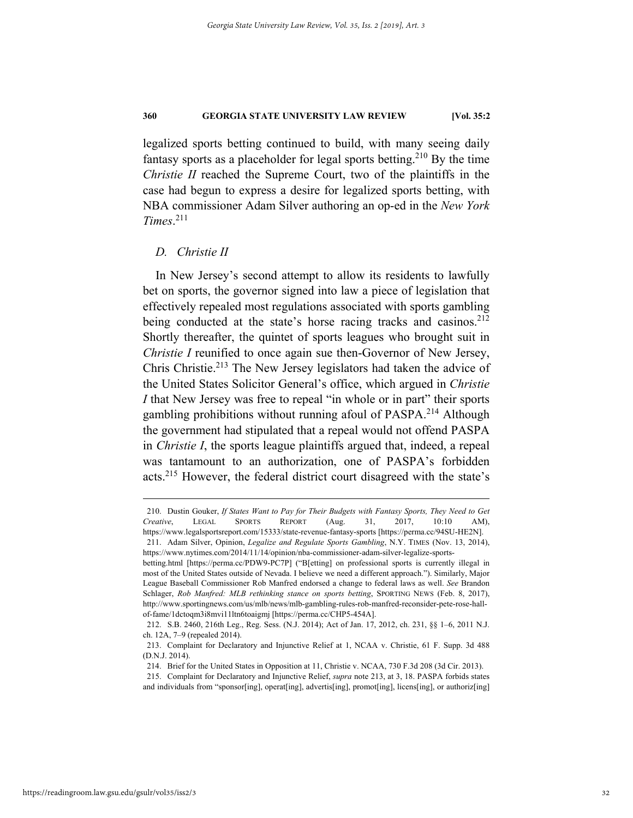legalized sports betting continued to build, with many seeing daily fantasy sports as a placeholder for legal sports betting.<sup>210</sup> By the time *Christie II* reached the Supreme Court, two of the plaintiffs in the case had begun to express a desire for legalized sports betting, with NBA commissioner Adam Silver authoring an op-ed in the *New York Times*. 211

#### *D. Christie II*

In New Jersey's second attempt to allow its residents to lawfully bet on sports, the governor signed into law a piece of legislation that effectively repealed most regulations associated with sports gambling being conducted at the state's horse racing tracks and casinos.<sup>212</sup> Shortly thereafter, the quintet of sports leagues who brought suit in *Christie I* reunified to once again sue then-Governor of New Jersey, Chris Christie.<sup>213</sup> The New Jersey legislators had taken the advice of the United States Solicitor General's office, which argued in *Christie I* that New Jersey was free to repeal "in whole or in part" their sports gambling prohibitions without running afoul of PASPA.<sup>214</sup> Although the government had stipulated that a repeal would not offend PASPA in *Christie I*, the sports league plaintiffs argued that, indeed, a repeal was tantamount to an authorization, one of PASPA's forbidden acts.215 However, the federal district court disagreed with the state's

 <sup>210.</sup> Dustin Gouker, *If States Want to Pay for Their Budgets with Fantasy Sports, They Need to Get Creative*, LEGAL SPORTS REPORT (Aug. 31, 2017, 10:10 AM), https://www.legalsportsreport.com/15333/state-revenue-fantasy-sports [https://perma.cc/94SU-HE2N].

 <sup>211.</sup> Adam Silver, Opinion, *Legalize and Regulate Sports Gambling*, N.Y. TIMES (Nov. 13, 2014), https://www.nytimes.com/2014/11/14/opinion/nba-commissioner-adam-silver-legalize-sports-

betting.html [https://perma.cc/PDW9-PC7P] ("B[etting] on professional sports is currently illegal in most of the United States outside of Nevada. I believe we need a different approach."). Similarly, Major League Baseball Commissioner Rob Manfred endorsed a change to federal laws as well. *See* Brandon Schlager, *Rob Manfred: MLB rethinking stance on sports betting*, SPORTING NEWS (Feb. 8, 2017), http://www.sportingnews.com/us/mlb/news/mlb-gambling-rules-rob-manfred-reconsider-pete-rose-hallof-fame/1dctoqm3i8mvi11ltn6toaigmj [https://perma.cc/CHP5-454A].

 <sup>212.</sup> S.B. 2460, 216th Leg., Reg. Sess. (N.J. 2014); Act of Jan. 17, 2012, ch. 231, §§ 1–6, 2011 N.J. ch. 12A, 7–9 (repealed 2014).

 <sup>213.</sup> Complaint for Declaratory and Injunctive Relief at 1, NCAA v. Christie, 61 F. Supp. 3d 488 (D.N.J. 2014).

 <sup>214.</sup> Brief for the United States in Opposition at 11, Christie v. NCAA, 730 F.3d 208 (3d Cir. 2013).

 <sup>215.</sup> Complaint for Declaratory and Injunctive Relief, *supra* note 213, at 3, 18. PASPA forbids states and individuals from "sponsor[ing], operat[ing], advertis[ing], promot[ing], licens[ing], or authoriz[ing]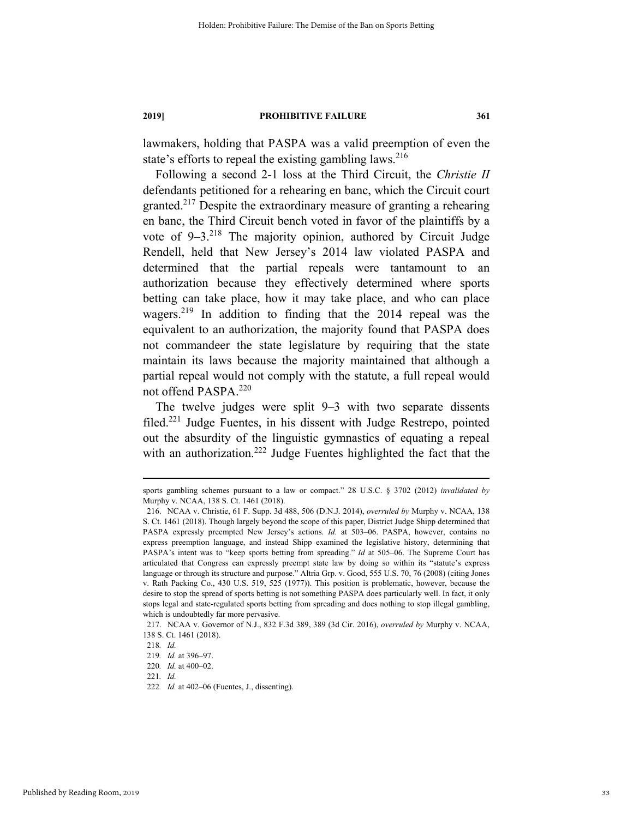lawmakers, holding that PASPA was a valid preemption of even the state's efforts to repeal the existing gambling laws.<sup>216</sup>

Following a second 2-1 loss at the Third Circuit, the *Christie II* defendants petitioned for a rehearing en banc, which the Circuit court granted.<sup>217</sup> Despite the extraordinary measure of granting a rehearing en banc, the Third Circuit bench voted in favor of the plaintiffs by a vote of  $9-3.^{218}$  The majority opinion, authored by Circuit Judge Rendell, held that New Jersey's 2014 law violated PASPA and determined that the partial repeals were tantamount to an authorization because they effectively determined where sports betting can take place, how it may take place, and who can place wagers.219 In addition to finding that the 2014 repeal was the equivalent to an authorization, the majority found that PASPA does not commandeer the state legislature by requiring that the state maintain its laws because the majority maintained that although a partial repeal would not comply with the statute, a full repeal would not offend PASPA.<sup>220</sup>

The twelve judges were split 9–3 with two separate dissents filed.221 Judge Fuentes, in his dissent with Judge Restrepo, pointed out the absurdity of the linguistic gymnastics of equating a repeal with an authorization.<sup>222</sup> Judge Fuentes highlighted the fact that the

sports gambling schemes pursuant to a law or compact." 28 U.S.C. § 3702 (2012) *invalidated by*  Murphy v. NCAA, 138 S. Ct. 1461 (2018).

 <sup>216.</sup> NCAA v. Christie, 61 F. Supp. 3d 488, 506 (D.N.J. 2014), *overruled by* Murphy v. NCAA, 138 S. Ct. 1461 (2018). Though largely beyond the scope of this paper, District Judge Shipp determined that PASPA expressly preempted New Jersey's actions. *Id.* at 503–06. PASPA, however, contains no express preemption language, and instead Shipp examined the legislative history, determining that PASPA's intent was to "keep sports betting from spreading." *Id* at 505–06. The Supreme Court has articulated that Congress can expressly preempt state law by doing so within its "statute's express language or through its structure and purpose." Altria Grp. v. Good, 555 U.S. 70, 76 (2008) (citing Jones v. Rath Packing Co., 430 U.S. 519, 525 (1977)). This position is problematic, however, because the desire to stop the spread of sports betting is not something PASPA does particularly well. In fact, it only stops legal and state-regulated sports betting from spreading and does nothing to stop illegal gambling, which is undoubtedly far more pervasive.

 <sup>217.</sup> NCAA v. Governor of N.J., 832 F.3d 389, 389 (3d Cir. 2016), *overruled by* Murphy v. NCAA, 138 S. Ct. 1461 (2018).

<sup>218</sup>*. Id.*

<sup>219</sup>*. Id.* at 396–97.

<sup>220</sup>*. Id.* at 400–02.

<sup>221</sup>*. Id.*

<sup>222</sup>*. Id.* at 402–06 (Fuentes, J., dissenting).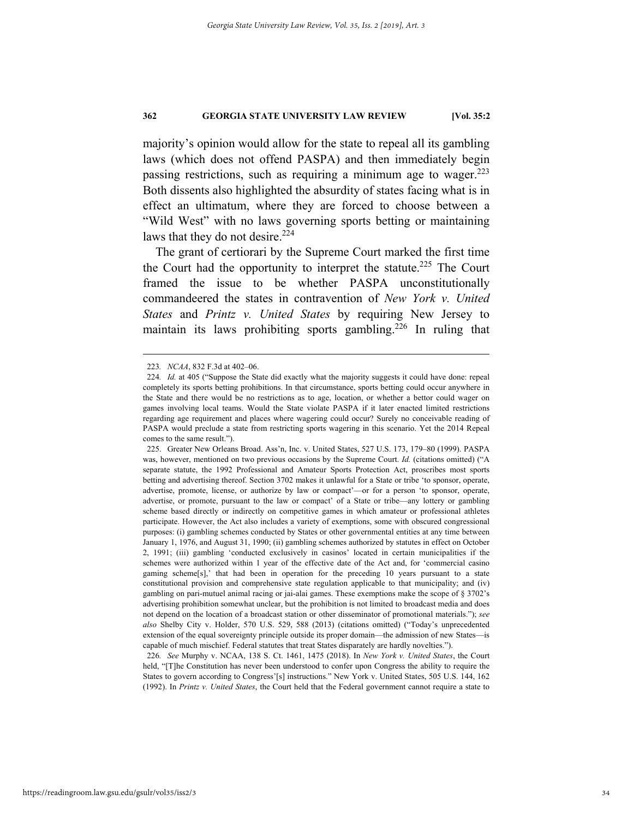majority's opinion would allow for the state to repeal all its gambling laws (which does not offend PASPA) and then immediately begin passing restrictions, such as requiring a minimum age to wager. $223$ Both dissents also highlighted the absurdity of states facing what is in effect an ultimatum, where they are forced to choose between a "Wild West" with no laws governing sports betting or maintaining laws that they do not desire.<sup>224</sup>

The grant of certiorari by the Supreme Court marked the first time the Court had the opportunity to interpret the statute.<sup>225</sup> The Court framed the issue to be whether PASPA unconstitutionally commandeered the states in contravention of *New York v. United States* and *Printz v. United States* by requiring New Jersey to maintain its laws prohibiting sports gambling.<sup>226</sup> In ruling that

226*. See* Murphy v. NCAA, 138 S. Ct. 1461, 1475 (2018). In *New York v. United States*, the Court held, "[T]he Constitution has never been understood to confer upon Congress the ability to require the States to govern according to Congress'[s] instructions." New York v. United States, 505 U.S. 144, 162 (1992). In *Printz v. United States*, the Court held that the Federal government cannot require a state to

 <sup>223</sup>*. NCAA*, 832 F.3d at 402–06.

<sup>224.</sup> Id. at 405 ("Suppose the State did exactly what the majority suggests it could have done: repeal completely its sports betting prohibitions. In that circumstance, sports betting could occur anywhere in the State and there would be no restrictions as to age, location, or whether a bettor could wager on games involving local teams. Would the State violate PASPA if it later enacted limited restrictions regarding age requirement and places where wagering could occur? Surely no conceivable reading of PASPA would preclude a state from restricting sports wagering in this scenario. Yet the 2014 Repeal comes to the same result.").

 <sup>225.</sup> Greater New Orleans Broad. Ass'n, Inc. v. United States, 527 U.S. 173, 179–80 (1999). PASPA was, however, mentioned on two previous occasions by the Supreme Court. *Id.* (citations omitted) ("A separate statute, the 1992 Professional and Amateur Sports Protection Act, proscribes most sports betting and advertising thereof. Section 3702 makes it unlawful for a State or tribe 'to sponsor, operate, advertise, promote, license, or authorize by law or compact'—or for a person 'to sponsor, operate, advertise, or promote, pursuant to the law or compact' of a State or tribe—any lottery or gambling scheme based directly or indirectly on competitive games in which amateur or professional athletes participate. However, the Act also includes a variety of exemptions, some with obscured congressional purposes: (i) gambling schemes conducted by States or other governmental entities at any time between January 1, 1976, and August 31, 1990; (ii) gambling schemes authorized by statutes in effect on October 2, 1991; (iii) gambling 'conducted exclusively in casinos' located in certain municipalities if the schemes were authorized within 1 year of the effective date of the Act and, for 'commercial casino gaming scheme[s],' that had been in operation for the preceding 10 years pursuant to a state constitutional provision and comprehensive state regulation applicable to that municipality; and (iv) gambling on pari-mutuel animal racing or jai-alai games. These exemptions make the scope of § 3702's advertising prohibition somewhat unclear, but the prohibition is not limited to broadcast media and does not depend on the location of a broadcast station or other disseminator of promotional materials."); *see also* Shelby City v. Holder, 570 U.S. 529, 588 (2013) (citations omitted) ("Today's unprecedented extension of the equal sovereignty principle outside its proper domain—the admission of new States—is capable of much mischief. Federal statutes that treat States disparately are hardly novelties.").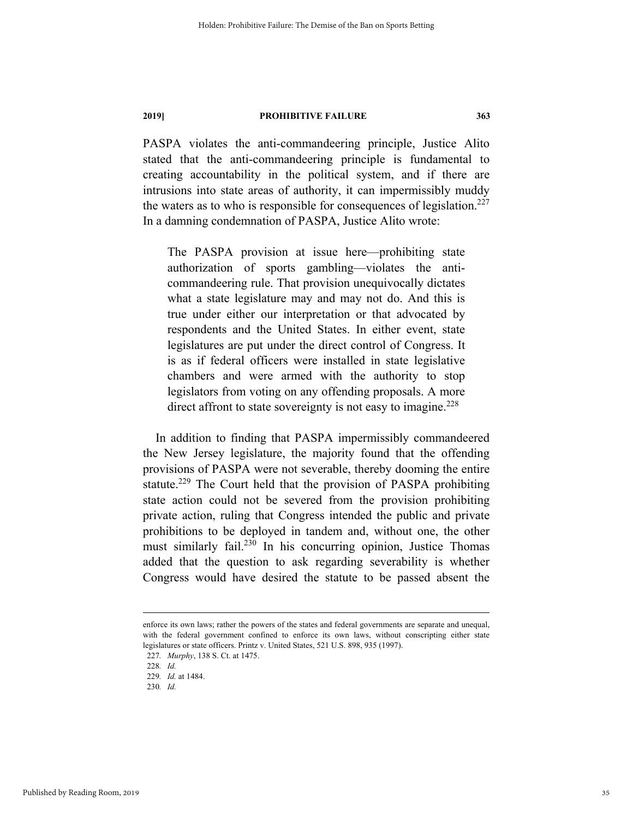PASPA violates the anti-commandeering principle, Justice Alito stated that the anti-commandeering principle is fundamental to creating accountability in the political system, and if there are intrusions into state areas of authority, it can impermissibly muddy the waters as to who is responsible for consequences of legislation.<sup>227</sup> In a damning condemnation of PASPA, Justice Alito wrote:

The PASPA provision at issue here—prohibiting state authorization of sports gambling—violates the anticommandeering rule. That provision unequivocally dictates what a state legislature may and may not do. And this is true under either our interpretation or that advocated by respondents and the United States. In either event, state legislatures are put under the direct control of Congress. It is as if federal officers were installed in state legislative chambers and were armed with the authority to stop legislators from voting on any offending proposals. A more direct affront to state sovereignty is not easy to imagine.<sup> $228$ </sup>

In addition to finding that PASPA impermissibly commandeered the New Jersey legislature, the majority found that the offending provisions of PASPA were not severable, thereby dooming the entire statute.<sup>229</sup> The Court held that the provision of PASPA prohibiting state action could not be severed from the provision prohibiting private action, ruling that Congress intended the public and private prohibitions to be deployed in tandem and, without one, the other must similarly fail.230 In his concurring opinion, Justice Thomas added that the question to ask regarding severability is whether Congress would have desired the statute to be passed absent the

enforce its own laws; rather the powers of the states and federal governments are separate and unequal, with the federal government confined to enforce its own laws, without conscripting either state legislatures or state officers. Printz v. United States, 521 U.S. 898, 935 (1997).

<sup>227</sup>*. Murphy*, 138 S. Ct. at 1475.

<sup>228</sup>*. Id.*

<sup>229</sup>*. Id.* at 1484.

<sup>230</sup>*. Id.*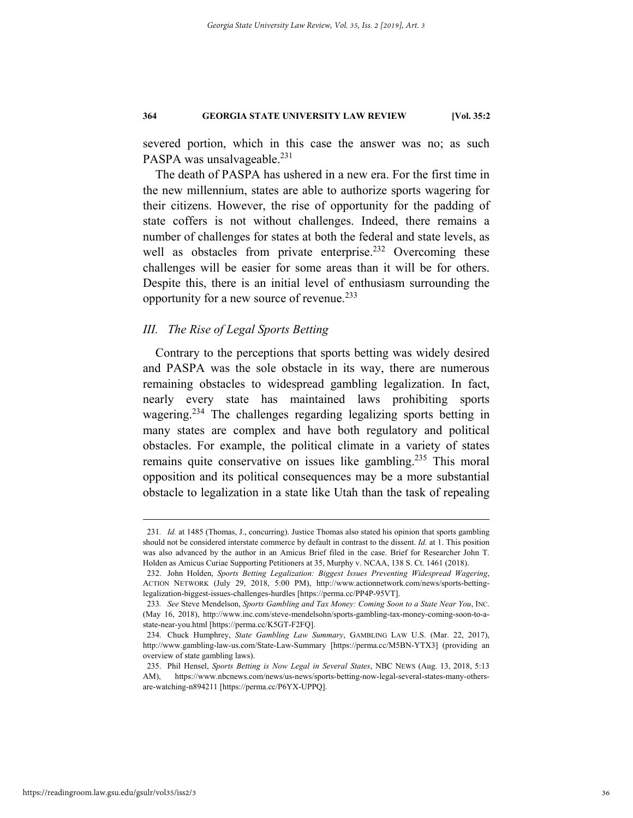severed portion, which in this case the answer was no; as such PASPA was unsalvageable.<sup>231</sup>

The death of PASPA has ushered in a new era. For the first time in the new millennium, states are able to authorize sports wagering for their citizens. However, the rise of opportunity for the padding of state coffers is not without challenges. Indeed, there remains a number of challenges for states at both the federal and state levels, as well as obstacles from private enterprise.<sup>232</sup> Overcoming these challenges will be easier for some areas than it will be for others. Despite this, there is an initial level of enthusiasm surrounding the opportunity for a new source of revenue.233

# *III. The Rise of Legal Sports Betting*

Contrary to the perceptions that sports betting was widely desired and PASPA was the sole obstacle in its way, there are numerous remaining obstacles to widespread gambling legalization. In fact, nearly every state has maintained laws prohibiting sports wagering.234 The challenges regarding legalizing sports betting in many states are complex and have both regulatory and political obstacles. For example, the political climate in a variety of states remains quite conservative on issues like gambling.<sup>235</sup> This moral opposition and its political consequences may be a more substantial obstacle to legalization in a state like Utah than the task of repealing

 <sup>231</sup>*. Id.* at 1485 (Thomas, J., concurring). Justice Thomas also stated his opinion that sports gambling should not be considered interstate commerce by default in contrast to the dissent. *Id.* at 1. This position was also advanced by the author in an Amicus Brief filed in the case. Brief for Researcher John T. Holden as Amicus Curiae Supporting Petitioners at 35, Murphy v. NCAA, 138 S. Ct. 1461 (2018).

 <sup>232.</sup> John Holden, *Sports Betting Legalization: Biggest Issues Preventing Widespread Wagering*, ACTION NETWORK (July 29, 2018, 5:00 PM), http://www.actionnetwork.com/news/sports-bettinglegalization-biggest-issues-challenges-hurdles [https://perma.cc/PP4P-95VT].

<sup>233</sup>*. See* Steve Mendelson, *Sports Gambling and Tax Money: Coming Soon to a State Near You*, INC. (May 16, 2018), http://www.inc.com/steve-mendelsohn/sports-gambling-tax-money-coming-soon-to-astate-near-you.html [https://perma.cc/K5GT-F2FQ].

 <sup>234.</sup> Chuck Humphrey, *State Gambling Law Summary*, GAMBLING LAW U.S. (Mar. 22, 2017), http://www.gambling-law-us.com/State-Law-Summary [https://perma.cc/M5BN-YTX3] (providing an overview of state gambling laws).

 <sup>235.</sup> Phil Hensel, *Sports Betting is Now Legal in Several States*, NBC NEWS (Aug. 13, 2018, 5:13 AM), https://www.nbcnews.com/news/us-news/sports-betting-now-legal-several-states-many-othersare-watching-n894211 [https://perma.cc/P6YX-UPPQ].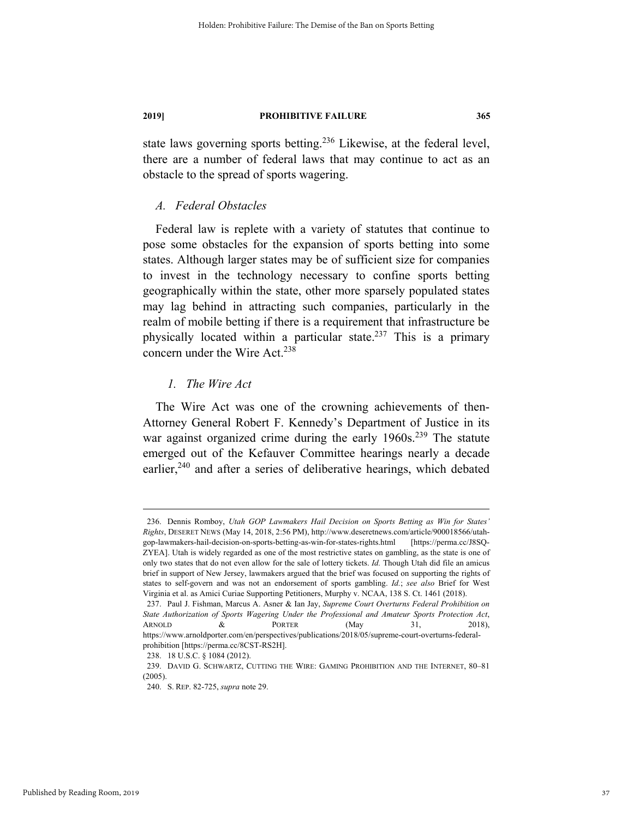state laws governing sports betting.<sup>236</sup> Likewise, at the federal level, there are a number of federal laws that may continue to act as an obstacle to the spread of sports wagering.

### *A. Federal Obstacles*

Federal law is replete with a variety of statutes that continue to pose some obstacles for the expansion of sports betting into some states. Although larger states may be of sufficient size for companies to invest in the technology necessary to confine sports betting geographically within the state, other more sparsely populated states may lag behind in attracting such companies, particularly in the realm of mobile betting if there is a requirement that infrastructure be physically located within a particular state.<sup>237</sup> This is a primary concern under the Wire Act.<sup>238</sup>

### *1. The Wire Act*

The Wire Act was one of the crowning achievements of then-Attorney General Robert F. Kennedy's Department of Justice in its war against organized crime during the early 1960s.<sup>239</sup> The statute emerged out of the Kefauver Committee hearings nearly a decade earlier, $240$  and after a series of deliberative hearings, which debated

 <sup>236.</sup> Dennis Romboy, *Utah GOP Lawmakers Hail Decision on Sports Betting as Win for States' Rights*, DESERET NEWS (May 14, 2018, 2:56 PM), http://www.deseretnews.com/article/900018566/utahgop-lawmakers-hail-decision-on-sports-betting-as-win-for-states-rights.html [https://perma.cc/J8SQ-ZYEA]. Utah is widely regarded as one of the most restrictive states on gambling, as the state is one of only two states that do not even allow for the sale of lottery tickets. *Id.* Though Utah did file an amicus brief in support of New Jersey, lawmakers argued that the brief was focused on supporting the rights of states to self-govern and was not an endorsement of sports gambling. *Id.*; *see also* Brief for West Virginia et al. as Amici Curiae Supporting Petitioners, Murphy v. NCAA, 138 S. Ct. 1461 (2018).

 <sup>237.</sup> Paul J. Fishman, Marcus A. Asner & Ian Jay, *Supreme Court Overturns Federal Prohibition on State Authorization of Sports Wagering Under the Professional and Amateur Sports Protection Act*, ARNOLD & PORTER  $(May \t 31, 2018)$ , https://www.arnoldporter.com/en/perspectives/publications/2018/05/supreme-court-overturns-federal-

prohibition [https://perma.cc/8CST-RS2H].

 <sup>238. 18</sup> U.S.C. § 1084 (2012).

 <sup>239.</sup> DAVID G. SCHWARTZ, CUTTING THE WIRE: GAMING PROHIBITION AND THE INTERNET, 80–81 (2005).

 <sup>240.</sup> S. REP. 82-725, *supra* note 29.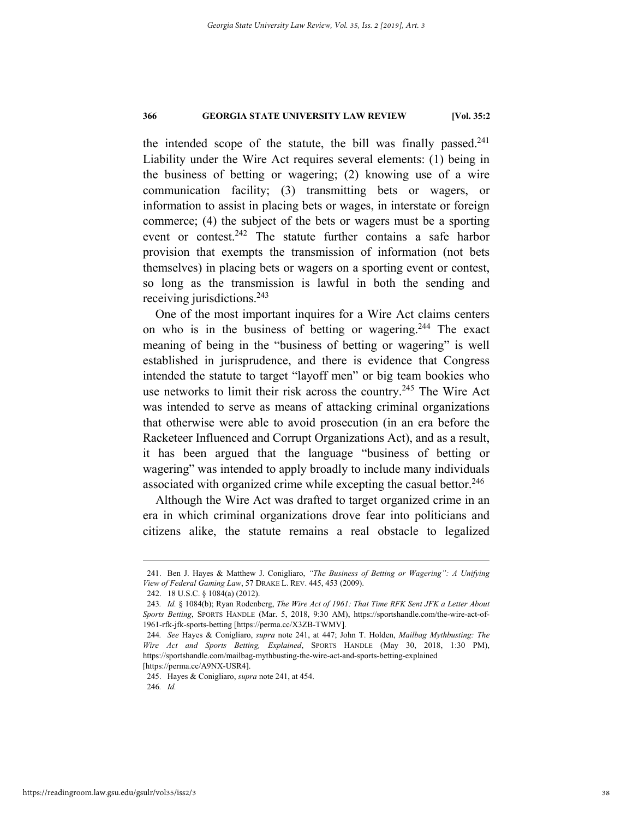the intended scope of the statute, the bill was finally passed. $241$ Liability under the Wire Act requires several elements: (1) being in the business of betting or wagering; (2) knowing use of a wire communication facility; (3) transmitting bets or wagers, or information to assist in placing bets or wages, in interstate or foreign commerce; (4) the subject of the bets or wagers must be a sporting event or contest.242 The statute further contains a safe harbor provision that exempts the transmission of information (not bets themselves) in placing bets or wagers on a sporting event or contest, so long as the transmission is lawful in both the sending and receiving jurisdictions.243

One of the most important inquires for a Wire Act claims centers on who is in the business of betting or wagering.<sup>244</sup> The exact meaning of being in the "business of betting or wagering" is well established in jurisprudence, and there is evidence that Congress intended the statute to target "layoff men" or big team bookies who use networks to limit their risk across the country.<sup>245</sup> The Wire Act was intended to serve as means of attacking criminal organizations that otherwise were able to avoid prosecution (in an era before the Racketeer Influenced and Corrupt Organizations Act), and as a result, it has been argued that the language "business of betting or wagering" was intended to apply broadly to include many individuals associated with organized crime while excepting the casual bettor.<sup>246</sup>

Although the Wire Act was drafted to target organized crime in an era in which criminal organizations drove fear into politicians and citizens alike, the statute remains a real obstacle to legalized

[https://perma.cc/A9NX-USR4].

245. Hayes & Conigliaro, *supra* note 241, at 454.

246*. Id.*

 <sup>241.</sup> Ben J. Hayes & Matthew J. Conigliaro, *"The Business of Betting or Wagering": A Unifying View of Federal Gaming Law*, 57 DRAKE L. REV. 445, 453 (2009).

 <sup>242. 18</sup> U.S.C. § 1084(a) (2012).

<sup>243</sup>*. Id.* § 1084(b); Ryan Rodenberg, *The Wire Act of 1961: That Time RFK Sent JFK a Letter About Sports Betting*, SPORTS HANDLE (Mar. 5, 2018, 9:30 AM), https://sportshandle.com/the-wire-act-of-1961-rfk-jfk-sports-betting [https://perma.cc/X3ZB-TWMV].

<sup>244</sup>*. See* Hayes & Conigliaro, *supra* note 241, at 447; John T. Holden, *Mailbag Mythbusting: The Wire Act and Sports Betting, Explained*, SPORTS HANDLE (May 30, 2018, 1:30 PM), https://sportshandle.com/mailbag-mythbusting-the-wire-act-and-sports-betting-explained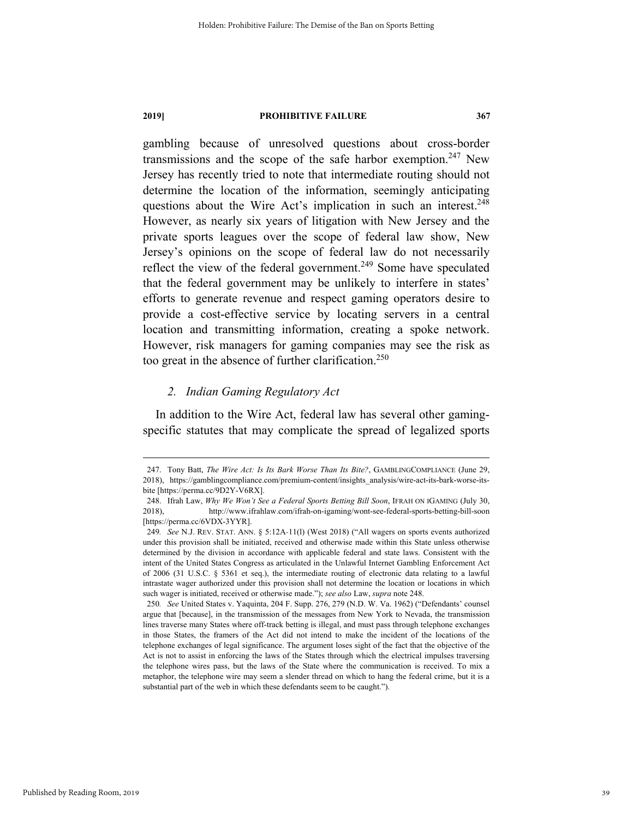gambling because of unresolved questions about cross-border transmissions and the scope of the safe harbor exemption.<sup>247</sup> New Jersey has recently tried to note that intermediate routing should not determine the location of the information, seemingly anticipating questions about the Wire Act's implication in such an interest.<sup>248</sup> However, as nearly six years of litigation with New Jersey and the private sports leagues over the scope of federal law show, New Jersey's opinions on the scope of federal law do not necessarily reflect the view of the federal government.<sup>249</sup> Some have speculated that the federal government may be unlikely to interfere in states' efforts to generate revenue and respect gaming operators desire to provide a cost-effective service by locating servers in a central location and transmitting information, creating a spoke network. However, risk managers for gaming companies may see the risk as too great in the absence of further clarification.<sup>250</sup>

# *2. Indian Gaming Regulatory Act*

In addition to the Wire Act, federal law has several other gamingspecific statutes that may complicate the spread of legalized sports

Published by Reading Room, 2019

 <sup>247.</sup> Tony Batt, *The Wire Act: Is Its Bark Worse Than Its Bite?*, GAMBLINGCOMPLIANCE (June 29, 2018), https://gamblingcompliance.com/premium-content/insights\_analysis/wire-act-its-bark-worse-itsbite [https://perma.cc/9D2Y-V6RX].

 <sup>248.</sup> Ifrah Law, *Why We Won't See a Federal Sports Betting Bill Soon*, IFRAH ON IGAMING (July 30, 2018), http://www.ifrahlaw.com/ifrah-on-igaming/wont-see-federal-sports-betting-bill-soon [https://perma.cc/6VDX-3YYR].

<sup>249</sup>*. See* N.J. REV. STAT. ANN. § 5:12A-11(l) (West 2018) ("All wagers on sports events authorized under this provision shall be initiated, received and otherwise made within this State unless otherwise determined by the division in accordance with applicable federal and state laws. Consistent with the intent of the United States Congress as articulated in the Unlawful Internet Gambling Enforcement Act of 2006 (31 U.S.C. § 5361 et seq.), the intermediate routing of electronic data relating to a lawful intrastate wager authorized under this provision shall not determine the location or locations in which such wager is initiated, received or otherwise made."); *see also* Law, *supra* note 248.

<sup>250</sup>*. See* United States v. Yaquinta, 204 F. Supp. 276, 279 (N.D. W. Va. 1962) ("Defendants' counsel argue that [because], in the transmission of the messages from New York to Nevada, the transmission lines traverse many States where off-track betting is illegal, and must pass through telephone exchanges in those States, the framers of the Act did not intend to make the incident of the locations of the telephone exchanges of legal significance. The argument loses sight of the fact that the objective of the Act is not to assist in enforcing the laws of the States through which the electrical impulses traversing the telephone wires pass, but the laws of the State where the communication is received. To mix a metaphor, the telephone wire may seem a slender thread on which to hang the federal crime, but it is a substantial part of the web in which these defendants seem to be caught.").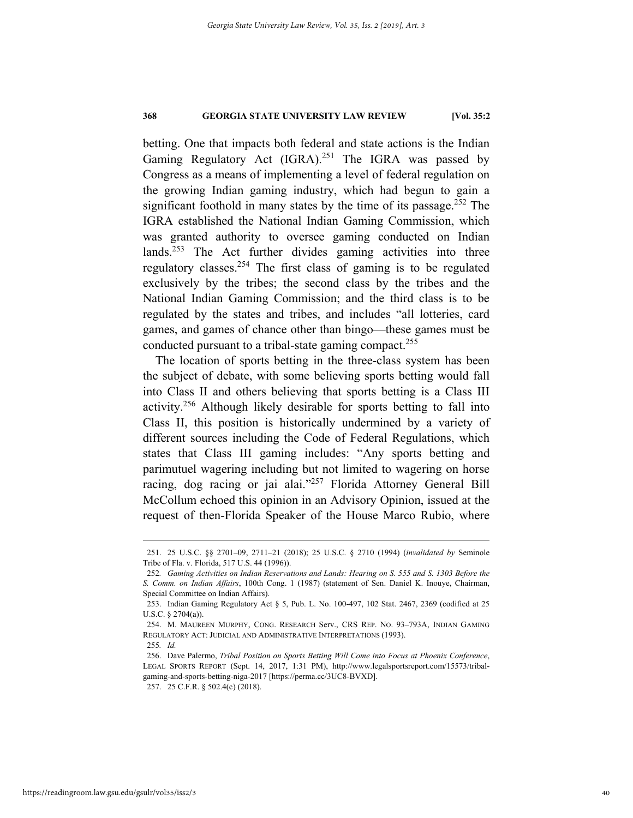betting. One that impacts both federal and state actions is the Indian Gaming Regulatory Act  $(IGRA)^{251}$  The IGRA was passed by Congress as a means of implementing a level of federal regulation on the growing Indian gaming industry, which had begun to gain a significant foothold in many states by the time of its passage.<sup>252</sup> The IGRA established the National Indian Gaming Commission, which was granted authority to oversee gaming conducted on Indian lands.<sup>253</sup> The Act further divides gaming activities into three regulatory classes.254 The first class of gaming is to be regulated exclusively by the tribes; the second class by the tribes and the National Indian Gaming Commission; and the third class is to be regulated by the states and tribes, and includes "all lotteries, card games, and games of chance other than bingo—these games must be conducted pursuant to a tribal-state gaming compact.<sup>255</sup>

The location of sports betting in the three-class system has been the subject of debate, with some believing sports betting would fall into Class II and others believing that sports betting is a Class III activity.256 Although likely desirable for sports betting to fall into Class II, this position is historically undermined by a variety of different sources including the Code of Federal Regulations, which states that Class III gaming includes: "Any sports betting and parimutuel wagering including but not limited to wagering on horse racing, dog racing or jai alai."257 Florida Attorney General Bill McCollum echoed this opinion in an Advisory Opinion, issued at the request of then-Florida Speaker of the House Marco Rubio, where

 <sup>251. 25</sup> U.S.C. §§ 2701–09, 2711–21 (2018); 25 U.S.C. § 2710 (1994) (*invalidated by* Seminole Tribe of Fla. v. Florida, 517 U.S. 44 (1996)).

<sup>252</sup>*. Gaming Activities on Indian Reservations and Lands: Hearing on S. 555 and S. 1303 Before the S. Comm. on Indian Affairs*, 100th Cong. 1 (1987) (statement of Sen. Daniel K. Inouye, Chairman, Special Committee on Indian Affairs).

 <sup>253.</sup> Indian Gaming Regulatory Act § 5, Pub. L. No. 100-497, 102 Stat. 2467, 2369 (codified at 25 U.S.C. § 2704(a)).

 <sup>254.</sup> M. MAUREEN MURPHY, CONG. RESEARCH Serv., CRS REP. NO. 93–793A, INDIAN GAMING REGULATORY ACT: JUDICIAL AND ADMINISTRATIVE INTERPRETATIONS (1993).

<sup>255</sup>*. Id.*

 <sup>256.</sup> Dave Palermo, *Tribal Position on Sports Betting Will Come into Focus at Phoenix Conference*, LEGAL SPORTS REPORT (Sept. 14, 2017, 1:31 PM), http://www.legalsportsreport.com/15573/tribalgaming-and-sports-betting-niga-2017 [https://perma.cc/3UC8-BVXD]. 257. 25 C.F.R. § 502.4(c) (2018).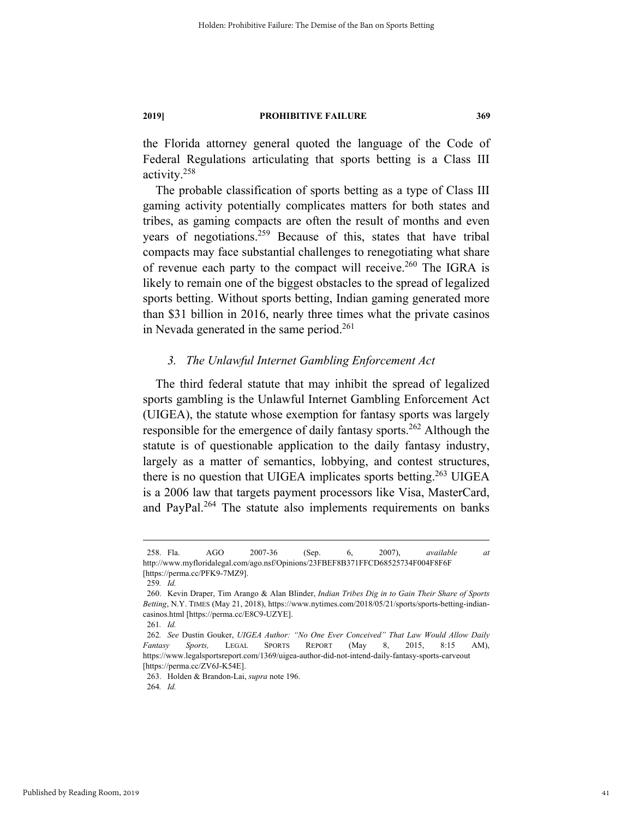the Florida attorney general quoted the language of the Code of Federal Regulations articulating that sports betting is a Class III activity.258

The probable classification of sports betting as a type of Class III gaming activity potentially complicates matters for both states and tribes, as gaming compacts are often the result of months and even years of negotiations.<sup>259</sup> Because of this, states that have tribal compacts may face substantial challenges to renegotiating what share of revenue each party to the compact will receive.<sup>260</sup> The IGRA is likely to remain one of the biggest obstacles to the spread of legalized sports betting. Without sports betting, Indian gaming generated more than \$31 billion in 2016, nearly three times what the private casinos in Nevada generated in the same period.<sup>261</sup>

#### *3. The Unlawful Internet Gambling Enforcement Act*

The third federal statute that may inhibit the spread of legalized sports gambling is the Unlawful Internet Gambling Enforcement Act (UIGEA), the statute whose exemption for fantasy sports was largely responsible for the emergence of daily fantasy sports.<sup>262</sup> Although the statute is of questionable application to the daily fantasy industry, largely as a matter of semantics, lobbying, and contest structures, there is no question that UIGEA implicates sports betting.<sup>263</sup> UIGEA is a 2006 law that targets payment processors like Visa, MasterCard, and PayPal.<sup>264</sup> The statute also implements requirements on banks

 <sup>258.</sup> Fla. AGO 2007-36 (Sep. 6, 2007), *available at* http://www.myfloridalegal.com/ago.nsf/Opinions/23FBEF8B371FFCD68525734F004F8F6F [https://perma.cc/PFK9-7MZ9].

<sup>259</sup>*. Id.*

 <sup>260.</sup> Kevin Draper, Tim Arango & Alan Blinder, *Indian Tribes Dig in to Gain Their Share of Sports Betting*, N.Y. TIMES (May 21, 2018), https://www.nytimes.com/2018/05/21/sports/sports-betting-indiancasinos.html [https://perma.cc/E8C9-UZYE].

<sup>261</sup>*. Id.*

<sup>262</sup>*. See* Dustin Gouker, *UIGEA Author: "No One Ever Conceived" That Law Would Allow Daily Fantasy Sports,* LEGAL SPORTS REPORT (May 8, 2015, 8:15 AM), https://www.legalsportsreport.com/1369/uigea-author-did-not-intend-daily-fantasy-sports-carveout [https://perma.cc/ZV6J-K54E].

 <sup>263.</sup> Holden & Brandon-Lai, *supra* note 196.

<sup>264</sup>*. Id.*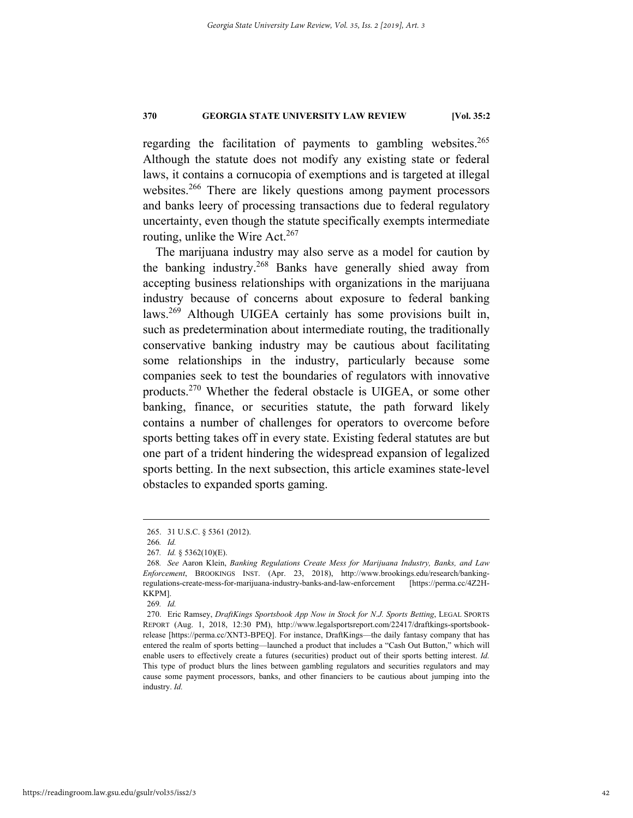regarding the facilitation of payments to gambling websites. $265$ Although the statute does not modify any existing state or federal laws, it contains a cornucopia of exemptions and is targeted at illegal websites.<sup>266</sup> There are likely questions among payment processors and banks leery of processing transactions due to federal regulatory uncertainty, even though the statute specifically exempts intermediate routing, unlike the Wire Act. $267$ 

The marijuana industry may also serve as a model for caution by the banking industry.268 Banks have generally shied away from accepting business relationships with organizations in the marijuana industry because of concerns about exposure to federal banking laws.269 Although UIGEA certainly has some provisions built in, such as predetermination about intermediate routing, the traditionally conservative banking industry may be cautious about facilitating some relationships in the industry, particularly because some companies seek to test the boundaries of regulators with innovative products.270 Whether the federal obstacle is UIGEA, or some other banking, finance, or securities statute, the path forward likely contains a number of challenges for operators to overcome before sports betting takes off in every state. Existing federal statutes are but one part of a trident hindering the widespread expansion of legalized sports betting. In the next subsection, this article examines state-level obstacles to expanded sports gaming.

269*. Id.*

 <sup>265. 31</sup> U.S.C. § 5361 (2012).

<sup>266</sup>*. Id.*

<sup>267</sup>*. Id.* § 5362(10)(E).

<sup>268</sup>*. See* Aaron Klein, *Banking Regulations Create Mess for Marijuana Industry, Banks, and Law Enforcement*, BROOKINGS INST. (Apr. 23, 2018), http://www.brookings.edu/research/bankingregulations-create-mess-for-marijuana-industry-banks-and-law-enforcement [https://perma.cc/4Z2H-KKPM].

 <sup>270.</sup> Eric Ramsey, *DraftKings Sportsbook App Now in Stock for N.J. Sports Betting*, LEGAL SPORTS REPORT (Aug. 1, 2018, 12:30 PM), http://www.legalsportsreport.com/22417/draftkings-sportsbookrelease [https://perma.cc/XNT3-BPEQ]. For instance, DraftKings—the daily fantasy company that has entered the realm of sports betting—launched a product that includes a "Cash Out Button," which will enable users to effectively create a futures (securities) product out of their sports betting interest. *Id.* This type of product blurs the lines between gambling regulators and securities regulators and may cause some payment processors, banks, and other financiers to be cautious about jumping into the industry. *Id.*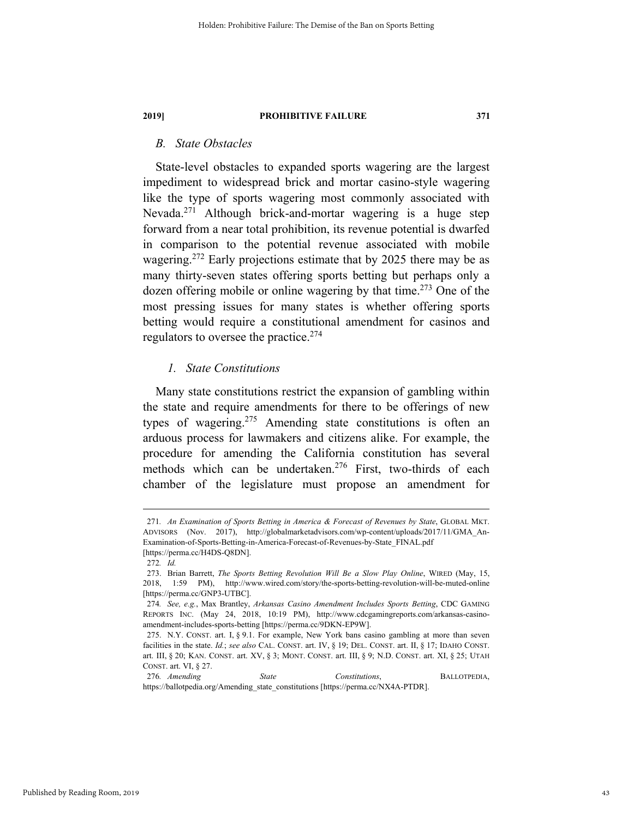# *B. State Obstacles*

State-level obstacles to expanded sports wagering are the largest impediment to widespread brick and mortar casino-style wagering like the type of sports wagering most commonly associated with Nevada.271 Although brick-and-mortar wagering is a huge step forward from a near total prohibition, its revenue potential is dwarfed in comparison to the potential revenue associated with mobile wagering.<sup>272</sup> Early projections estimate that by 2025 there may be as many thirty-seven states offering sports betting but perhaps only a dozen offering mobile or online wagering by that time.<sup>273</sup> One of the most pressing issues for many states is whether offering sports betting would require a constitutional amendment for casinos and regulators to oversee the practice.274

# *1. State Constitutions*

Many state constitutions restrict the expansion of gambling within the state and require amendments for there to be offerings of new types of wagering.<sup>275</sup> Amending state constitutions is often an arduous process for lawmakers and citizens alike. For example, the procedure for amending the California constitution has several methods which can be undertaken.<sup>276</sup> First, two-thirds of each chamber of the legislature must propose an amendment for

 <sup>271</sup>*. An Examination of Sports Betting in America & Forecast of Revenues by State*, GLOBAL MKT. ADVISORS (Nov. 2017), http://globalmarketadvisors.com/wp-content/uploads/2017/11/GMA\_An-Examination-of-Sports-Betting-in-America-Forecast-of-Revenues-by-State\_FINAL.pdf [https://perma.cc/H4DS-Q8DN].

<sup>272</sup>*. Id.*

 <sup>273.</sup> Brian Barrett, *The Sports Betting Revolution Will Be a Slow Play Online*, WIRED (May, 15, 2018, 1:59 PM), http://www.wired.com/story/the-sports-betting-revolution-will-be-muted-online [https://perma.cc/GNP3-UTBC].

<sup>274</sup>*. See, e.g.*, Max Brantley, *Arkansas Casino Amendment Includes Sports Betting*, CDC GAMING REPORTS INC. (May 24, 2018, 10:19 PM), http://www.cdcgamingreports.com/arkansas-casinoamendment-includes-sports-betting [https://perma.cc/9DKN-EP9W].

 <sup>275.</sup> N.Y. CONST. art. I, § 9.1. For example, New York bans casino gambling at more than seven facilities in the state. *Id.*; *see also* CAL. CONST. art. IV, § 19; DEL. CONST. art. II, § 17; IDAHO CONST. art. III, § 20; KAN. CONST. art. XV, § 3; MONT. CONST. art. III, § 9; N.D. CONST. art. XI, § 25; UTAH CONST. art. VI, § 27.

<sup>276</sup>*. Amending State Constitutions*, BALLOTPEDIA, https://ballotpedia.org/Amending\_state\_constitutions [https://perma.cc/NX4A-PTDR].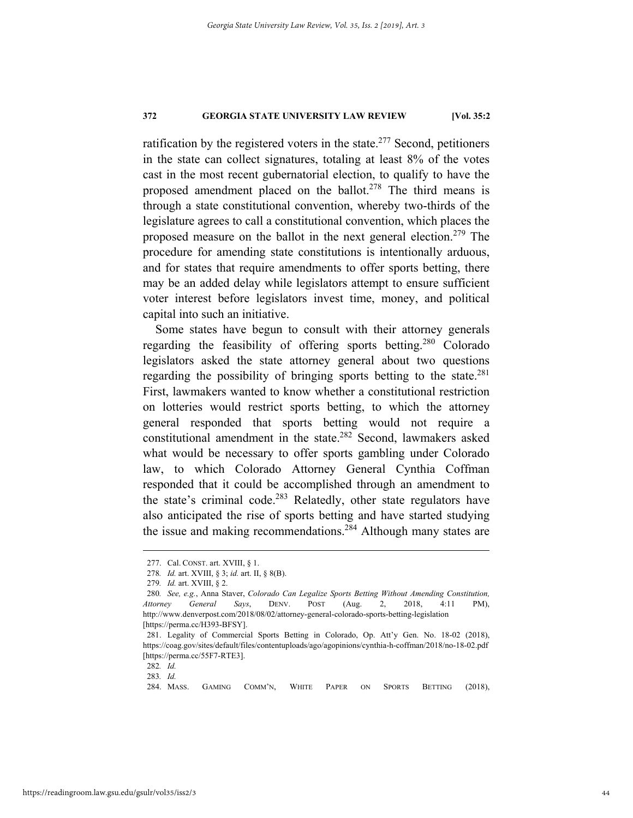ratification by the registered voters in the state. $277$  Second, petitioners in the state can collect signatures, totaling at least 8% of the votes cast in the most recent gubernatorial election, to qualify to have the proposed amendment placed on the ballot.<sup>278</sup> The third means is through a state constitutional convention, whereby two-thirds of the legislature agrees to call a constitutional convention, which places the proposed measure on the ballot in the next general election.<sup>279</sup> The procedure for amending state constitutions is intentionally arduous, and for states that require amendments to offer sports betting, there may be an added delay while legislators attempt to ensure sufficient voter interest before legislators invest time, money, and political capital into such an initiative.

Some states have begun to consult with their attorney generals regarding the feasibility of offering sports betting.280 Colorado legislators asked the state attorney general about two questions regarding the possibility of bringing sports betting to the state. $281$ First, lawmakers wanted to know whether a constitutional restriction on lotteries would restrict sports betting, to which the attorney general responded that sports betting would not require a constitutional amendment in the state.<sup>282</sup> Second, lawmakers asked what would be necessary to offer sports gambling under Colorado law, to which Colorado Attorney General Cynthia Coffman responded that it could be accomplished through an amendment to the state's criminal code.<sup>283</sup> Relatedly, other state regulators have also anticipated the rise of sports betting and have started studying the issue and making recommendations.<sup>284</sup> Although many states are

 <sup>277.</sup> Cal. CONST. art. XVIII, § 1.

<sup>278</sup>*. Id.* art. XVIII, § 3; *id.* art. II, § 8(B).

<sup>279</sup>*. Id.* art. XVIII, § 2.

<sup>280</sup>*. See, e.g.*, Anna Staver, *Colorado Can Legalize Sports Betting Without Amending Constitution, Attorney General Says*, DENV. POST (Aug. 2, 2018, 4:11 PM), http://www.denverpost.com/2018/08/02/attorney-general-colorado-sports-betting-legislation [https://perma.cc/H393-BFSY].

 <sup>281.</sup> Legality of Commercial Sports Betting in Colorado, Op. Att'y Gen. No. 18-02 (2018), https://coag.gov/sites/default/files/contentuploads/ago/agopinions/cynthia-h-coffman/2018/no-18-02.pdf [https://perma.cc/55F7-RTE3].

<sup>282</sup>*. Id.*

<sup>283</sup>*. Id.*

 <sup>284.</sup> MASS. GAMING COMM'N, WHITE PAPER ON SPORTS BETTING (2018),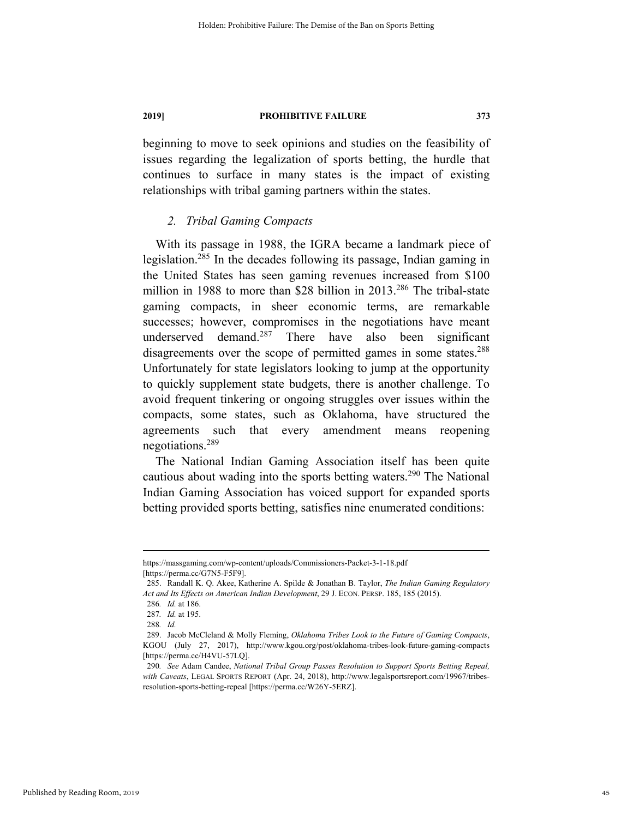beginning to move to seek opinions and studies on the feasibility of issues regarding the legalization of sports betting, the hurdle that continues to surface in many states is the impact of existing relationships with tribal gaming partners within the states.

### *2. Tribal Gaming Compacts*

With its passage in 1988, the IGRA became a landmark piece of legislation.285 In the decades following its passage, Indian gaming in the United States has seen gaming revenues increased from \$100 million in 1988 to more than \$28 billion in 2013.<sup>286</sup> The tribal-state gaming compacts, in sheer economic terms, are remarkable successes; however, compromises in the negotiations have meant underserved demand. $287$  There have also been significant disagreements over the scope of permitted games in some states.<sup>288</sup> Unfortunately for state legislators looking to jump at the opportunity to quickly supplement state budgets, there is another challenge. To avoid frequent tinkering or ongoing struggles over issues within the compacts, some states, such as Oklahoma, have structured the agreements such that every amendment means reopening negotiations.289

The National Indian Gaming Association itself has been quite cautious about wading into the sports betting waters.<sup>290</sup> The National Indian Gaming Association has voiced support for expanded sports betting provided sports betting, satisfies nine enumerated conditions:

https://massgaming.com/wp-content/uploads/Commissioners-Packet-3-1-18.pdf [https://perma.cc/G7N5-F5F9].

 <sup>285.</sup> Randall K. Q. Akee, Katherine A. Spilde & Jonathan B. Taylor, *The Indian Gaming Regulatory Act and Its Effects on American Indian Development*, 29 J. ECON. PERSP. 185, 185 (2015).

<sup>286</sup>*. Id.* at 186.

<sup>287</sup>*. Id.* at 195.

<sup>288</sup>*. Id.*

 <sup>289.</sup> Jacob McCleland & Molly Fleming, *Oklahoma Tribes Look to the Future of Gaming Compacts*, KGOU (July 27, 2017), http://www.kgou.org/post/oklahoma-tribes-look-future-gaming-compacts [https://perma.cc/H4VU-57LQ].

<sup>290</sup>*. See* Adam Candee, *National Tribal Group Passes Resolution to Support Sports Betting Repeal, with Caveats*, LEGAL SPORTS REPORT (Apr. 24, 2018), http://www.legalsportsreport.com/19967/tribesresolution-sports-betting-repeal [https://perma.cc/W26Y-5ERZ].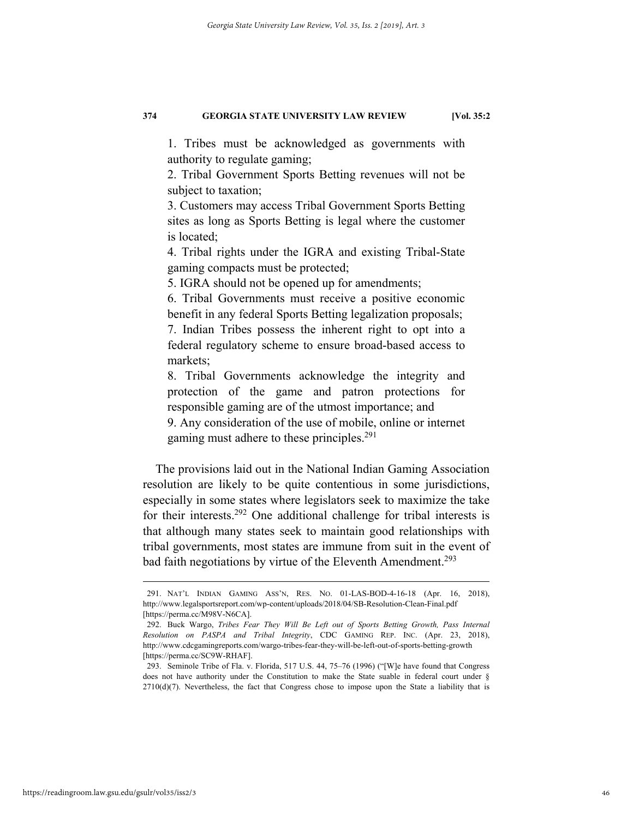1. Tribes must be acknowledged as governments with authority to regulate gaming;

2. Tribal Government Sports Betting revenues will not be subject to taxation;

3. Customers may access Tribal Government Sports Betting sites as long as Sports Betting is legal where the customer is located;

4. Tribal rights under the IGRA and existing Tribal-State gaming compacts must be protected;

5. IGRA should not be opened up for amendments;

6. Tribal Governments must receive a positive economic benefit in any federal Sports Betting legalization proposals;

7. Indian Tribes possess the inherent right to opt into a federal regulatory scheme to ensure broad-based access to markets;

8. Tribal Governments acknowledge the integrity and protection of the game and patron protections for responsible gaming are of the utmost importance; and

9. Any consideration of the use of mobile, online or internet gaming must adhere to these principles.<sup>291</sup>

The provisions laid out in the National Indian Gaming Association resolution are likely to be quite contentious in some jurisdictions, especially in some states where legislators seek to maximize the take for their interests.292 One additional challenge for tribal interests is that although many states seek to maintain good relationships with tribal governments, most states are immune from suit in the event of bad faith negotiations by virtue of the Eleventh Amendment.<sup>293</sup>

 <sup>291.</sup> NAT'L INDIAN GAMING ASS'N, RES. NO. 01-LAS-BOD-4-16-18 (Apr. 16, 2018), http://www.legalsportsreport.com/wp-content/uploads/2018/04/SB-Resolution-Clean-Final.pdf [https://perma.cc/M98V-N6CA].

 <sup>292.</sup> Buck Wargo, *Tribes Fear They Will Be Left out of Sports Betting Growth, Pass Internal Resolution on PASPA and Tribal Integrity*, CDC GAMING REP. INC. (Apr. 23, 2018), http://www.cdcgamingreports.com/wargo-tribes-fear-they-will-be-left-out-of-sports-betting-growth [https://perma.cc/SC9W-RHAF].

 <sup>293.</sup> Seminole Tribe of Fla. v. Florida, 517 U.S. 44, 75–76 (1996) ("[W]e have found that Congress does not have authority under the Constitution to make the State suable in federal court under § 2710(d)(7). Nevertheless, the fact that Congress chose to impose upon the State a liability that is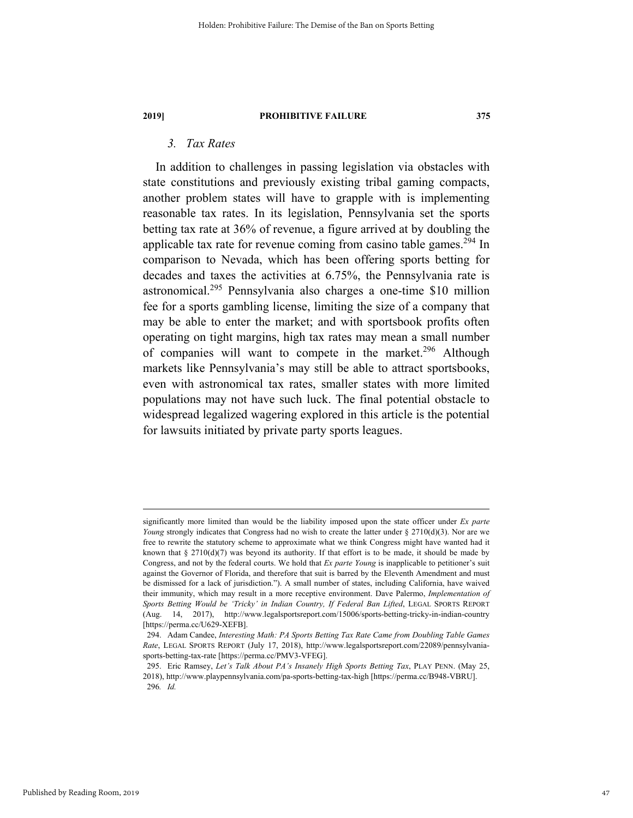# *3. Tax Rates*

In addition to challenges in passing legislation via obstacles with state constitutions and previously existing tribal gaming compacts, another problem states will have to grapple with is implementing reasonable tax rates. In its legislation, Pennsylvania set the sports betting tax rate at 36% of revenue, a figure arrived at by doubling the applicable tax rate for revenue coming from casino table games.<sup>294</sup> In comparison to Nevada, which has been offering sports betting for decades and taxes the activities at 6.75%, the Pennsylvania rate is astronomical.295 Pennsylvania also charges a one-time \$10 million fee for a sports gambling license, limiting the size of a company that may be able to enter the market; and with sportsbook profits often operating on tight margins, high tax rates may mean a small number of companies will want to compete in the market.<sup>296</sup> Although markets like Pennsylvania's may still be able to attract sportsbooks, even with astronomical tax rates, smaller states with more limited populations may not have such luck. The final potential obstacle to widespread legalized wagering explored in this article is the potential for lawsuits initiated by private party sports leagues.

significantly more limited than would be the liability imposed upon the state officer under *Ex parte Young* strongly indicates that Congress had no wish to create the latter under § 2710(d)(3). Nor are we free to rewrite the statutory scheme to approximate what we think Congress might have wanted had it known that  $\S 2710(d)(7)$  was beyond its authority. If that effort is to be made, it should be made by Congress, and not by the federal courts. We hold that *Ex parte Young* is inapplicable to petitioner's suit against the Governor of Florida, and therefore that suit is barred by the Eleventh Amendment and must be dismissed for a lack of jurisdiction."). A small number of states, including California, have waived their immunity, which may result in a more receptive environment. Dave Palermo, *Implementation of Sports Betting Would be 'Tricky' in Indian Country, If Federal Ban Lifted*, LEGAL SPORTS REPORT (Aug. 14, 2017), http://www.legalsportsreport.com/15006/sports-betting-tricky-in-indian-country [https://perma.cc/U629-XEFB].

 <sup>294.</sup> Adam Candee, *Interesting Math: PA Sports Betting Tax Rate Came from Doubling Table Games Rate*, LEGAL SPORTS REPORT (July 17, 2018), http://www.legalsportsreport.com/22089/pennsylvaniasports-betting-tax-rate [https://perma.cc/PMV3-VFEG].

 <sup>295.</sup> Eric Ramsey, *Let's Talk About PA's Insanely High Sports Betting Tax*, PLAY PENN. (May 25, 2018), http://www.playpennsylvania.com/pa-sports-betting-tax-high [https://perma.cc/B948-VBRU]. 296*. Id.*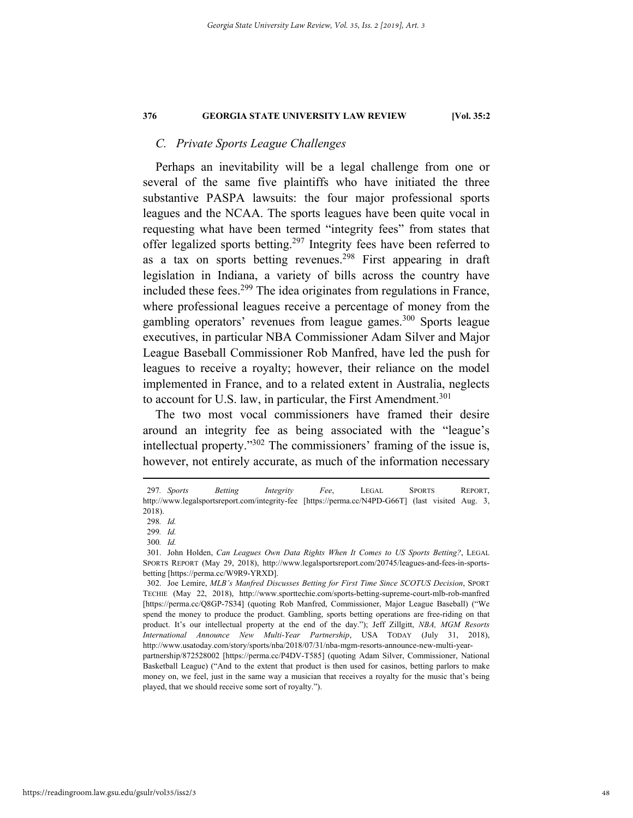# *C. Private Sports League Challenges*

Perhaps an inevitability will be a legal challenge from one or several of the same five plaintiffs who have initiated the three substantive PASPA lawsuits: the four major professional sports leagues and the NCAA. The sports leagues have been quite vocal in requesting what have been termed "integrity fees" from states that offer legalized sports betting.<sup>297</sup> Integrity fees have been referred to as a tax on sports betting revenues.<sup>298</sup> First appearing in draft legislation in Indiana, a variety of bills across the country have included these fees.<sup>299</sup> The idea originates from regulations in France, where professional leagues receive a percentage of money from the gambling operators' revenues from league games.<sup>300</sup> Sports league executives, in particular NBA Commissioner Adam Silver and Major League Baseball Commissioner Rob Manfred, have led the push for leagues to receive a royalty; however, their reliance on the model implemented in France, and to a related extent in Australia, neglects to account for U.S. law, in particular, the First Amendment.<sup>301</sup>

The two most vocal commissioners have framed their desire around an integrity fee as being associated with the "league's intellectual property."302 The commissioners' framing of the issue is, however, not entirely accurate, as much of the information necessary

 <sup>297</sup>*. Sports Betting Integrity Fee*, LEGAL SPORTS REPORT, http://www.legalsportsreport.com/integrity-fee [https://perma.cc/N4PD-G66T] (last visited Aug. 3, 2018).

<sup>298</sup>*. Id.*

<sup>299</sup>*. Id.*

<sup>300</sup>*. Id.*

 <sup>301.</sup> John Holden, *Can Leagues Own Data Rights When It Comes to US Sports Betting?*, LEGAL SPORTS REPORT (May 29, 2018), http://www.legalsportsreport.com/20745/leagues-and-fees-in-sportsbetting [https://perma.cc/W9R9-YRXD].

 <sup>302.</sup> Joe Lemire, *MLB's Manfred Discusses Betting for First Time Since SCOTUS Decision*, SPORT TECHIE (May 22, 2018), http://www.sporttechie.com/sports-betting-supreme-court-mlb-rob-manfred [https://perma.cc/Q8GP-7S34] (quoting Rob Manfred, Commissioner, Major League Baseball) ("We spend the money to produce the product. Gambling, sports betting operations are free-riding on that product. It's our intellectual property at the end of the day."); Jeff Zillgitt, *NBA, MGM Resorts International Announce New Multi-Year Partnership*, USA TODAY (July 31, 2018), http://www.usatoday.com/story/sports/nba/2018/07/31/nba-mgm-resorts-announce-new-multi-year-

partnership/872528002 [https://perma.cc/P4DV-T585] (quoting Adam Silver, Commissioner, National Basketball League) ("And to the extent that product is then used for casinos, betting parlors to make money on, we feel, just in the same way a musician that receives a royalty for the music that's being played, that we should receive some sort of royalty.").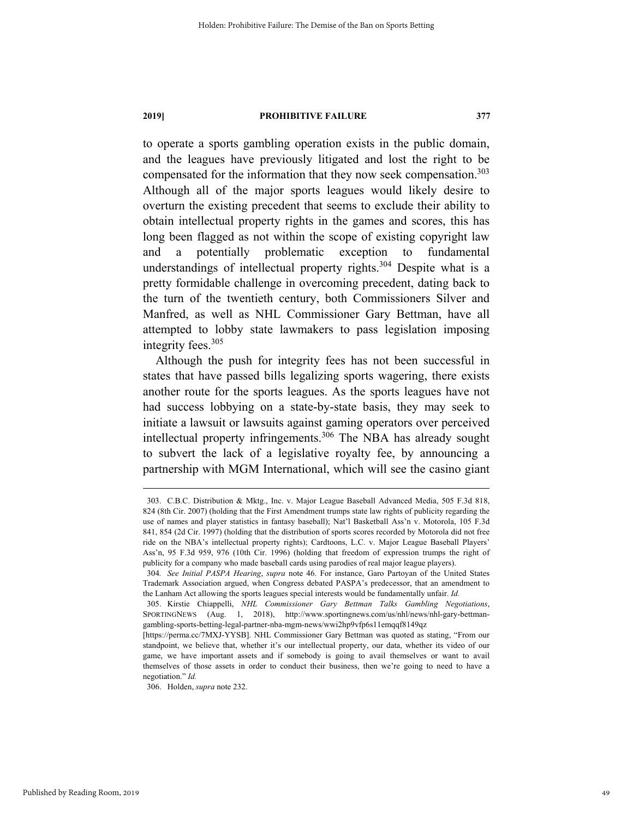to operate a sports gambling operation exists in the public domain, and the leagues have previously litigated and lost the right to be compensated for the information that they now seek compensation. 303 Although all of the major sports leagues would likely desire to overturn the existing precedent that seems to exclude their ability to obtain intellectual property rights in the games and scores, this has long been flagged as not within the scope of existing copyright law and a potentially problematic exception to fundamental understandings of intellectual property rights. $304$  Despite what is a pretty formidable challenge in overcoming precedent, dating back to the turn of the twentieth century, both Commissioners Silver and Manfred, as well as NHL Commissioner Gary Bettman, have all attempted to lobby state lawmakers to pass legislation imposing integrity fees.<sup>305</sup>

Although the push for integrity fees has not been successful in states that have passed bills legalizing sports wagering, there exists another route for the sports leagues. As the sports leagues have not had success lobbying on a state-by-state basis, they may seek to initiate a lawsuit or lawsuits against gaming operators over perceived intellectual property infringements.<sup>306</sup> The NBA has already sought to subvert the lack of a legislative royalty fee, by announcing a partnership with MGM International, which will see the casino giant

 <sup>303.</sup> C.B.C. Distribution & Mktg., Inc. v. Major League Baseball Advanced Media, 505 F.3d 818, 824 (8th Cir. 2007) (holding that the First Amendment trumps state law rights of publicity regarding the use of names and player statistics in fantasy baseball); Nat'l Basketball Ass'n v. Motorola, 105 F.3d 841, 854 (2d Cir. 1997) (holding that the distribution of sports scores recorded by Motorola did not free ride on the NBA's intellectual property rights); Cardtoons, L.C. v. Major League Baseball Players' Ass'n, 95 F.3d 959, 976 (10th Cir. 1996) (holding that freedom of expression trumps the right of publicity for a company who made baseball cards using parodies of real major league players).

<sup>304</sup>*. See Initial PASPA Hearing*, *supra* note 46. For instance, Garo Partoyan of the United States Trademark Association argued, when Congress debated PASPA's predecessor, that an amendment to the Lanham Act allowing the sports leagues special interests would be fundamentally unfair. *Id.* 

 <sup>305.</sup> Kirstie Chiappelli, *NHL Commissioner Gary Bettman Talks Gambling Negotiations*, SPORTINGNEWS (Aug. 1, 2018), http://www.sportingnews.com/us/nhl/news/nhl-gary-bettmangambling-sports-betting-legal-partner-nba-mgm-news/wwi2hp9vfp6s11emqqf8149qz

<sup>[</sup>https://perma.cc/7MXJ-YYSB]. NHL Commissioner Gary Bettman was quoted as stating, "From our standpoint, we believe that, whether it's our intellectual property, our data, whether its video of our game, we have important assets and if somebody is going to avail themselves or want to avail themselves of those assets in order to conduct their business, then we're going to need to have a negotiation." *Id.*

 <sup>306.</sup> Holden, *supra* note 232.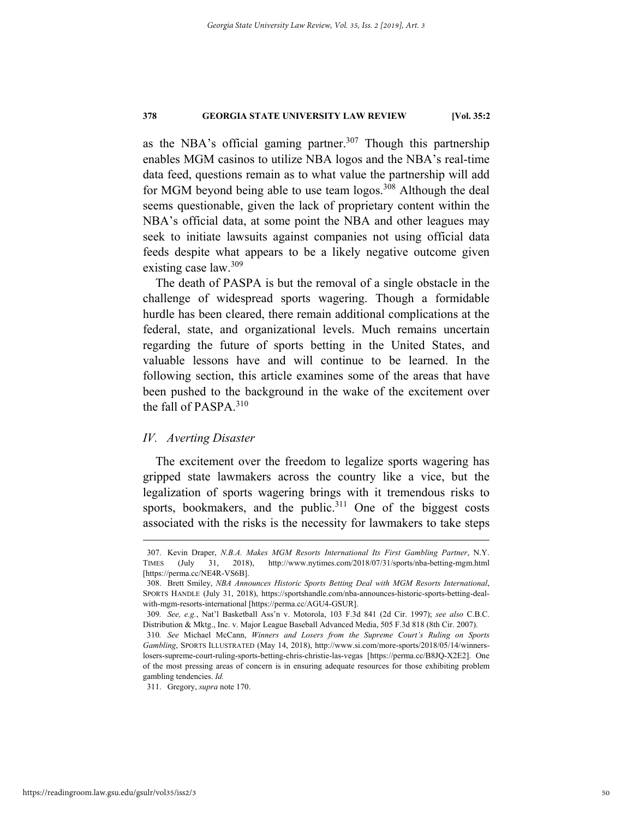as the NBA's official gaming partner.<sup>307</sup> Though this partnership enables MGM casinos to utilize NBA logos and the NBA's real-time data feed, questions remain as to what value the partnership will add for MGM beyond being able to use team logos.<sup>308</sup> Although the deal seems questionable, given the lack of proprietary content within the NBA's official data, at some point the NBA and other leagues may seek to initiate lawsuits against companies not using official data feeds despite what appears to be a likely negative outcome given existing case law.<sup>309</sup>

The death of PASPA is but the removal of a single obstacle in the challenge of widespread sports wagering. Though a formidable hurdle has been cleared, there remain additional complications at the federal, state, and organizational levels. Much remains uncertain regarding the future of sports betting in the United States, and valuable lessons have and will continue to be learned. In the following section, this article examines some of the areas that have been pushed to the background in the wake of the excitement over the fall of PASPA.<sup>310</sup>

### *IV. Averting Disaster*

The excitement over the freedom to legalize sports wagering has gripped state lawmakers across the country like a vice, but the legalization of sports wagering brings with it tremendous risks to sports, bookmakers, and the public.<sup>311</sup> One of the biggest costs associated with the risks is the necessity for lawmakers to take steps

 <sup>307.</sup> Kevin Draper, *N.B.A. Makes MGM Resorts International Its First Gambling Partner*, N.Y. TIMES (July 31, 2018), http://www.nytimes.com/2018/07/31/sports/nba-betting-mgm.html [https://perma.cc/NE4R-VS6B].

 <sup>308.</sup> Brett Smiley, *NBA Announces Historic Sports Betting Deal with MGM Resorts International*, SPORTS HANDLE (July 31, 2018), https://sportshandle.com/nba-announces-historic-sports-betting-dealwith-mgm-resorts-international [https://perma.cc/AGU4-GSUR].

<sup>309</sup>*. See, e.g.*, Nat'l Basketball Ass'n v. Motorola, 103 F.3d 841 (2d Cir. 1997); *see also* C.B.C. Distribution & Mktg., Inc. v. Major League Baseball Advanced Media, 505 F.3d 818 (8th Cir. 2007).

<sup>310</sup>*. See* Michael McCann, *Winners and Losers from the Supreme Court's Ruling on Sports Gambling*, SPORTS ILLUSTRATED (May 14, 2018), http://www.si.com/more-sports/2018/05/14/winnerslosers-supreme-court-ruling-sports-betting-chris-christie-las-vegas [https://perma.cc/B8JQ-X2E2]. One of the most pressing areas of concern is in ensuring adequate resources for those exhibiting problem gambling tendencies. *Id.*

 <sup>311.</sup> Gregory, *supra* note 170.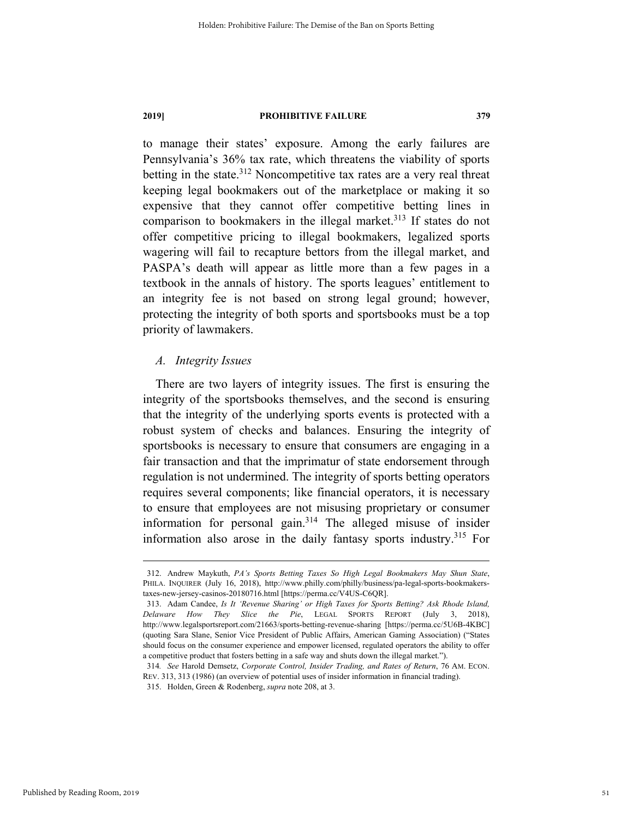to manage their states' exposure. Among the early failures are Pennsylvania's 36% tax rate, which threatens the viability of sports betting in the state. $312$  Noncompetitive tax rates are a very real threat keeping legal bookmakers out of the marketplace or making it so expensive that they cannot offer competitive betting lines in comparison to bookmakers in the illegal market.<sup>313</sup> If states do not offer competitive pricing to illegal bookmakers, legalized sports wagering will fail to recapture bettors from the illegal market, and PASPA's death will appear as little more than a few pages in a textbook in the annals of history. The sports leagues' entitlement to an integrity fee is not based on strong legal ground; however, protecting the integrity of both sports and sportsbooks must be a top priority of lawmakers.

### *A. Integrity Issues*

There are two layers of integrity issues. The first is ensuring the integrity of the sportsbooks themselves, and the second is ensuring that the integrity of the underlying sports events is protected with a robust system of checks and balances. Ensuring the integrity of sportsbooks is necessary to ensure that consumers are engaging in a fair transaction and that the imprimatur of state endorsement through regulation is not undermined. The integrity of sports betting operators requires several components; like financial operators, it is necessary to ensure that employees are not misusing proprietary or consumer information for personal gain. $314$  The alleged misuse of insider information also arose in the daily fantasy sports industry.<sup>315</sup> For

 <sup>312.</sup> Andrew Maykuth, *PA's Sports Betting Taxes So High Legal Bookmakers May Shun State*, PHILA. INQUIRER (July 16, 2018), http://www.philly.com/philly/business/pa-legal-sports-bookmakerstaxes-new-jersey-casinos-20180716.html [https://perma.cc/V4US-C6QR].

 <sup>313.</sup> Adam Candee, *Is It 'Revenue Sharing' or High Taxes for Sports Betting? Ask Rhode Island, Delaware How They Slice the Pie*, LEGAL SPORTS REPORT (July 3, 2018), http://www.legalsportsreport.com/21663/sports-betting-revenue-sharing [https://perma.cc/5U6B-4KBC] (quoting Sara Slane, Senior Vice President of Public Affairs, American Gaming Association) ("States should focus on the consumer experience and empower licensed, regulated operators the ability to offer a competitive product that fosters betting in a safe way and shuts down the illegal market.").

<sup>314</sup>*. See* Harold Demsetz, *Corporate Control, Insider Trading, and Rates of Return*, 76 AM. ECON. REV. 313, 313 (1986) (an overview of potential uses of insider information in financial trading).

 <sup>315.</sup> Holden, Green & Rodenberg, *supra* note 208, at 3.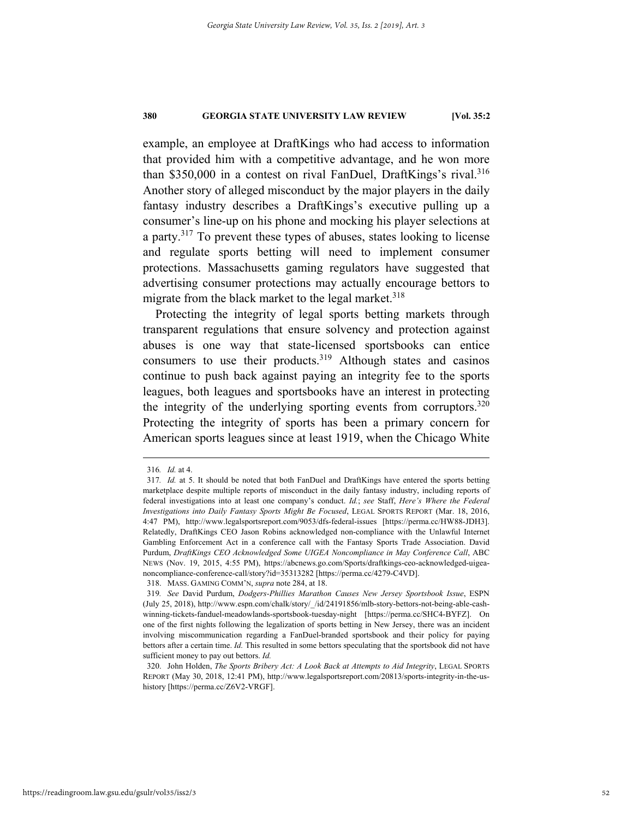example, an employee at DraftKings who had access to information that provided him with a competitive advantage, and he won more than \$350,000 in a contest on rival FanDuel, DraftKings's rival.<sup>316</sup> Another story of alleged misconduct by the major players in the daily fantasy industry describes a DraftKings's executive pulling up a consumer's line-up on his phone and mocking his player selections at a party.317 To prevent these types of abuses, states looking to license and regulate sports betting will need to implement consumer protections. Massachusetts gaming regulators have suggested that advertising consumer protections may actually encourage bettors to migrate from the black market to the legal market. $318$ 

Protecting the integrity of legal sports betting markets through transparent regulations that ensure solvency and protection against abuses is one way that state-licensed sportsbooks can entice consumers to use their products.<sup>319</sup> Although states and casinos continue to push back against paying an integrity fee to the sports leagues, both leagues and sportsbooks have an interest in protecting the integrity of the underlying sporting events from corruptors.<sup>320</sup> Protecting the integrity of sports has been a primary concern for American sports leagues since at least 1919, when the Chicago White

 <sup>316</sup>*. Id.* at 4.

<sup>317</sup>*. Id.* at 5. It should be noted that both FanDuel and DraftKings have entered the sports betting marketplace despite multiple reports of misconduct in the daily fantasy industry, including reports of federal investigations into at least one company's conduct. *Id.*; *see* Staff, *Here's Where the Federal Investigations into Daily Fantasy Sports Might Be Focused*, LEGAL SPORTS REPORT (Mar. 18, 2016, 4:47 PM), http://www.legalsportsreport.com/9053/dfs-federal-issues [https://perma.cc/HW88-JDH3]. Relatedly, DraftKings CEO Jason Robins acknowledged non-compliance with the Unlawful Internet Gambling Enforcement Act in a conference call with the Fantasy Sports Trade Association. David Purdum, *DraftKings CEO Acknowledged Some UIGEA Noncompliance in May Conference Call*, ABC NEWS (Nov. 19, 2015, 4:55 PM), https://abcnews.go.com/Sports/draftkings-ceo-acknowledged-uigeanoncompliance-conference-call/story?id=35313282 [https://perma.cc/4279-C4VD].

 <sup>318.</sup> MASS. GAMING COMM'N, *supra* note 284, at 18.

<sup>319</sup>*. See* David Purdum, *Dodgers-Phillies Marathon Causes New Jersey Sportsbook Issue*, ESPN (July 25, 2018), http://www.espn.com/chalk/story/\_/id/24191856/mlb-story-bettors-not-being-able-cashwinning-tickets-fanduel-meadowlands-sportsbook-tuesday-night [https://perma.cc/SHC4-BYFZ]. On one of the first nights following the legalization of sports betting in New Jersey, there was an incident involving miscommunication regarding a FanDuel-branded sportsbook and their policy for paying bettors after a certain time. *Id.* This resulted in some bettors speculating that the sportsbook did not have sufficient money to pay out bettors. *Id.*

 <sup>320.</sup> John Holden, *The Sports Bribery Act: A Look Back at Attempts to Aid Integrity*, LEGAL SPORTS REPORT (May 30, 2018, 12:41 PM), http://www.legalsportsreport.com/20813/sports-integrity-in-the-ushistory [https://perma.cc/Z6V2-VRGF].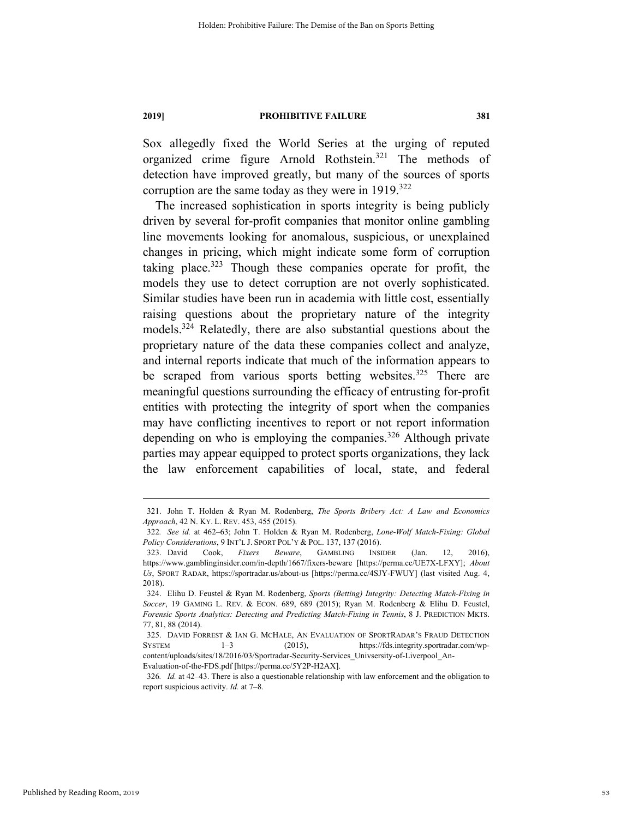Sox allegedly fixed the World Series at the urging of reputed organized crime figure Arnold Rothstein.321 The methods of detection have improved greatly, but many of the sources of sports corruption are the same today as they were in  $1919$ <sup>322</sup>

The increased sophistication in sports integrity is being publicly driven by several for-profit companies that monitor online gambling line movements looking for anomalous, suspicious, or unexplained changes in pricing, which might indicate some form of corruption taking place. $323$  Though these companies operate for profit, the models they use to detect corruption are not overly sophisticated. Similar studies have been run in academia with little cost, essentially raising questions about the proprietary nature of the integrity models.324 Relatedly, there are also substantial questions about the proprietary nature of the data these companies collect and analyze, and internal reports indicate that much of the information appears to be scraped from various sports betting websites.<sup>325</sup> There are meaningful questions surrounding the efficacy of entrusting for-profit entities with protecting the integrity of sport when the companies may have conflicting incentives to report or not report information depending on who is employing the companies.<sup>326</sup> Although private parties may appear equipped to protect sports organizations, they lack the law enforcement capabilities of local, state, and federal

326*. Id.* at 42–43. There is also a questionable relationship with law enforcement and the obligation to report suspicious activity. *Id.* at 7–8.

 <sup>321.</sup> John T. Holden & Ryan M. Rodenberg, *The Sports Bribery Act: A Law and Economics Approach*, 42 N. KY. L. REV. 453, 455 (2015).

<sup>322</sup>*. See id.* at 462–63; John T. Holden & Ryan M. Rodenberg, *Lone-Wolf Match-Fixing: Global Policy Considerations*, 9 INT'L J. SPORT POL'Y & POL. 137, 137 (2016).

 <sup>323.</sup> David Cook, *Fixers Beware*, GAMBLING INSIDER (Jan. 12, 2016), https://www.gamblinginsider.com/in-depth/1667/fixers-beware [https://perma.cc/UE7X-LFXY]; *About Us*, SPORT RADAR, https://sportradar.us/about-us [https://perma.cc/4SJY-FWUY] (last visited Aug. 4, 2018).

 <sup>324.</sup> Elihu D. Feustel & Ryan M. Rodenberg, *Sports (Betting) Integrity: Detecting Match-Fixing in Soccer*, 19 GAMING L. REV. & ECON. 689, 689 (2015); Ryan M. Rodenberg & Elihu D. Feustel, *Forensic Sports Analytics: Detecting and Predicting Match-Fixing in Tennis*, 8 J. PREDICTION MKTS. 77, 81, 88 (2014).

 <sup>325.</sup> DAVID FORREST & IAN G. MCHALE, AN EVALUATION OF SPORTRADAR'S FRAUD DETECTION SYSTEM 1–3 (2015), https://fds.integrity.sportradar.com/wpcontent/uploads/sites/18/2016/03/Sportradar-Security-Services\_Univsersity-of-Liverpool\_An-Evaluation-of-the-FDS.pdf [https://perma.cc/5Y2P-H2AX].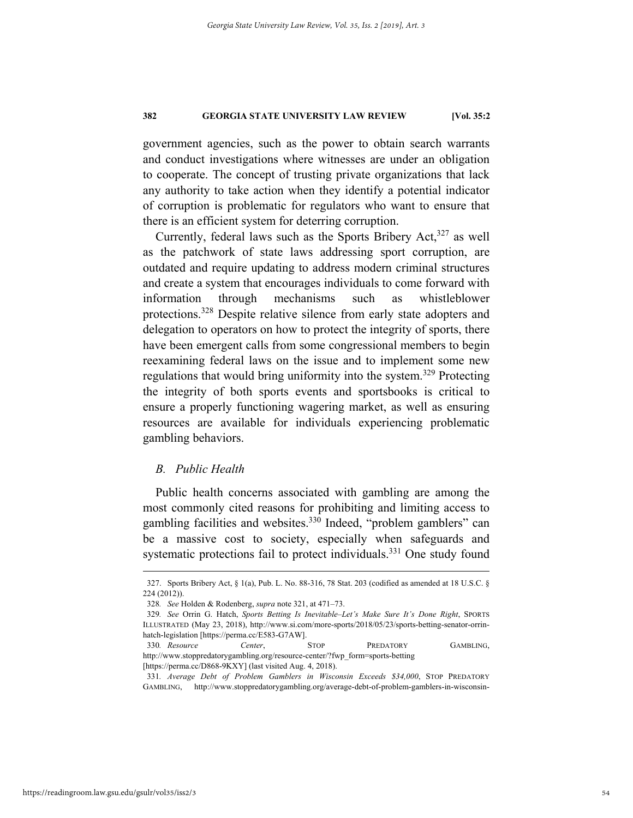government agencies, such as the power to obtain search warrants and conduct investigations where witnesses are under an obligation to cooperate. The concept of trusting private organizations that lack any authority to take action when they identify a potential indicator of corruption is problematic for regulators who want to ensure that there is an efficient system for deterring corruption.

Currently, federal laws such as the Sports Bribery Act,<sup>327</sup> as well as the patchwork of state laws addressing sport corruption, are outdated and require updating to address modern criminal structures and create a system that encourages individuals to come forward with information through mechanisms such as whistleblower protections.328 Despite relative silence from early state adopters and delegation to operators on how to protect the integrity of sports, there have been emergent calls from some congressional members to begin reexamining federal laws on the issue and to implement some new regulations that would bring uniformity into the system.<sup>329</sup> Protecting the integrity of both sports events and sportsbooks is critical to ensure a properly functioning wagering market, as well as ensuring resources are available for individuals experiencing problematic gambling behaviors.

### *B. Public Health*

Public health concerns associated with gambling are among the most commonly cited reasons for prohibiting and limiting access to gambling facilities and websites.<sup>330</sup> Indeed, "problem gamblers" can be a massive cost to society, especially when safeguards and systematic protections fail to protect individuals.<sup>331</sup> One study found

 <sup>327.</sup> Sports Bribery Act, § 1(a), Pub. L. No. 88-316, 78 Stat. 203 (codified as amended at 18 U.S.C. § 224 (2012)).

<sup>328</sup>*. See* Holden & Rodenberg, *supra* note 321, at 471–73.

<sup>329</sup>*. See* Orrin G. Hatch, *Sports Betting Is Inevitable–Let's Make Sure It's Done Right*, SPORTS ILLUSTRATED (May 23, 2018), http://www.si.com/more-sports/2018/05/23/sports-betting-senator-orrinhatch-legislation [https://perma.cc/E583-G7AW].

<sup>330</sup>*. Resource Center*, STOP PREDATORY GAMBLING, http://www.stoppredatorygambling.org/resource-center/?fwp\_form=sports-betting [https://perma.cc/D868-9KXY] (last visited Aug. 4, 2018).

<sup>331</sup>*. Average Debt of Problem Gamblers in Wisconsin Exceeds \$34,000*, STOP PREDATORY GAMBLING, http://www.stoppredatorygambling.org/average-debt-of-problem-gamblers-in-wisconsin-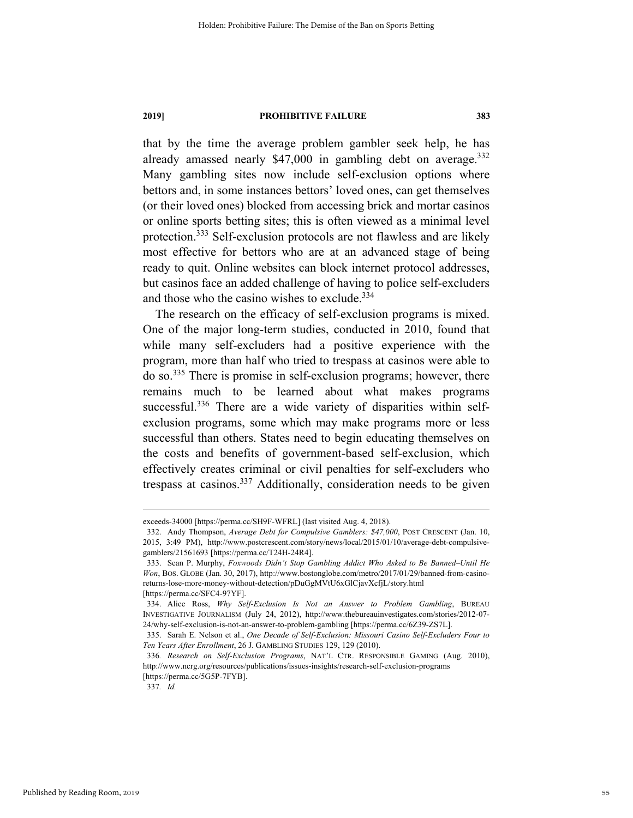that by the time the average problem gambler seek help, he has already amassed nearly \$47,000 in gambling debt on average.<sup>332</sup> Many gambling sites now include self-exclusion options where bettors and, in some instances bettors' loved ones, can get themselves (or their loved ones) blocked from accessing brick and mortar casinos or online sports betting sites; this is often viewed as a minimal level protection.333 Self-exclusion protocols are not flawless and are likely most effective for bettors who are at an advanced stage of being ready to quit. Online websites can block internet protocol addresses, but casinos face an added challenge of having to police self-excluders and those who the casino wishes to exclude.<sup>334</sup>

The research on the efficacy of self-exclusion programs is mixed. One of the major long-term studies, conducted in 2010, found that while many self-excluders had a positive experience with the program, more than half who tried to trespass at casinos were able to do so.335 There is promise in self-exclusion programs; however, there remains much to be learned about what makes programs successful.<sup>336</sup> There are a wide variety of disparities within selfexclusion programs, some which may make programs more or less successful than others. States need to begin educating themselves on the costs and benefits of government-based self-exclusion, which effectively creates criminal or civil penalties for self-excluders who trespass at casinos.337 Additionally, consideration needs to be given

337*. Id.*

exceeds-34000 [https://perma.cc/SH9F-WFRL] (last visited Aug. 4, 2018).

 <sup>332.</sup> Andy Thompson, *Average Debt for Compulsive Gamblers: \$47,000*, POST CRESCENT (Jan. 10, 2015, 3:49 PM), http://www.postcrescent.com/story/news/local/2015/01/10/average-debt-compulsivegamblers/21561693 [https://perma.cc/T24H-24R4].

 <sup>333.</sup> Sean P. Murphy, *Foxwoods Didn't Stop Gambling Addict Who Asked to Be Banned–Until He Won*, BOS. GLOBE (Jan. 30, 2017), http://www.bostonglobe.com/metro/2017/01/29/banned-from-casinoreturns-lose-more-money-without-detection/pDuGgMVtU6xGlCjavXcfjL/story.html [https://perma.cc/SFC4-97YF].

 <sup>334.</sup> Alice Ross, *Why Self-Exclusion Is Not an Answer to Problem Gambling*, BUREAU INVESTIGATIVE JOURNALISM (July 24, 2012), http://www.thebureauinvestigates.com/stories/2012-07- 24/why-self-exclusion-is-not-an-answer-to-problem-gambling [https://perma.cc/6Z39-ZS7L].

 <sup>335.</sup> Sarah E. Nelson et al., *One Decade of Self-Exclusion: Missouri Casino Self-Excluders Four to Ten Years After Enrollment*, 26 J. GAMBLING STUDIES 129, 129 (2010).

<sup>336</sup>*. Research on Self-Exclusion Programs*, NAT'L CTR. RESPONSIBLE GAMING (Aug. 2010), http://www.ncrg.org/resources/publications/issues-insights/research-self-exclusion-programs [https://perma.cc/5G5P-7FYB].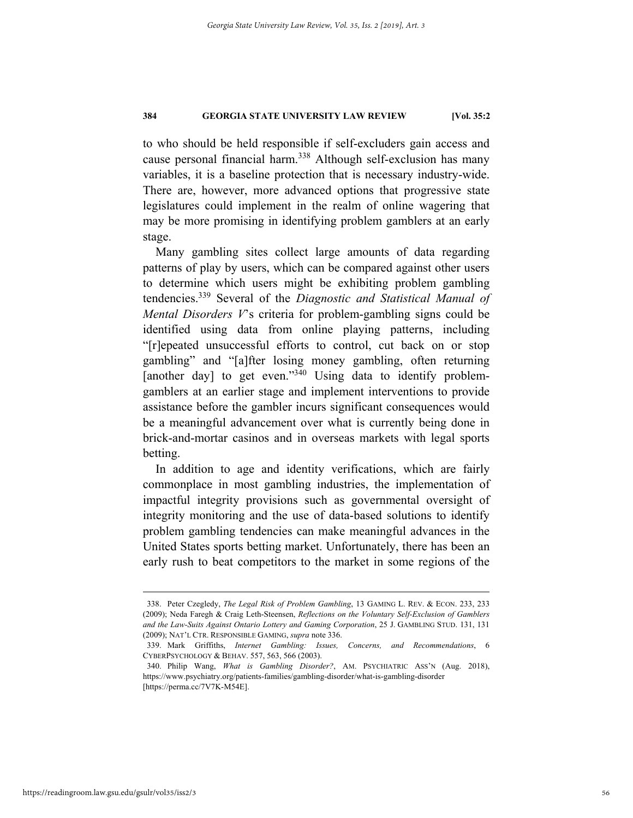to who should be held responsible if self-excluders gain access and cause personal financial harm.338 Although self-exclusion has many variables, it is a baseline protection that is necessary industry-wide. There are, however, more advanced options that progressive state legislatures could implement in the realm of online wagering that may be more promising in identifying problem gamblers at an early stage.

Many gambling sites collect large amounts of data regarding patterns of play by users, which can be compared against other users to determine which users might be exhibiting problem gambling tendencies.339 Several of the *Diagnostic and Statistical Manual of Mental Disorders V*'s criteria for problem-gambling signs could be identified using data from online playing patterns, including "[r]epeated unsuccessful efforts to control, cut back on or stop gambling" and "[a]fter losing money gambling, often returning [another day] to get even."<sup>340</sup> Using data to identify problemgamblers at an earlier stage and implement interventions to provide assistance before the gambler incurs significant consequences would be a meaningful advancement over what is currently being done in brick-and-mortar casinos and in overseas markets with legal sports betting.

In addition to age and identity verifications, which are fairly commonplace in most gambling industries, the implementation of impactful integrity provisions such as governmental oversight of integrity monitoring and the use of data-based solutions to identify problem gambling tendencies can make meaningful advances in the United States sports betting market. Unfortunately, there has been an early rush to beat competitors to the market in some regions of the

 <sup>338.</sup> Peter Czegledy, *The Legal Risk of Problem Gambling*, 13 GAMING L. REV. & ECON. 233, 233 (2009); Neda Faregh & Craig Leth-Steensen, *Reflections on the Voluntary Self-Exclusion of Gamblers and the Law-Suits Against Ontario Lottery and Gaming Corporation*, 25 J. GAMBLING STUD. 131, 131 (2009); NAT'L CTR. RESPONSIBLE GAMING, *supra* note 336.

 <sup>339.</sup> Mark Griffiths, *Internet Gambling: Issues, Concerns, and Recommendations*, 6 CYBERPSYCHOLOGY & BEHAV. 557, 563, 566 (2003).

 <sup>340.</sup> Philip Wang, *What is Gambling Disorder?*, AM. PSYCHIATRIC ASS'N (Aug. 2018), https://www.psychiatry.org/patients-families/gambling-disorder/what-is-gambling-disorder [https://perma.cc/7V7K-M54E].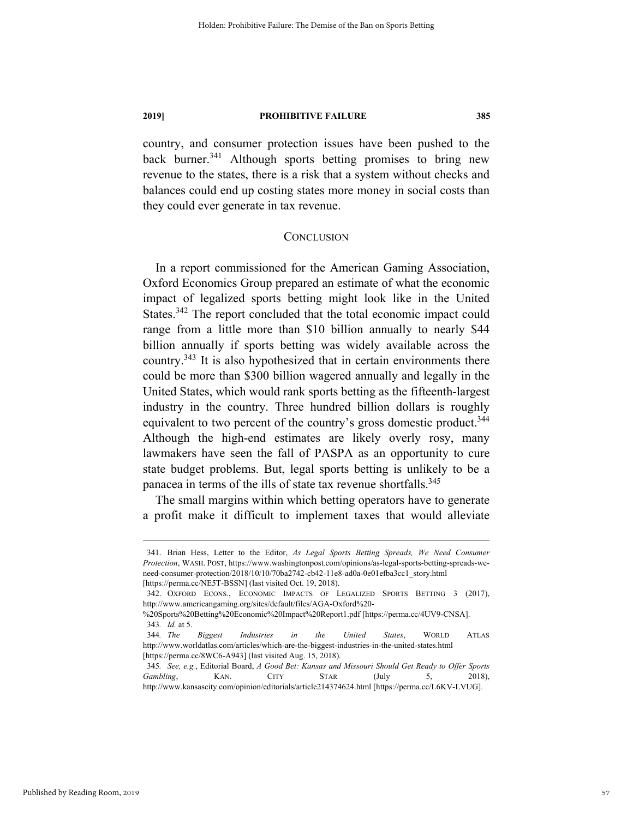country, and consumer protection issues have been pushed to the back burner.<sup>341</sup> Although sports betting promises to bring new revenue to the states, there is a risk that a system without checks and balances could end up costing states more money in social costs than they could ever generate in tax revenue.

#### **CONCLUSION**

In a report commissioned for the American Gaming Association, Oxford Economics Group prepared an estimate of what the economic impact of legalized sports betting might look like in the United States.<sup>342</sup> The report concluded that the total economic impact could range from a little more than \$10 billion annually to nearly \$44 billion annually if sports betting was widely available across the country.<sup>343</sup> It is also hypothesized that in certain environments there could be more than \$300 billion wagered annually and legally in the United States, which would rank sports betting as the fifteenth-largest industry in the country. Three hundred billion dollars is roughly equivalent to two percent of the country's gross domestic product.<sup>344</sup> Although the high-end estimates are likely overly rosy, many lawmakers have seen the fall of PASPA as an opportunity to cure state budget problems. But, legal sports betting is unlikely to be a panacea in terms of the ills of state tax revenue shortfalls.<sup>345</sup>

The small margins within which betting operators have to generate a profit make it difficult to implement taxes that would alleviate

 <sup>341.</sup> Brian Hess, Letter to the Editor, *As Legal Sports Betting Spreads, We Need Consumer Protection*, WASH. POST, https://www.washingtonpost.com/opinions/as-legal-sports-betting-spreads-weneed-consumer-protection/2018/10/10/70ba2742-cb42-11e8-ad0a-0e01efba3cc1\_story.html [https://perma.cc/NE5T-BSSN] (last visited Oct. 19, 2018).

 <sup>342.</sup> OXFORD ECONS., ECONOMIC IMPACTS OF LEGALIZED SPORTS BETTING 3 (2017), http://www.americangaming.org/sites/default/files/AGA-Oxford%20-

<sup>%20</sup>Sports%20Betting%20Economic%20Impact%20Report1.pdf [https://perma.cc/4UV9-CNSA]. 343*. Id.* at 5.

<sup>344</sup>*. The Biggest Industries in the United States*, WORLD ATLAS http://www.worldatlas.com/articles/which-are-the-biggest-industries-in-the-united-states.html [https://perma.cc/8WC6-A943] (last visited Aug. 15, 2018).

<sup>345</sup>*. See, e.g.*, Editorial Board, *A Good Bet: Kansas and Missouri Should Get Ready to Offer Sports Gambling*, KAN. CITY STAR (July 5, 2018), http://www.kansascity.com/opinion/editorials/article214374624.html [https://perma.cc/L6KV-LVUG].